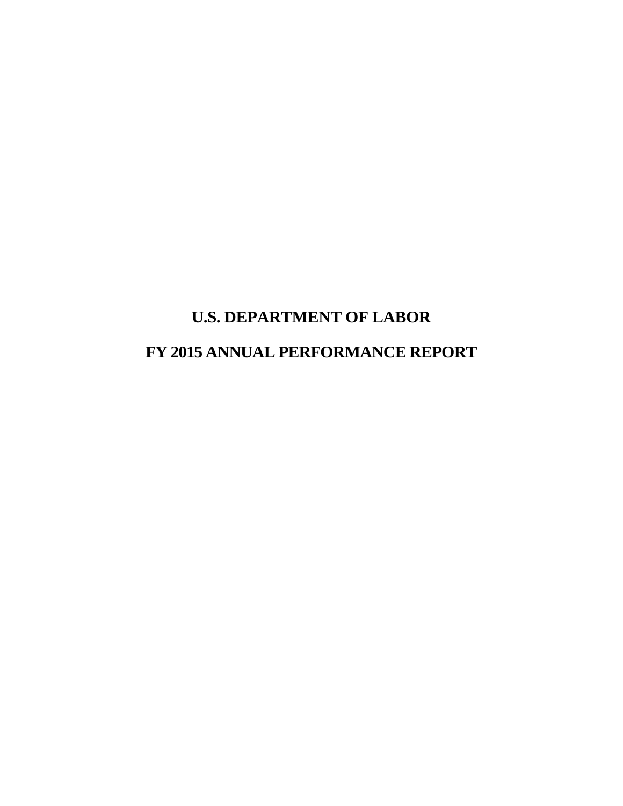# **U.S. DEPARTMENT OF LABOR FY 2015 ANNUAL PERFORMANCE REPORT**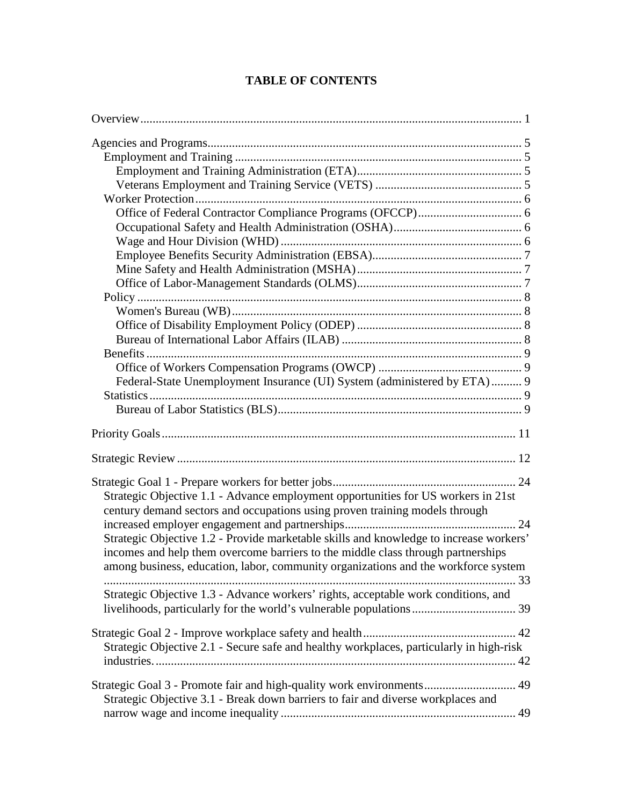| Federal-State Unemployment Insurance (UI) System (administered by ETA) 9                                                                                  |  |
|-----------------------------------------------------------------------------------------------------------------------------------------------------------|--|
|                                                                                                                                                           |  |
|                                                                                                                                                           |  |
|                                                                                                                                                           |  |
|                                                                                                                                                           |  |
|                                                                                                                                                           |  |
| Strategic Objective 1.1 - Advance employment opportunities for US workers in 21st                                                                         |  |
| century demand sectors and occupations using proven training models through                                                                               |  |
|                                                                                                                                                           |  |
| Strategic Objective 1.2 - Provide marketable skills and knowledge to increase workers'                                                                    |  |
| incomes and help them overcome barriers to the middle class through partnerships                                                                          |  |
| among business, education, labor, community organizations and the workforce system                                                                        |  |
|                                                                                                                                                           |  |
| Strategic Objective 1.3 - Advance workers' rights, acceptable work conditions, and                                                                        |  |
|                                                                                                                                                           |  |
|                                                                                                                                                           |  |
|                                                                                                                                                           |  |
| Strategic Objective 2.1 - Secure safe and healthy workplaces, particularly in high-risk                                                                   |  |
|                                                                                                                                                           |  |
|                                                                                                                                                           |  |
| Strategic Goal 3 - Promote fair and high-quality work environments 49<br>Strategic Objective 3.1 - Break down barriers to fair and diverse workplaces and |  |
|                                                                                                                                                           |  |
|                                                                                                                                                           |  |

### **TABLE OF CONTENTS**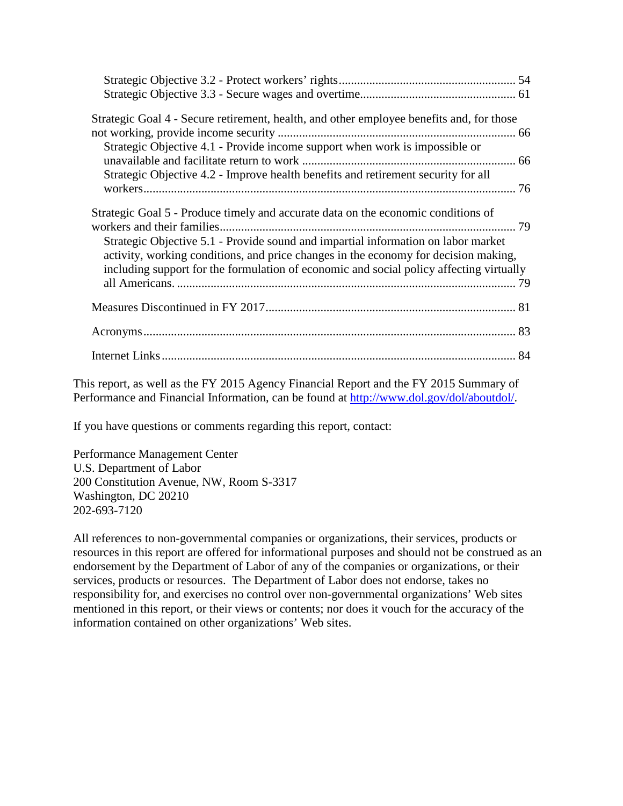| Strategic Goal 4 - Secure retirement, health, and other employee benefits and, for those |  |
|------------------------------------------------------------------------------------------|--|
|                                                                                          |  |
| Strategic Objective 4.1 - Provide income support when work is impossible or              |  |
|                                                                                          |  |
| Strategic Objective 4.2 - Improve health benefits and retirement security for all        |  |
|                                                                                          |  |
| Strategic Goal 5 - Produce timely and accurate data on the economic conditions of        |  |
|                                                                                          |  |
| Strategic Objective 5.1 - Provide sound and impartial information on labor market        |  |
| activity, working conditions, and price changes in the economy for decision making,      |  |
| including support for the formulation of economic and social policy affecting virtually  |  |
|                                                                                          |  |
|                                                                                          |  |
|                                                                                          |  |
|                                                                                          |  |
|                                                                                          |  |

This report, as well as the FY 2015 Agency Financial Report and the FY 2015 Summary of Performance and Financial Information, can be found at [http://www.dol.gov/dol/aboutdol/.](http://www.dol.gov/dol/aboutdol/)

If you have questions or comments regarding this report, contact:

Performance Management Center U.S. Department of Labor 200 Constitution Avenue, NW, Room S-3317 Washington, DC 20210 202-693-7120

All references to non-governmental companies or organizations, their services, products or resources in this report are offered for informational purposes and should not be construed as an endorsement by the Department of Labor of any of the companies or organizations, or their services, products or resources. The Department of Labor does not endorse, takes no responsibility for, and exercises no control over non-governmental organizations' Web sites mentioned in this report, or their views or contents; nor does it vouch for the accuracy of the information contained on other organizations' Web sites.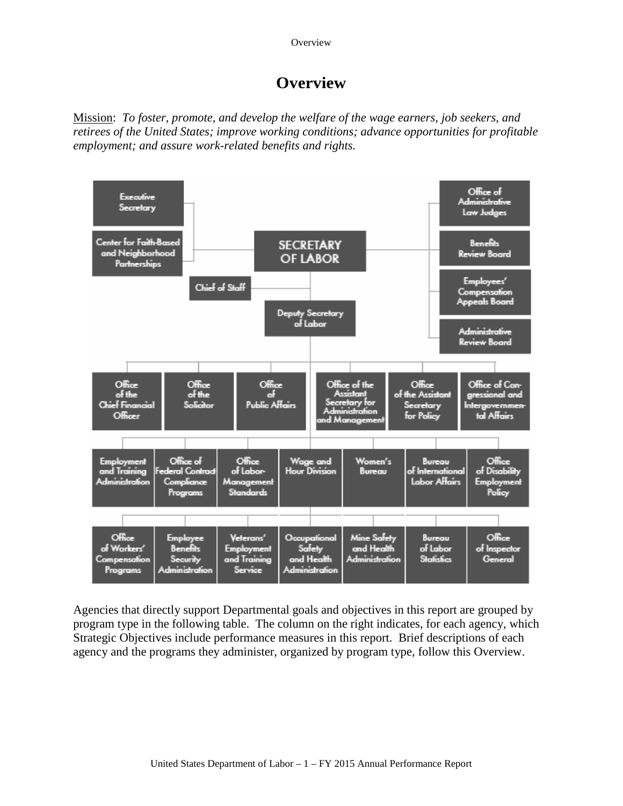**Overview** 

# **Overview**

<span id="page-4-0"></span>Mission: *To foster, promote, and develop the welfare of the wage earners, job seekers, and retirees of the United States; improve working conditions; advance opportunities for profitable employment; and assure work-related benefits and rights.*



Agencies that directly support Departmental goals and objectives in this report are grouped by program type in the following table. The column on the right indicates, for each agency, which Strategic Objectives include performance measures in this report. Brief descriptions of each agency and the programs they administer, organized by program type, follow this Overview.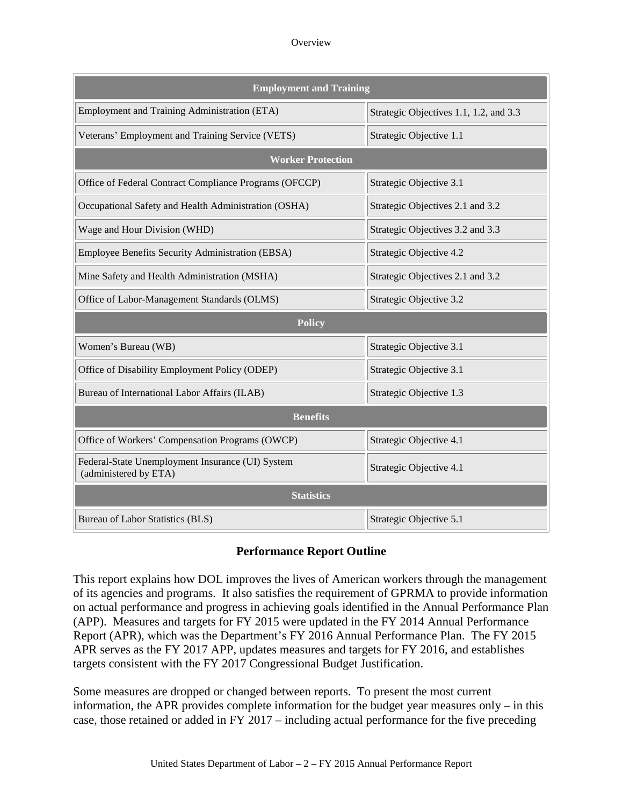#### **Overview**

| <b>Employment and Training</b>                                            |                                        |  |  |  |  |  |  |  |  |  |  |
|---------------------------------------------------------------------------|----------------------------------------|--|--|--|--|--|--|--|--|--|--|
| <b>Employment and Training Administration (ETA)</b>                       | Strategic Objectives 1.1, 1.2, and 3.3 |  |  |  |  |  |  |  |  |  |  |
| Veterans' Employment and Training Service (VETS)                          | Strategic Objective 1.1                |  |  |  |  |  |  |  |  |  |  |
| <b>Worker Protection</b>                                                  |                                        |  |  |  |  |  |  |  |  |  |  |
| Office of Federal Contract Compliance Programs (OFCCP)                    | Strategic Objective 3.1                |  |  |  |  |  |  |  |  |  |  |
| Occupational Safety and Health Administration (OSHA)                      | Strategic Objectives 2.1 and 3.2       |  |  |  |  |  |  |  |  |  |  |
| Wage and Hour Division (WHD)                                              | Strategic Objectives 3.2 and 3.3       |  |  |  |  |  |  |  |  |  |  |
| Employee Benefits Security Administration (EBSA)                          | Strategic Objective 4.2                |  |  |  |  |  |  |  |  |  |  |
| Mine Safety and Health Administration (MSHA)                              | Strategic Objectives 2.1 and 3.2       |  |  |  |  |  |  |  |  |  |  |
| Office of Labor-Management Standards (OLMS)                               | Strategic Objective 3.2                |  |  |  |  |  |  |  |  |  |  |
| <b>Policy</b>                                                             |                                        |  |  |  |  |  |  |  |  |  |  |
| Women's Bureau (WB)                                                       | Strategic Objective 3.1                |  |  |  |  |  |  |  |  |  |  |
| Office of Disability Employment Policy (ODEP)                             | Strategic Objective 3.1                |  |  |  |  |  |  |  |  |  |  |
| Bureau of International Labor Affairs (ILAB)                              | Strategic Objective 1.3                |  |  |  |  |  |  |  |  |  |  |
| <b>Benefits</b>                                                           |                                        |  |  |  |  |  |  |  |  |  |  |
| Office of Workers' Compensation Programs (OWCP)                           | Strategic Objective 4.1                |  |  |  |  |  |  |  |  |  |  |
| Federal-State Unemployment Insurance (UI) System<br>(administered by ETA) | Strategic Objective 4.1                |  |  |  |  |  |  |  |  |  |  |
| <b>Statistics</b>                                                         |                                        |  |  |  |  |  |  |  |  |  |  |
| Bureau of Labor Statistics (BLS)                                          | Strategic Objective 5.1                |  |  |  |  |  |  |  |  |  |  |

### **Performance Report Outline**

This report explains how DOL improves the lives of American workers through the management of its agencies and programs. It also satisfies the requirement of GPRMA to provide information on actual performance and progress in achieving goals identified in the Annual Performance Plan (APP). Measures and targets for FY 2015 were updated in the FY 2014 Annual Performance Report (APR), which was the Department's FY 2016 Annual Performance Plan. The FY 2015 APR serves as the FY 2017 APP, updates measures and targets for FY 2016, and establishes targets consistent with the FY 2017 Congressional Budget Justification.

Some measures are dropped or changed between reports. To present the most current information, the APR provides complete information for the budget year measures only – in this case, those retained or added in FY 2017 – including actual performance for the five preceding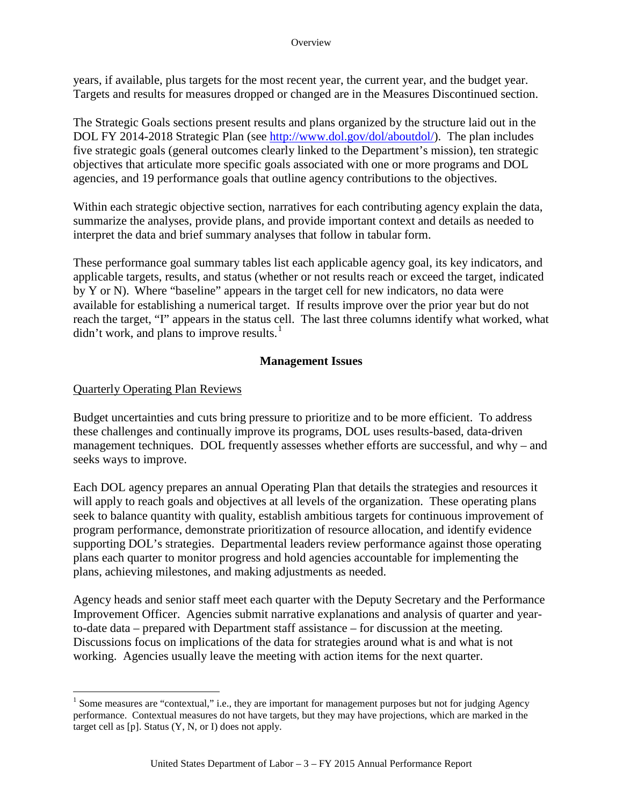#### **Overview**

years, if available, plus targets for the most recent year, the current year, and the budget year. Targets and results for measures dropped or changed are in the Measures Discontinued section.

The Strategic Goals sections present results and plans organized by the structure laid out in the DOL FY 2014-2018 Strategic Plan (see [http://www.dol.gov/dol/aboutdol/\)](http://www.dol.gov/dol/aboutdol/). The plan includes five strategic goals (general outcomes clearly linked to the Department's mission), ten strategic objectives that articulate more specific goals associated with one or more programs and DOL agencies, and 19 performance goals that outline agency contributions to the objectives.

Within each strategic objective section, narratives for each contributing agency explain the data, summarize the analyses, provide plans, and provide important context and details as needed to interpret the data and brief summary analyses that follow in tabular form.

These performance goal summary tables list each applicable agency goal, its key indicators, and applicable targets, results, and status (whether or not results reach or exceed the target, indicated by Y or N). Where "baseline" appears in the target cell for new indicators, no data were available for establishing a numerical target. If results improve over the prior year but do not reach the target, "I" appears in the status cell. The last three columns identify what worked, what didn't work, and plans to improve results. $<sup>1</sup>$  $<sup>1</sup>$  $<sup>1</sup>$ </sup>

### **Management Issues**

### Quarterly Operating Plan Reviews

Budget uncertainties and cuts bring pressure to prioritize and to be more efficient. To address these challenges and continually improve its programs, DOL uses results-based, data-driven management techniques. DOL frequently assesses whether efforts are successful, and why – and seeks ways to improve.

Each DOL agency prepares an annual Operating Plan that details the strategies and resources it will apply to reach goals and objectives at all levels of the organization. These operating plans seek to balance quantity with quality, establish ambitious targets for continuous improvement of program performance, demonstrate prioritization of resource allocation, and identify evidence supporting DOL's strategies. Departmental leaders review performance against those operating plans each quarter to monitor progress and hold agencies accountable for implementing the plans, achieving milestones, and making adjustments as needed.

Agency heads and senior staff meet each quarter with the Deputy Secretary and the Performance Improvement Officer. Agencies submit narrative explanations and analysis of quarter and yearto-date data – prepared with Department staff assistance – for discussion at the meeting. Discussions focus on implications of the data for strategies around what is and what is not working. Agencies usually leave the meeting with action items for the next quarter.

<span id="page-6-0"></span><sup>&</sup>lt;sup>1</sup> Some measures are "contextual," i.e., they are important for management purposes but not for judging Agency performance. Contextual measures do not have targets, but they may have projections, which are marked in the target cell as [p]. Status (Y, N, or I) does not apply.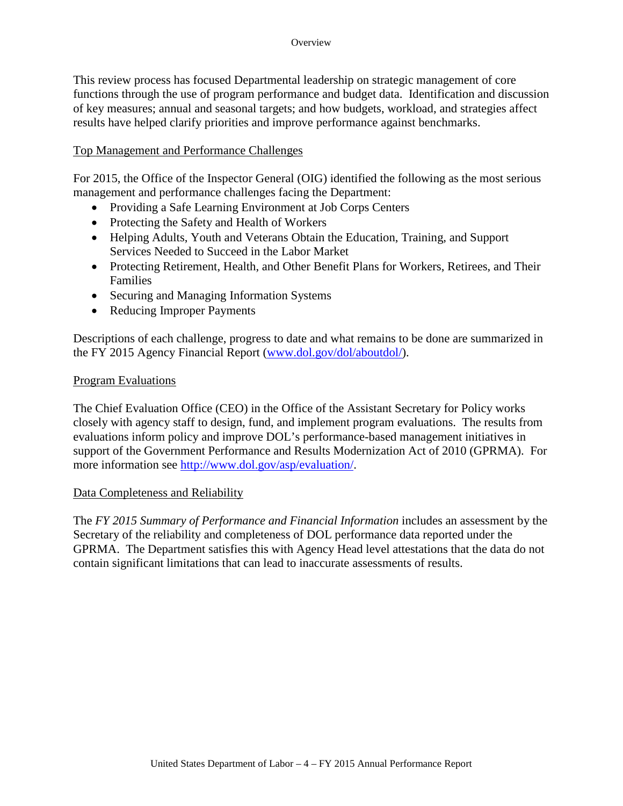This review process has focused Departmental leadership on strategic management of core functions through the use of program performance and budget data. Identification and discussion of key measures; annual and seasonal targets; and how budgets, workload, and strategies affect results have helped clarify priorities and improve performance against benchmarks.

#### Top Management and Performance Challenges

For 2015, the Office of the Inspector General (OIG) identified the following as the most serious management and performance challenges facing the Department:

- Providing a Safe Learning Environment at Job Corps Centers
- Protecting the Safety and Health of Workers
- Helping Adults, Youth and Veterans Obtain the Education, Training, and Support Services Needed to Succeed in the Labor Market
- Protecting Retirement, Health, and Other Benefit Plans for Workers, Retirees, and Their Families
- Securing and Managing Information Systems
- Reducing Improper Payments

Descriptions of each challenge, progress to date and what remains to be done are summarized in the FY 2015 Agency Financial Report [\(www.dol.gov/dol/aboutdol/\)](http://www.dol.gov/dol/aboutdol/).

#### Program Evaluations

The Chief Evaluation Office (CEO) in the Office of the Assistant Secretary for Policy works closely with agency staff to design, fund, and implement program evaluations. The results from evaluations inform policy and improve DOL's performance-based management initiatives in support of the Government Performance and Results Modernization Act of 2010 (GPRMA). For more information see [http://www.dol.gov/asp/evaluation/.](http://www.dol.gov/asp/evaluation/)

#### Data Completeness and Reliability

The *FY 2015 Summary of Performance and Financial Information* includes an assessment by the Secretary of the reliability and completeness of DOL performance data reported under the GPRMA. The Department satisfies this with Agency Head level attestations that the data do not contain significant limitations that can lead to inaccurate assessments of results.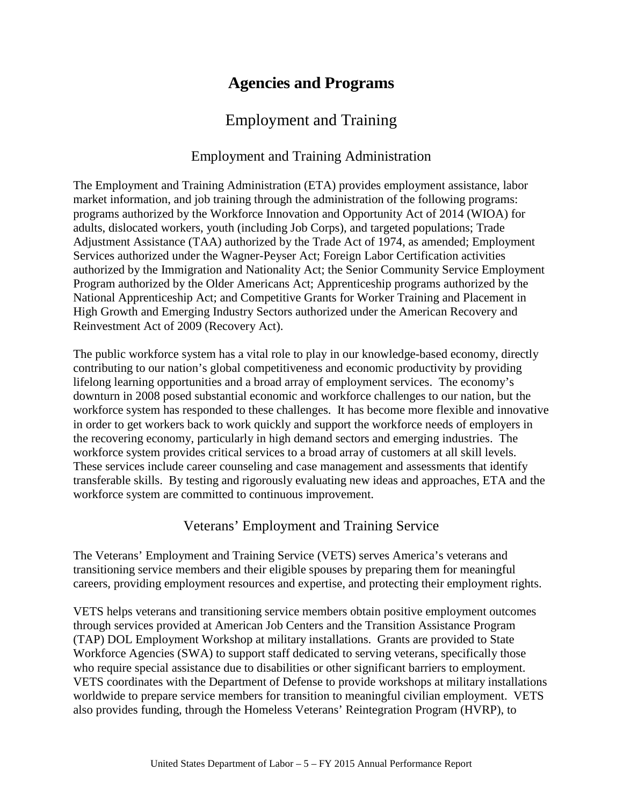# **Agencies and Programs**

# Employment and Training

### Employment and Training Administration

<span id="page-8-0"></span>The Employment and Training Administration (ETA) provides employment assistance, labor market information, and job training through the administration of the following programs: programs authorized by the Workforce Innovation and Opportunity Act of 2014 (WIOA) for adults, dislocated workers, youth (including Job Corps), and targeted populations; Trade Adjustment Assistance (TAA) authorized by the Trade Act of 1974, as amended; Employment Services authorized under the Wagner-Peyser Act; Foreign Labor Certification activities authorized by the Immigration and Nationality Act; the Senior Community Service Employment Program authorized by the Older Americans Act; Apprenticeship programs authorized by the National Apprenticeship Act; and Competitive Grants for Worker Training and Placement in High Growth and Emerging Industry Sectors authorized under the American Recovery and Reinvestment Act of 2009 (Recovery Act).

The public workforce system has a vital role to play in our knowledge-based economy, directly contributing to our nation's global competitiveness and economic productivity by providing lifelong learning opportunities and a broad array of employment services. The economy's downturn in 2008 posed substantial economic and workforce challenges to our nation, but the workforce system has responded to these challenges. It has become more flexible and innovative in order to get workers back to work quickly and support the workforce needs of employers in the recovering economy, particularly in high demand sectors and emerging industries. The workforce system provides critical services to a broad array of customers at all skill levels. These services include career counseling and case management and assessments that identify transferable skills. By testing and rigorously evaluating new ideas and approaches, ETA and the workforce system are committed to continuous improvement.

### Veterans' Employment and Training Service

The Veterans' Employment and Training Service (VETS) serves America's veterans and transitioning service members and their eligible spouses by preparing them for meaningful careers, providing employment resources and expertise, and protecting their employment rights.

VETS helps veterans and transitioning service members obtain positive employment outcomes through services provided at American Job Centers and the Transition Assistance Program (TAP) DOL Employment Workshop at military installations. Grants are provided to State Workforce Agencies (SWA) to support staff dedicated to serving veterans, specifically those who require special assistance due to disabilities or other significant barriers to employment. VETS coordinates with the Department of Defense to provide workshops at military installations worldwide to prepare service members for transition to meaningful civilian employment. VETS also provides funding, through the Homeless Veterans' Reintegration Program (HVRP), to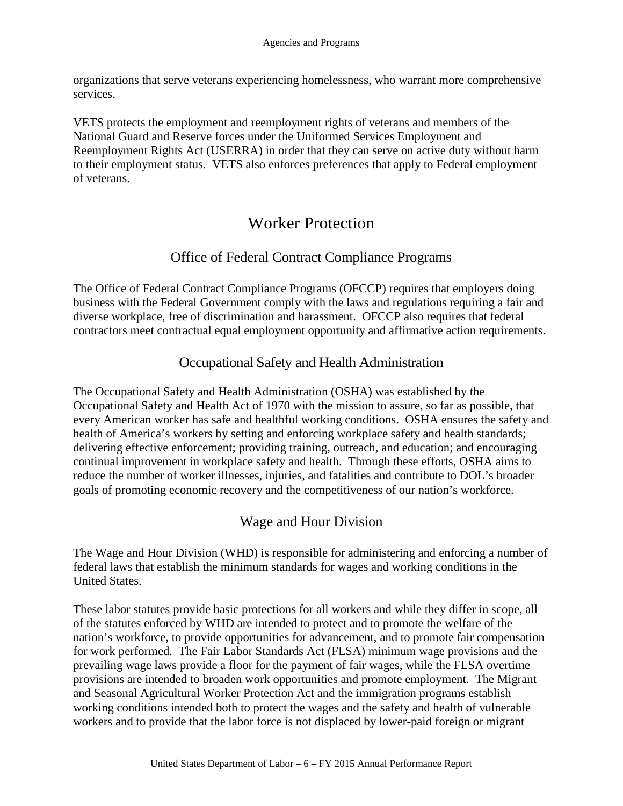<span id="page-9-0"></span>organizations that serve veterans experiencing homelessness, who warrant more comprehensive services.

VETS protects the employment and reemployment rights of veterans and members of the National Guard and Reserve forces under the Uniformed Services Employment and Reemployment Rights Act (USERRA) in order that they can serve on active duty without harm to their employment status. VETS also enforces preferences that apply to Federal employment of veterans.

# Worker Protection

# Office of Federal Contract Compliance Programs

The Office of Federal Contract Compliance Programs (OFCCP) requires that employers doing business with the Federal Government comply with the laws and regulations requiring a fair and diverse workplace, free of discrimination and harassment. OFCCP also requires that federal contractors meet contractual equal employment opportunity and affirmative action requirements.

### Occupational Safety and Health Administration

The Occupational Safety and Health Administration (OSHA) was established by the Occupational Safety and Health Act of 1970 with the mission to assure, so far as possible, that every American worker has safe and healthful working conditions. OSHA ensures the safety and health of America's workers by setting and enforcing workplace safety and health standards; delivering effective enforcement; providing training, outreach, and education; and encouraging continual improvement in workplace safety and health. Through these efforts, OSHA aims to reduce the number of worker illnesses, injuries, and fatalities and contribute to DOL's broader goals of promoting economic recovery and the competitiveness of our nation's workforce.

# Wage and Hour Division

The Wage and Hour Division (WHD) is responsible for administering and enforcing a number of federal laws that establish the minimum standards for wages and working conditions in the United States.

These labor statutes provide basic protections for all workers and while they differ in scope, all of the statutes enforced by WHD are intended to protect and to promote the welfare of the nation's workforce, to provide opportunities for advancement, and to promote fair compensation for work performed. The Fair Labor Standards Act (FLSA) minimum wage provisions and the prevailing wage laws provide a floor for the payment of fair wages, while the FLSA overtime provisions are intended to broaden work opportunities and promote employment. The Migrant and Seasonal Agricultural Worker Protection Act and the immigration programs establish working conditions intended both to protect the wages and the safety and health of vulnerable workers and to provide that the labor force is not displaced by lower-paid foreign or migrant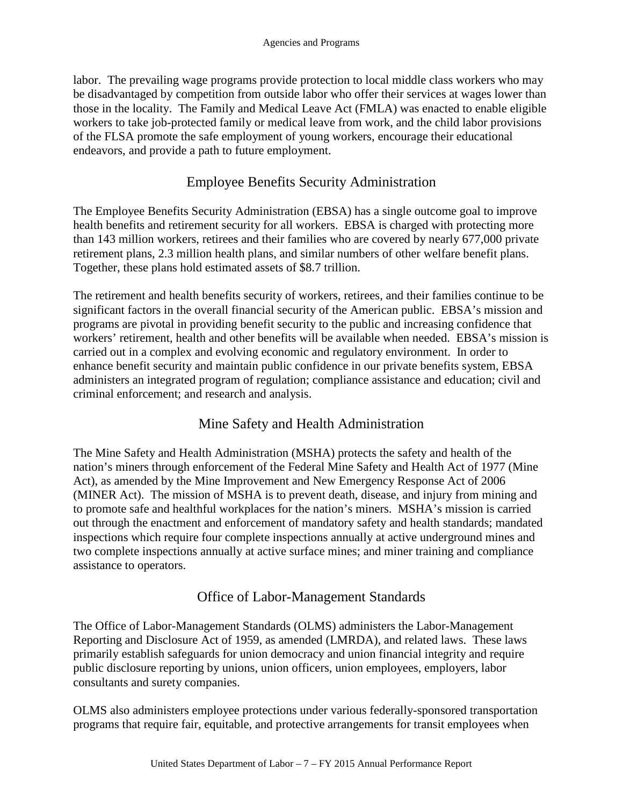<span id="page-10-0"></span>labor. The prevailing wage programs provide protection to local middle class workers who may be disadvantaged by competition from outside labor who offer their services at wages lower than those in the locality. The Family and Medical Leave Act (FMLA) was enacted to enable eligible workers to take job-protected family or medical leave from work, and the child labor provisions of the FLSA promote the safe employment of young workers, encourage their educational endeavors, and provide a path to future employment.

### Employee Benefits Security Administration

The Employee Benefits Security Administration (EBSA) has a single outcome goal to improve health benefits and retirement security for all workers. EBSA is charged with protecting more than 143 million workers, retirees and their families who are covered by nearly 677,000 private retirement plans, 2.3 million health plans, and similar numbers of other welfare benefit plans. Together, these plans hold estimated assets of \$8.7 trillion.

The retirement and health benefits security of workers, retirees, and their families continue to be significant factors in the overall financial security of the American public. EBSA's mission and programs are pivotal in providing benefit security to the public and increasing confidence that workers' retirement, health and other benefits will be available when needed. EBSA's mission is carried out in a complex and evolving economic and regulatory environment. In order to enhance benefit security and maintain public confidence in our private benefits system, EBSA administers an integrated program of regulation; compliance assistance and education; civil and criminal enforcement; and research and analysis.

# Mine Safety and Health Administration

The Mine Safety and Health Administration (MSHA) protects the safety and health of the nation's miners through enforcement of the Federal Mine Safety and Health Act of 1977 (Mine Act), as amended by the Mine Improvement and New Emergency Response Act of 2006 (MINER Act). The mission of MSHA is to prevent death, disease, and injury from mining and to promote safe and healthful workplaces for the nation's miners. MSHA's mission is carried out through the enactment and enforcement of mandatory safety and health standards; mandated inspections which require four complete inspections annually at active underground mines and two complete inspections annually at active surface mines; and miner training and compliance assistance to operators.

### Office of Labor-Management Standards

The Office of Labor-Management Standards (OLMS) administers the Labor-Management Reporting and Disclosure Act of 1959, as amended (LMRDA), and related laws. These laws primarily establish safeguards for union democracy and union financial integrity and require public disclosure reporting by unions, union officers, union employees, employers, labor consultants and surety companies.

OLMS also administers employee protections under various federally-sponsored transportation programs that require fair, equitable, and protective arrangements for transit employees when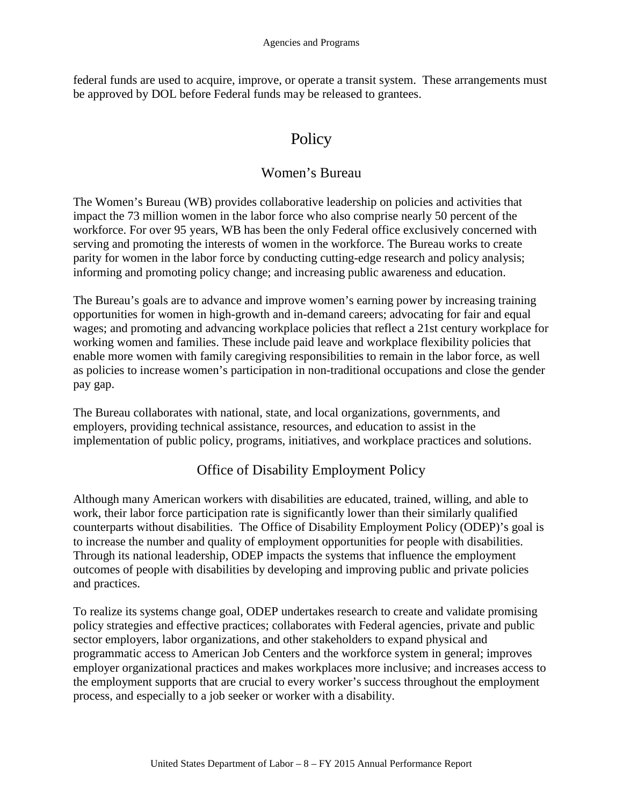<span id="page-11-0"></span>federal funds are used to acquire, improve, or operate a transit system. These arrangements must be approved by DOL before Federal funds may be released to grantees.

# **Policy**

### Women's Bureau

The Women's Bureau (WB) provides collaborative leadership on policies and activities that impact the 73 million women in the labor force who also comprise nearly 50 percent of the workforce. For over 95 years, WB has been the only Federal office exclusively concerned with serving and promoting the interests of women in the workforce. The Bureau works to create parity for women in the labor force by conducting cutting-edge research and policy analysis; informing and promoting policy change; and increasing public awareness and education.

The Bureau's goals are to advance and improve women's earning power by increasing training opportunities for women in high-growth and in-demand careers; advocating for fair and equal wages; and promoting and advancing workplace policies that reflect a 21st century workplace for working women and families. These include paid leave and workplace flexibility policies that enable more women with family caregiving responsibilities to remain in the labor force, as well as policies to increase women's participation in non-traditional occupations and close the gender pay gap.

The Bureau collaborates with national, state, and local organizations, governments, and employers, providing technical assistance, resources, and education to assist in the implementation of public policy, programs, initiatives, and workplace practices and solutions.

### Office of Disability Employment Policy

Although many American workers with disabilities are educated, trained, willing, and able to work, their labor force participation rate is significantly lower than their similarly qualified counterparts without disabilities. The Office of Disability Employment Policy (ODEP)'s goal is to increase the number and quality of employment opportunities for people with disabilities. Through its national leadership, ODEP impacts the systems that influence the employment outcomes of people with disabilities by developing and improving public and private policies and practices.

To realize its systems change goal, ODEP undertakes research to create and validate promising policy strategies and effective practices; collaborates with Federal agencies, private and public sector employers, labor organizations, and other stakeholders to expand physical and programmatic access to American Job Centers and the workforce system in general; improves employer organizational practices and makes workplaces more inclusive; and increases access to the employment supports that are crucial to every worker's success throughout the employment process, and especially to a job seeker or worker with a disability.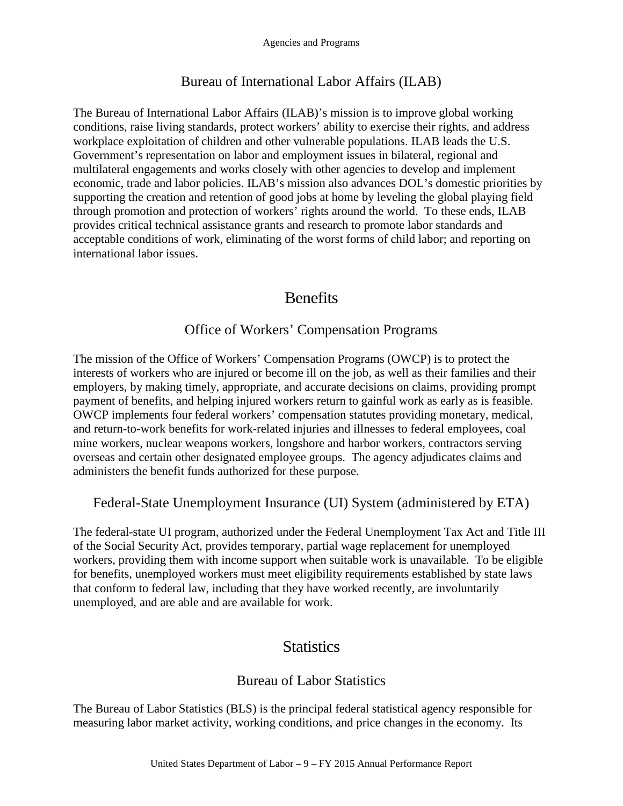### Bureau of International Labor Affairs (ILAB)

<span id="page-12-0"></span>The Bureau of International Labor Affairs (ILAB)'s mission is to improve global working conditions, raise living standards, protect workers' ability to exercise their rights, and address workplace exploitation of children and other vulnerable populations. ILAB leads the U.S. Government's representation on labor and employment issues in bilateral, regional and multilateral engagements and works closely with other agencies to develop and implement economic, trade and labor policies. ILAB's mission also advances DOL's domestic priorities by supporting the creation and retention of good jobs at home by leveling the global playing field through promotion and protection of workers' rights around the world. To these ends, ILAB provides critical technical assistance grants and research to promote labor standards and acceptable conditions of work, eliminating of the worst forms of child labor; and reporting on international labor issues.

# **Benefits**

# Office of Workers' Compensation Programs

The mission of the Office of Workers' Compensation Programs (OWCP) is to protect the interests of workers who are injured or become ill on the job, as well as their families and their employers, by making timely, appropriate, and accurate decisions on claims, providing prompt payment of benefits, and helping injured workers return to gainful work as early as is feasible. OWCP implements four federal workers' compensation statutes providing monetary, medical, and return-to-work benefits for work-related injuries and illnesses to federal employees, coal mine workers, nuclear weapons workers, longshore and harbor workers, contractors serving overseas and certain other designated employee groups. The agency adjudicates claims and administers the benefit funds authorized for these purpose.

Federal-State Unemployment Insurance (UI) System (administered by ETA)

The federal-state UI program, authorized under the Federal Unemployment Tax Act and Title III of the Social Security Act, provides temporary, partial wage replacement for unemployed workers, providing them with income support when suitable work is unavailable. To be eligible for benefits, unemployed workers must meet eligibility requirements established by state laws that conform to federal law, including that they have worked recently, are involuntarily unemployed, and are able and are available for work.

# **Statistics**

### Bureau of Labor Statistics

The Bureau of Labor Statistics (BLS) is the principal federal statistical agency responsible for measuring labor market activity, working conditions, and price changes in the economy. Its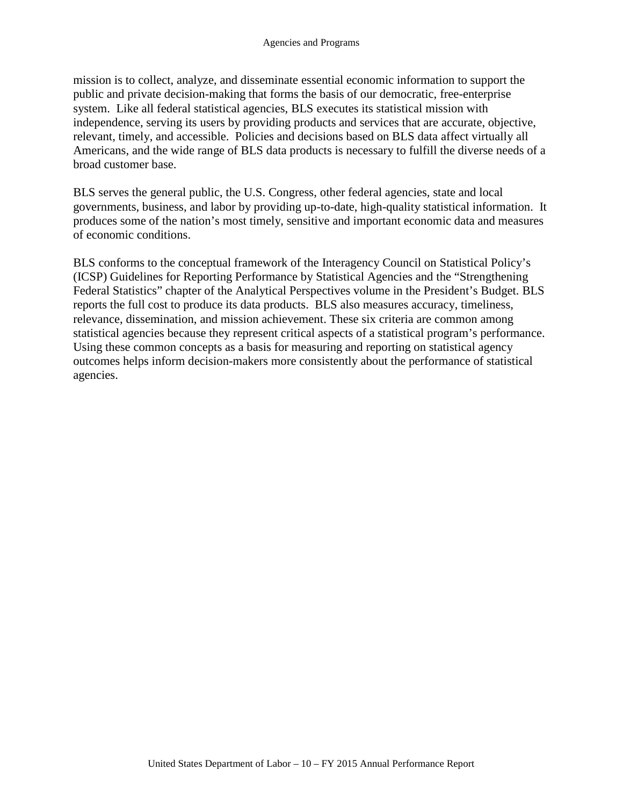mission is to collect, analyze, and disseminate essential economic information to support the public and private decision-making that forms the basis of our democratic, free-enterprise system. Like all federal statistical agencies, BLS executes its statistical mission with independence, serving its users by providing products and services that are accurate, objective, relevant, timely, and accessible. Policies and decisions based on BLS data affect virtually all Americans, and the wide range of BLS data products is necessary to fulfill the diverse needs of a broad customer base.

BLS serves the general public, the U.S. Congress, other federal agencies, state and local governments, business, and labor by providing up-to-date, high-quality statistical information. It produces some of the nation's most timely, sensitive and important economic data and measures of economic conditions.

BLS conforms to the conceptual framework of the Interagency Council on Statistical Policy's (ICSP) Guidelines for Reporting Performance by Statistical Agencies and the "Strengthening Federal Statistics" chapter of the Analytical Perspectives volume in the President's Budget. BLS reports the full cost to produce its data products. BLS also measures accuracy, timeliness, relevance, dissemination, and mission achievement. These six criteria are common among statistical agencies because they represent critical aspects of a statistical program's performance. Using these common concepts as a basis for measuring and reporting on statistical agency outcomes helps inform decision-makers more consistently about the performance of statistical agencies.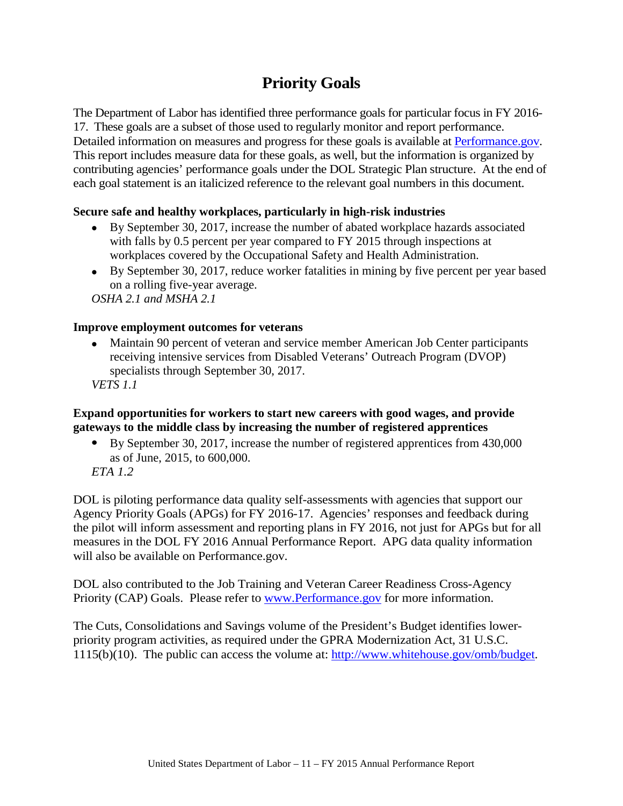# **Priority Goals**

<span id="page-14-0"></span>The Department of Labor has identified three performance goals for particular focus in FY 2016- 17. These goals are a subset of those used to regularly monitor and report performance. Detailed information on measures and progress for these goals is available at [Performance.gov.](http://www.performance.gov/) This report includes measure data for these goals, as well, but the information is organized by contributing agencies' performance goals under the DOL Strategic Plan structure. At the end of each goal statement is an italicized reference to the relevant goal numbers in this document.

### **Secure safe and healthy workplaces, particularly in high-risk industries**

- By September 30, 2017, increase the number of abated workplace hazards associated with falls by 0.5 percent per year compared to FY 2015 through inspections at workplaces covered by the Occupational Safety and Health Administration.
- By September 30, 2017, reduce worker fatalities in mining by five percent per year based on a rolling five-year average.

*OSHA 2.1 and MSHA 2.1*

### **Improve employment outcomes for veterans**

• Maintain 90 percent of veteran and service member American Job Center participants receiving intensive services from Disabled Veterans' Outreach Program (DVOP) specialists through September 30, 2017.

*VETS 1.1*

### **Expand opportunities for workers to start new careers with good wages, and provide gateways to the middle class by increasing the number of registered apprentices**

• By September 30, 2017, increase the number of registered apprentices from 430,000 as of June, 2015, to 600,000.

*ETA 1.2*

DOL is piloting performance data quality self-assessments with agencies that support our Agency Priority Goals (APGs) for FY 2016-17. Agencies' responses and feedback during the pilot will inform assessment and reporting plans in FY 2016, not just for APGs but for all measures in the DOL FY 2016 Annual Performance Report. APG data quality information will also be available on Performance.gov.

DOL also contributed to the Job Training and Veteran Career Readiness Cross-Agency Priority (CAP) Goals. Please refer to [www.Performance.gov](http://www.performance.gov/) for more information.

The Cuts, Consolidations and Savings volume of the President's Budget identifies lowerpriority program activities, as required under the GPRA Modernization Act, 31 U.S.C. 1115(b)(10). The public can access the volume at: [http://www.whitehouse.gov/omb/budget.](http://www.whitehouse.gov/omb/budget)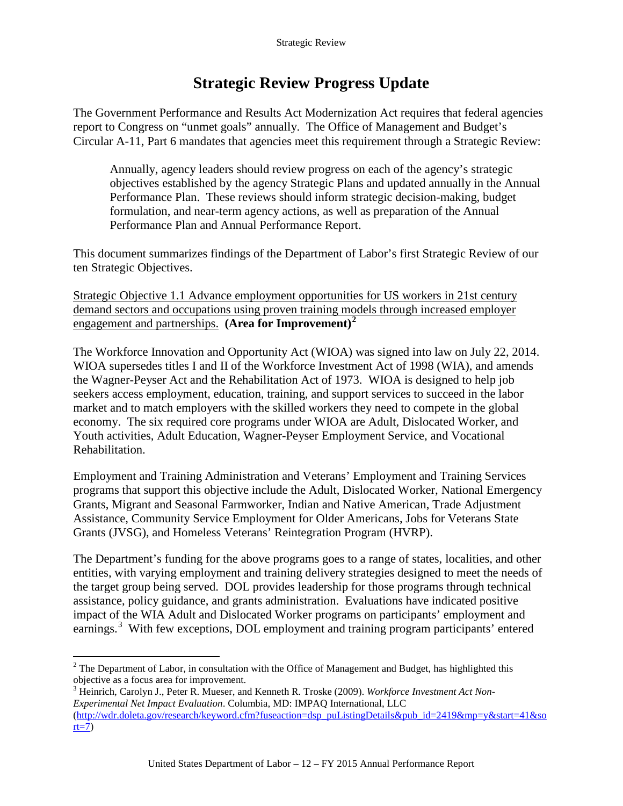# **Strategic Review Progress Update**

<span id="page-15-0"></span>The Government Performance and Results Act Modernization Act requires that federal agencies report to Congress on "unmet goals" annually. The Office of Management and Budget's Circular A-11, Part 6 mandates that agencies meet this requirement through a Strategic Review:

Annually, agency leaders should review progress on each of the agency's strategic objectives established by the agency Strategic Plans and updated annually in the Annual Performance Plan. These reviews should inform strategic decision-making, budget formulation, and near-term agency actions, as well as preparation of the Annual Performance Plan and Annual Performance Report.

This document summarizes findings of the Department of Labor's first Strategic Review of our ten Strategic Objectives.

Strategic Objective 1.1 Advance employment opportunities for US workers in 21st century demand sectors and occupations using proven training models through increased employer engagement and partnerships. **(Area for Improvement)[2](#page-15-1)**

The Workforce Innovation and Opportunity Act (WIOA) was signed into law on July 22, 2014. WIOA supersedes titles I and II of the Workforce Investment Act of 1998 (WIA), and amends the Wagner-Peyser Act and the Rehabilitation Act of 1973. WIOA is designed to help job seekers access employment, education, training, and support services to succeed in the labor market and to match employers with the skilled workers they need to compete in the global economy. The six required core programs under WIOA are Adult, Dislocated Worker, and Youth activities, Adult Education, Wagner-Peyser Employment Service, and Vocational Rehabilitation.

Employment and Training Administration and Veterans' Employment and Training Services programs that support this objective include the Adult, Dislocated Worker, National Emergency Grants, Migrant and Seasonal Farmworker, Indian and Native American, Trade Adjustment Assistance, Community Service Employment for Older Americans, Jobs for Veterans State Grants (JVSG), and Homeless Veterans' Reintegration Program (HVRP).

The Department's funding for the above programs goes to a range of states, localities, and other entities, with varying employment and training delivery strategies designed to meet the needs of the target group being served. DOL provides leadership for those programs through technical assistance, policy guidance, and grants administration. Evaluations have indicated positive impact of the WIA Adult and Dislocated Worker programs on participants' employment and earnings.<sup>[3](#page-15-2)</sup> With few exceptions, DOL employment and training program participants' entered

<span id="page-15-1"></span> $2$  The Department of Labor, in consultation with the Office of Management and Budget, has highlighted this objective as a focus area for improvement.

<span id="page-15-2"></span><sup>3</sup> Heinrich, Carolyn J., Peter R. Mueser, and Kenneth R. Troske (2009). *Workforce Investment Act Non-Experimental Net Impact Evaluation*. Columbia, MD: IMPAQ International, LLC [\(http://wdr.doleta.gov/research/keyword.cfm?fuseaction=dsp\\_puListingDetails&pub\\_id=2419&mp=y&start=41&so](http://wdr.doleta.gov/research/keyword.cfm?fuseaction=dsp_puListingDetails&pub_id=2419&mp=y&start=41&sort=7)  $rt=7$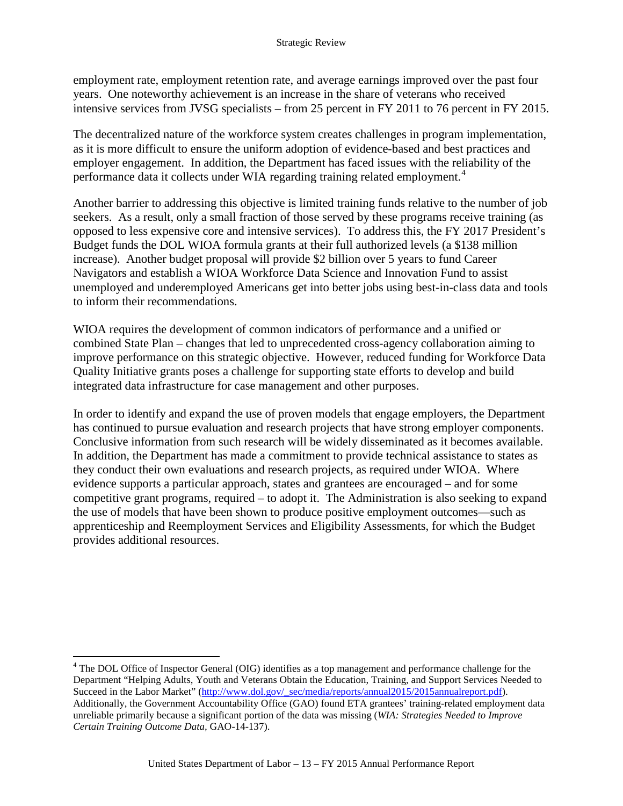employment rate, employment retention rate, and average earnings improved over the past four years. One noteworthy achievement is an increase in the share of veterans who received intensive services from JVSG specialists – from 25 percent in FY 2011 to 76 percent in FY 2015.

The decentralized nature of the workforce system creates challenges in program implementation, as it is more difficult to ensure the uniform adoption of evidence-based and best practices and employer engagement. In addition, the Department has faced issues with the reliability of the performance data it collects under WIA regarding training related employment. [4](#page-16-0)

Another barrier to addressing this objective is limited training funds relative to the number of job seekers. As a result, only a small fraction of those served by these programs receive training (as opposed to less expensive core and intensive services). To address this, the FY 2017 President's Budget funds the DOL WIOA formula grants at their full authorized levels (a \$138 million increase). Another budget proposal will provide \$2 billion over 5 years to fund Career Navigators and establish a WIOA Workforce Data Science and Innovation Fund to assist unemployed and underemployed Americans get into better jobs using best-in-class data and tools to inform their recommendations.

WIOA requires the development of common indicators of performance and a unified or combined State Plan – changes that led to unprecedented cross-agency collaboration aiming to improve performance on this strategic objective. However, reduced funding for Workforce Data Quality Initiative grants poses a challenge for supporting state efforts to develop and build integrated data infrastructure for case management and other purposes.

In order to identify and expand the use of proven models that engage employers, the Department has continued to pursue evaluation and research projects that have strong employer components. Conclusive information from such research will be widely disseminated as it becomes available. In addition, the Department has made a commitment to provide technical assistance to states as they conduct their own evaluations and research projects, as required under WIOA. Where evidence supports a particular approach, states and grantees are encouraged – and for some competitive grant programs, required – to adopt it. The Administration is also seeking to expand the use of models that have been shown to produce positive employment outcomes—such as apprenticeship and Reemployment Services and Eligibility Assessments, for which the Budget provides additional resources.

<span id="page-16-0"></span> <sup>4</sup> The DOL Office of Inspector General (OIG) identifies as a top management and performance challenge for the Department "Helping Adults, Youth and Veterans Obtain the Education, Training, and Support Services Needed to Succeed in the Labor Market" [\(http://www.dol.gov/\\_sec/media/reports/annual2015/2015annualreport.pdf\)](http://www.dol.gov/_sec/media/reports/annual2015/2015annualreport.pdf). Additionally, the Government Accountability Office (GAO) found ETA grantees' training-related employment data unreliable primarily because a significant portion of the data was missing (*WIA: Strategies Needed to Improve Certain Training Outcome Data,* GAO-14-137).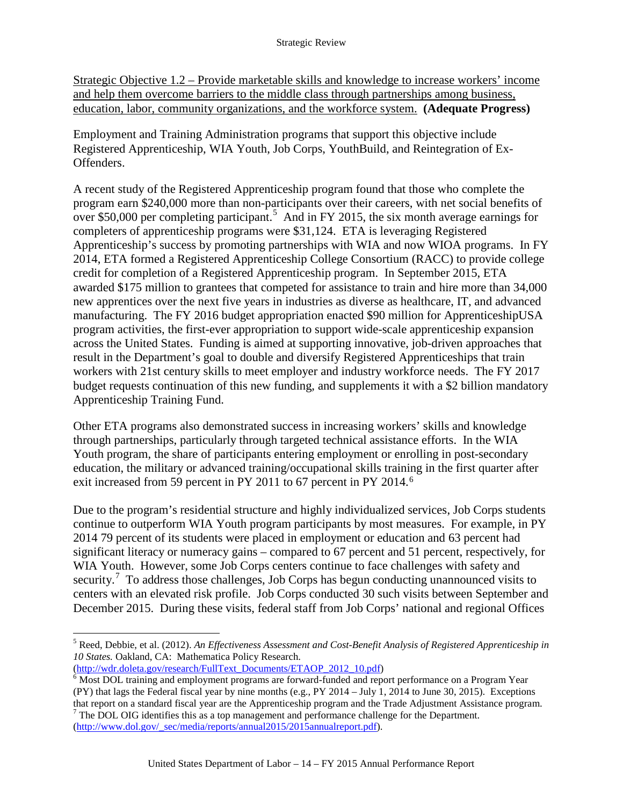Strategic Objective 1.2 – Provide marketable skills and knowledge to increase workers' income and help them overcome barriers to the middle class through partnerships among business, education, labor, community organizations, and the workforce system. **(Adequate Progress)**

Employment and Training Administration programs that support this objective include Registered Apprenticeship, WIA Youth, Job Corps, YouthBuild, and Reintegration of Ex-Offenders.

A recent study of the Registered Apprenticeship program found that those who complete the program earn \$240,000 more than non-participants over their careers, with net social benefits of over \$[5](#page-17-0)0,000 per completing participant.<sup>5</sup> And in FY 2015, the six month average earnings for completers of apprenticeship programs were \$31,124. ETA is leveraging Registered Apprenticeship's success by promoting partnerships with WIA and now WIOA programs. In FY 2014, ETA formed a Registered Apprenticeship College Consortium (RACC) to provide college credit for completion of a Registered Apprenticeship program. In September 2015, ETA awarded \$175 million to grantees that competed for assistance to train and hire more than 34,000 new apprentices over the next five years in industries as diverse as healthcare, IT, and advanced manufacturing. The FY 2016 budget appropriation enacted \$90 million for ApprenticeshipUSA program activities, the first-ever appropriation to support wide-scale apprenticeship expansion across the United States. Funding is aimed at supporting innovative, job-driven approaches that result in the Department's goal to double and diversify Registered Apprenticeships that train workers with 21st century skills to meet employer and industry workforce needs. The FY 2017 budget requests continuation of this new funding, and supplements it with a \$2 billion mandatory Apprenticeship Training Fund.

Other ETA programs also demonstrated success in increasing workers' skills and knowledge through partnerships, particularly through targeted technical assistance efforts. In the WIA Youth program, the share of participants entering employment or enrolling in post-secondary education, the military or advanced training/occupational skills training in the first quarter after exit increased from 59 percent in PY 2011 to [6](#page-17-1)7 percent in PY 2014.<sup>6</sup>

Due to the program's residential structure and highly individualized services, Job Corps students continue to outperform WIA Youth program participants by most measures. For example, in PY 2014 79 percent of its students were placed in employment or education and 63 percent had significant literacy or numeracy gains – compared to 67 percent and 51 percent, respectively, for WIA Youth. However, some Job Corps centers continue to face challenges with safety and security.<sup>[7](#page-17-2)</sup> To address those challenges, Job Corps has begun conducting unannounced visits to centers with an elevated risk profile. Job Corps conducted 30 such visits between September and December 2015. During these visits, federal staff from Job Corps' national and regional Offices

<span id="page-17-0"></span> <sup>5</sup> Reed, Debbie, et al. (2012). *An Effectiveness Assessment and Cost-Benefit Analysis of Registered Apprenticeship in 10 States.* Oakland, CA: Mathematica Policy Research.

<span id="page-17-1"></span> $\overline{\text{Most}}$  DOL training and employment programs are forward-funded and report performance on a Program Year (PY) that lags the Federal fiscal year by nine months (e.g., PY 2014 – July 1, 2014 to June 30, 2015). Exceptions

<span id="page-17-2"></span>that report on a standard fiscal year are the Apprenticeship program and the Trade Adjustment Assistance program. <sup>7</sup> The DOL OIG identifies this as a top management and performance challenge for the Department. [\(http://www.dol.gov/\\_sec/media/reports/annual2015/2015annualreport.pdf\)](http://www.dol.gov/_sec/media/reports/annual2015/2015annualreport.pdf).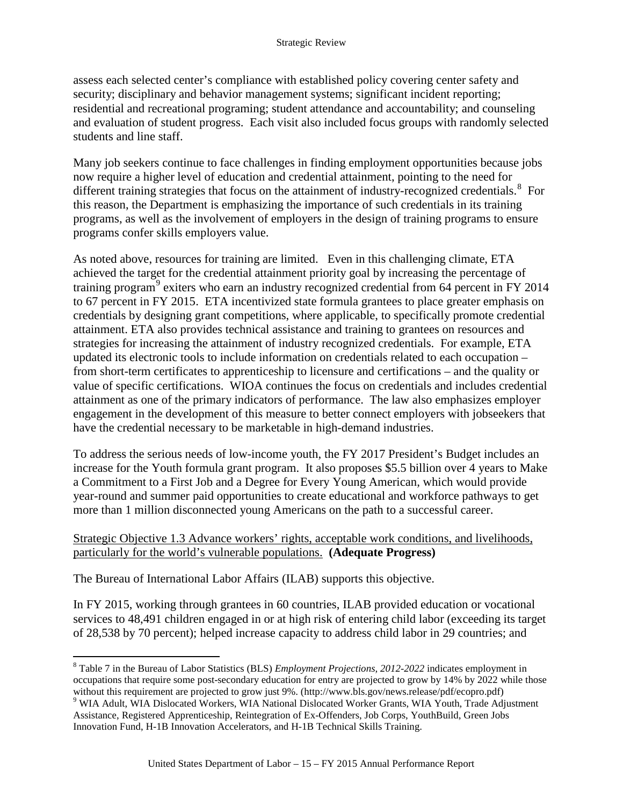assess each selected center's compliance with established policy covering center safety and security; disciplinary and behavior management systems; significant incident reporting; residential and recreational programing; student attendance and accountability; and counseling and evaluation of student progress. Each visit also included focus groups with randomly selected students and line staff.

Many job seekers continue to face challenges in finding employment opportunities because jobs now require a higher level of education and credential attainment, pointing to the need for different training strategies that focus on the attainment of industry-recognized credentials.<sup>[8](#page-18-0)</sup> For this reason, the Department is emphasizing the importance of such credentials in its training programs, as well as the involvement of employers in the design of training programs to ensure programs confer skills employers value.

As noted above, resources for training are limited. Even in this challenging climate, ETA achieved the target for the credential attainment priority goal by increasing the percentage of training program<sup>[9](#page-18-1)</sup> exiters who earn an industry recognized credential from 64 percent in FY 2014 to 67 percent in FY 2015. ETA incentivized state formula grantees to place greater emphasis on credentials by designing grant competitions, where applicable, to specifically promote credential attainment. ETA also provides technical assistance and training to grantees on resources and strategies for increasing the attainment of industry recognized credentials. For example, ETA updated its electronic tools to include information on credentials related to each occupation – from short-term certificates to apprenticeship to licensure and certifications – and the quality or value of specific certifications. WIOA continues the focus on credentials and includes credential attainment as one of the primary indicators of performance. The law also emphasizes employer engagement in the development of this measure to better connect employers with jobseekers that have the credential necessary to be marketable in high-demand industries.

To address the serious needs of low-income youth, the FY 2017 President's Budget includes an increase for the Youth formula grant program. It also proposes \$5.5 billion over 4 years to Make a Commitment to a First Job and a Degree for Every Young American, which would provide year-round and summer paid opportunities to create educational and workforce pathways to get more than 1 million disconnected young Americans on the path to a successful career.

### Strategic Objective 1.3 Advance workers' rights, acceptable work conditions, and livelihoods, particularly for the world's vulnerable populations. **(Adequate Progress)**

The Bureau of International Labor Affairs (ILAB) supports this objective.

In FY 2015, working through grantees in 60 countries, ILAB provided education or vocational services to 48,491 children engaged in or at high risk of entering child labor (exceeding its target of 28,538 by 70 percent); helped increase capacity to address child labor in 29 countries; and

<span id="page-18-0"></span> <sup>8</sup> Table 7 in the Bureau of Labor Statistics (BLS) *Employment Projections, 2012-2022* indicates employment in occupations that require some post-secondary education for entry are projected to grow by 14% by 2022 while those without this requirement are projected to grow just 9%. (http://www.bls.gov/news.release/pdf/ecopro.pdf)

<span id="page-18-1"></span><sup>&</sup>lt;sup>9</sup> WIA Adult, WIA Dislocated Workers, WIA National Dislocated Worker Grants, WIA Youth, Trade Adjustment Assistance, Registered Apprenticeship, Reintegration of Ex-Offenders, Job Corps, YouthBuild, Green Jobs Innovation Fund, H-1B Innovation Accelerators, and H-1B Technical Skills Training.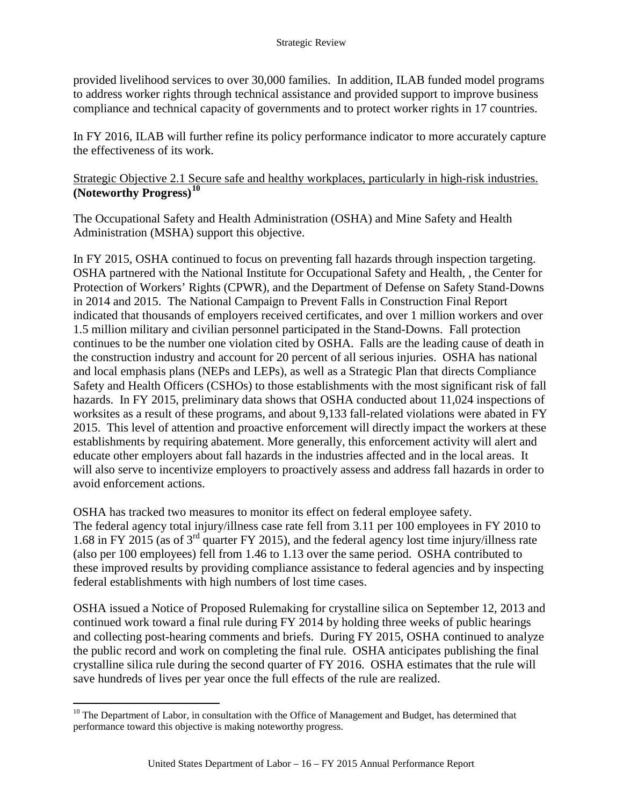provided livelihood services to over 30,000 families. In addition, ILAB funded model programs to address worker rights through technical assistance and provided support to improve business compliance and technical capacity of governments and to protect worker rights in 17 countries.

In FY 2016, ILAB will further refine its policy performance indicator to more accurately capture the effectiveness of its work.

Strategic Objective 2.1 Secure safe and healthy workplaces, particularly in high-risk industries. **(Noteworthy Progress)[10](#page-19-0)**

The Occupational Safety and Health Administration (OSHA) and Mine Safety and Health Administration (MSHA) support this objective.

In FY 2015, OSHA continued to focus on preventing fall hazards through inspection targeting. OSHA partnered with the National Institute for Occupational Safety and Health, , the Center for Protection of Workers' Rights (CPWR), and the Department of Defense on Safety Stand-Downs in 2014 and 2015. The National Campaign to Prevent Falls in Construction Final Report indicated that thousands of employers received certificates, and over 1 million workers and over 1.5 million military and civilian personnel participated in the Stand-Downs. Fall protection continues to be the number one violation cited by OSHA. Falls are the leading cause of death in the construction industry and account for 20 percent of all serious injuries. OSHA has national and local emphasis plans (NEPs and LEPs), as well as a Strategic Plan that directs Compliance Safety and Health Officers (CSHOs) to those establishments with the most significant risk of fall hazards. In FY 2015, preliminary data shows that OSHA conducted about 11,024 inspections of worksites as a result of these programs, and about 9,133 fall-related violations were abated in FY 2015. This level of attention and proactive enforcement will directly impact the workers at these establishments by requiring abatement. More generally, this enforcement activity will alert and educate other employers about fall hazards in the industries affected and in the local areas. It will also serve to incentivize employers to proactively assess and address fall hazards in order to avoid enforcement actions.

OSHA has tracked two measures to monitor its effect on federal employee safety. The federal agency total injury/illness case rate fell from 3.11 per 100 employees in FY 2010 to 1.68 in FY 2015 (as of 3rd quarter FY 2015), and the federal agency lost time injury/illness rate (also per 100 employees) fell from 1.46 to 1.13 over the same period. OSHA contributed to these improved results by providing compliance assistance to federal agencies and by inspecting federal establishments with high numbers of lost time cases.

OSHA issued a Notice of Proposed Rulemaking for crystalline silica on September 12, 2013 and continued work toward a final rule during FY 2014 by holding three weeks of public hearings and collecting post-hearing comments and briefs. During FY 2015, OSHA continued to analyze the public record and work on completing the final rule. OSHA anticipates publishing the final crystalline silica rule during the second quarter of FY 2016. OSHA estimates that the rule will save hundreds of lives per year once the full effects of the rule are realized.

<span id="page-19-0"></span> $10$  The Department of Labor, in consultation with the Office of Management and Budget, has determined that performance toward this objective is making noteworthy progress.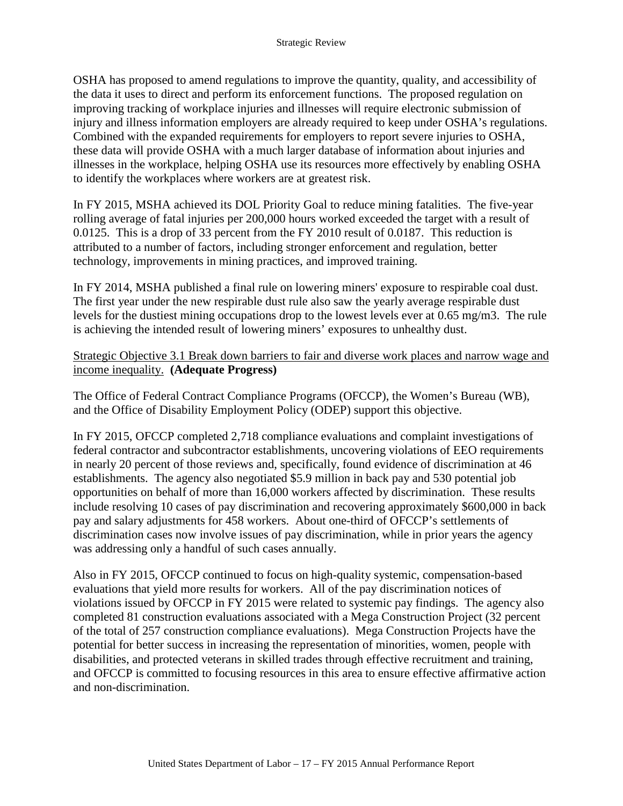OSHA has proposed to amend regulations to improve the quantity, quality, and accessibility of the data it uses to direct and perform its enforcement functions. The proposed regulation on improving tracking of workplace injuries and illnesses will require electronic submission of injury and illness information employers are already required to keep under OSHA's regulations. Combined with the expanded requirements for employers to report severe injuries to OSHA, these data will provide OSHA with a much larger database of information about injuries and illnesses in the workplace, helping OSHA use its resources more effectively by enabling OSHA to identify the workplaces where workers are at greatest risk.

In FY 2015, MSHA achieved its DOL Priority Goal to reduce mining fatalities. The five-year rolling average of fatal injuries per 200,000 hours worked exceeded the target with a result of 0.0125. This is a drop of 33 percent from the FY 2010 result of 0.0187. This reduction is attributed to a number of factors, including stronger enforcement and regulation, better technology, improvements in mining practices, and improved training.

In FY 2014, MSHA published a final rule on lowering miners' exposure to respirable coal dust. The first year under the new respirable dust rule also saw the yearly average respirable dust levels for the dustiest mining occupations drop to the lowest levels ever at 0.65 mg/m3. The rule is achieving the intended result of lowering miners' exposures to unhealthy dust.

Strategic Objective 3.1 Break down barriers to fair and diverse work places and narrow wage and income inequality. **(Adequate Progress)**

The Office of Federal Contract Compliance Programs (OFCCP), the Women's Bureau (WB), and the Office of Disability Employment Policy (ODEP) support this objective.

In FY 2015, OFCCP completed 2,718 compliance evaluations and complaint investigations of federal contractor and subcontractor establishments, uncovering violations of EEO requirements in nearly 20 percent of those reviews and, specifically, found evidence of discrimination at 46 establishments. The agency also negotiated \$5.9 million in back pay and 530 potential job opportunities on behalf of more than 16,000 workers affected by discrimination. These results include resolving 10 cases of pay discrimination and recovering approximately \$600,000 in back pay and salary adjustments for 458 workers. About one-third of OFCCP's settlements of discrimination cases now involve issues of pay discrimination, while in prior years the agency was addressing only a handful of such cases annually.

Also in FY 2015, OFCCP continued to focus on high-quality systemic, compensation-based evaluations that yield more results for workers. All of the pay discrimination notices of violations issued by OFCCP in FY 2015 were related to systemic pay findings. The agency also completed 81 construction evaluations associated with a Mega Construction Project (32 percent of the total of 257 construction compliance evaluations). Mega Construction Projects have the potential for better success in increasing the representation of minorities, women, people with disabilities, and protected veterans in skilled trades through effective recruitment and training, and OFCCP is committed to focusing resources in this area to ensure effective affirmative action and non-discrimination.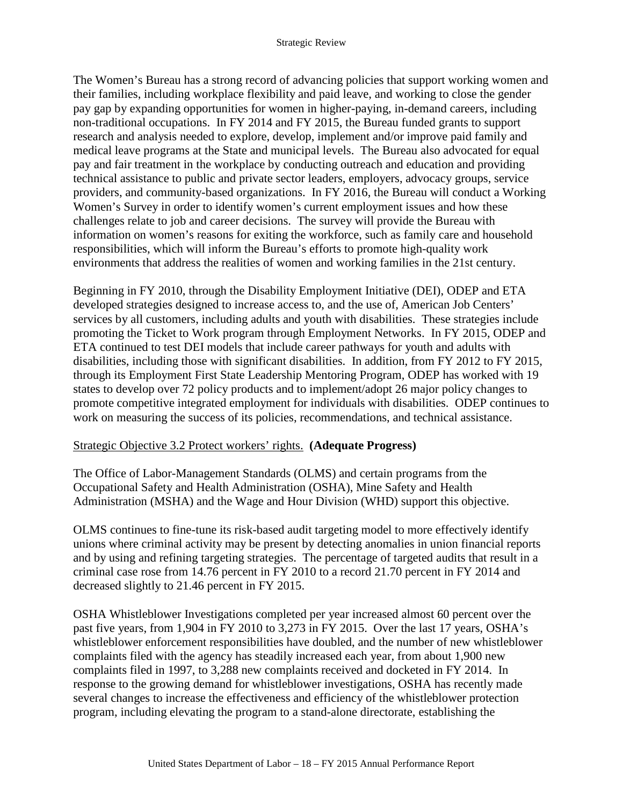The Women's Bureau has a strong record of advancing policies that support working women and their families, including workplace flexibility and paid leave, and working to close the gender pay gap by expanding opportunities for women in higher-paying, in-demand careers, including non-traditional occupations. In FY 2014 and FY 2015, the Bureau funded grants to support research and analysis needed to explore, develop, implement and/or improve paid family and medical leave programs at the State and municipal levels. The Bureau also advocated for equal pay and fair treatment in the workplace by conducting outreach and education and providing technical assistance to public and private sector leaders, employers, advocacy groups, service providers, and community-based organizations. In FY 2016, the Bureau will conduct a Working Women's Survey in order to identify women's current employment issues and how these challenges relate to job and career decisions. The survey will provide the Bureau with information on women's reasons for exiting the workforce, such as family care and household responsibilities, which will inform the Bureau's efforts to promote high-quality work environments that address the realities of women and working families in the 21st century.

Beginning in FY 2010, through the Disability Employment Initiative (DEI), ODEP and ETA developed strategies designed to increase access to, and the use of, American Job Centers' services by all customers, including adults and youth with disabilities. These strategies include promoting the Ticket to Work program through Employment Networks. In FY 2015, ODEP and ETA continued to test DEI models that include career pathways for youth and adults with disabilities, including those with significant disabilities. In addition, from FY 2012 to FY 2015, through its Employment First State Leadership Mentoring Program, ODEP has worked with 19 states to develop over 72 policy products and to implement/adopt 26 major policy changes to promote competitive integrated employment for individuals with disabilities. ODEP continues to work on measuring the success of its policies, recommendations, and technical assistance.

### Strategic Objective 3.2 Protect workers' rights. **(Adequate Progress)**

The Office of Labor-Management Standards (OLMS) and certain programs from the Occupational Safety and Health Administration (OSHA), Mine Safety and Health Administration (MSHA) and the Wage and Hour Division (WHD) support this objective.

OLMS continues to fine-tune its risk-based audit targeting model to more effectively identify unions where criminal activity may be present by detecting anomalies in union financial reports and by using and refining targeting strategies. The percentage of targeted audits that result in a criminal case rose from 14.76 percent in FY 2010 to a record 21.70 percent in FY 2014 and decreased slightly to 21.46 percent in FY 2015.

OSHA Whistleblower Investigations completed per year increased almost 60 percent over the past five years, from 1,904 in FY 2010 to 3,273 in FY 2015. Over the last 17 years, OSHA's whistleblower enforcement responsibilities have doubled, and the number of new whistleblower complaints filed with the agency has steadily increased each year, from about 1,900 new complaints filed in 1997, to 3,288 new complaints received and docketed in FY 2014. In response to the growing demand for whistleblower investigations, OSHA has recently made several changes to increase the effectiveness and efficiency of the whistleblower protection program, including elevating the program to a stand-alone directorate, establishing the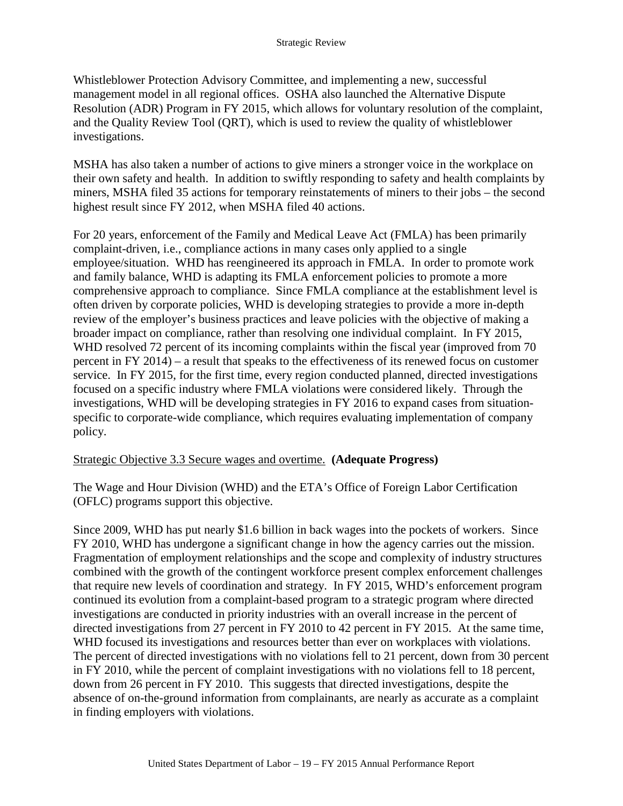Whistleblower Protection Advisory Committee, and implementing a new, successful management model in all regional offices. OSHA also launched the Alternative Dispute Resolution (ADR) Program in FY 2015, which allows for voluntary resolution of the complaint, and the Quality Review Tool (QRT), which is used to review the quality of whistleblower investigations.

MSHA has also taken a number of actions to give miners a stronger voice in the workplace on their own safety and health. In addition to swiftly responding to safety and health complaints by miners, MSHA filed 35 actions for temporary reinstatements of miners to their jobs – the second highest result since FY 2012, when MSHA filed 40 actions.

For 20 years, enforcement of the Family and Medical Leave Act (FMLA) has been primarily complaint-driven, i.e., compliance actions in many cases only applied to a single employee/situation. WHD has reengineered its approach in FMLA. In order to promote work and family balance, WHD is adapting its FMLA enforcement policies to promote a more comprehensive approach to compliance. Since FMLA compliance at the establishment level is often driven by corporate policies, WHD is developing strategies to provide a more in-depth review of the employer's business practices and leave policies with the objective of making a broader impact on compliance, rather than resolving one individual complaint. In FY 2015, WHD resolved 72 percent of its incoming complaints within the fiscal year (improved from 70 percent in FY 2014) – a result that speaks to the effectiveness of its renewed focus on customer service. In FY 2015, for the first time, every region conducted planned, directed investigations focused on a specific industry where FMLA violations were considered likely. Through the investigations, WHD will be developing strategies in FY 2016 to expand cases from situationspecific to corporate-wide compliance, which requires evaluating implementation of company policy.

### Strategic Objective 3.3 Secure wages and overtime. **(Adequate Progress)**

The Wage and Hour Division (WHD) and the ETA's Office of Foreign Labor Certification (OFLC) programs support this objective.

Since 2009, WHD has put nearly \$1.6 billion in back wages into the pockets of workers. Since FY 2010, WHD has undergone a significant change in how the agency carries out the mission. Fragmentation of employment relationships and the scope and complexity of industry structures combined with the growth of the contingent workforce present complex enforcement challenges that require new levels of coordination and strategy. In FY 2015, WHD's enforcement program continued its evolution from a complaint-based program to a strategic program where directed investigations are conducted in priority industries with an overall increase in the percent of directed investigations from 27 percent in FY 2010 to 42 percent in FY 2015. At the same time, WHD focused its investigations and resources better than ever on workplaces with violations. The percent of directed investigations with no violations fell to 21 percent, down from 30 percent in FY 2010, while the percent of complaint investigations with no violations fell to 18 percent, down from 26 percent in FY 2010. This suggests that directed investigations, despite the absence of on-the-ground information from complainants, are nearly as accurate as a complaint in finding employers with violations.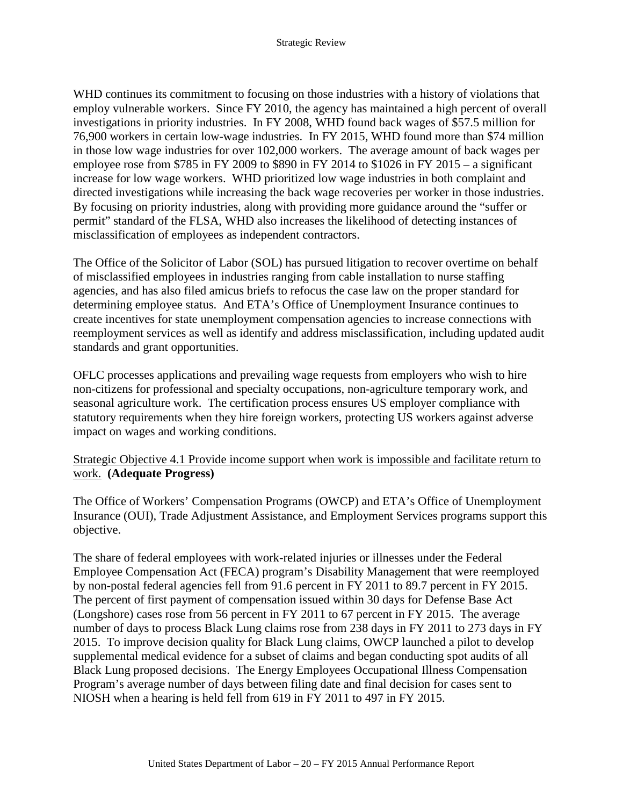WHD continues its commitment to focusing on those industries with a history of violations that employ vulnerable workers. Since FY 2010, the agency has maintained a high percent of overall investigations in priority industries. In FY 2008, WHD found back wages of \$57.5 million for 76,900 workers in certain low-wage industries. In FY 2015, WHD found more than \$74 million in those low wage industries for over 102,000 workers. The average amount of back wages per employee rose from \$785 in FY 2009 to \$890 in FY 2014 to \$1026 in FY 2015 – a significant increase for low wage workers. WHD prioritized low wage industries in both complaint and directed investigations while increasing the back wage recoveries per worker in those industries. By focusing on priority industries, along with providing more guidance around the "suffer or permit" standard of the FLSA, WHD also increases the likelihood of detecting instances of misclassification of employees as independent contractors.

The Office of the Solicitor of Labor (SOL) has pursued litigation to recover overtime on behalf of misclassified employees in industries ranging from cable installation to nurse staffing agencies, and has also filed amicus briefs to refocus the case law on the proper standard for determining employee status. And ETA's Office of Unemployment Insurance continues to create incentives for state unemployment compensation agencies to increase connections with reemployment services as well as identify and address misclassification, including updated audit standards and grant opportunities.

OFLC processes applications and prevailing wage requests from employers who wish to hire non-citizens for professional and specialty occupations, non-agriculture temporary work, and seasonal agriculture work. The certification process ensures US employer compliance with statutory requirements when they hire foreign workers, protecting US workers against adverse impact on wages and working conditions.

### Strategic Objective 4.1 Provide income support when work is impossible and facilitate return to work. **(Adequate Progress)**

The Office of Workers' Compensation Programs (OWCP) and ETA's Office of Unemployment Insurance (OUI), Trade Adjustment Assistance, and Employment Services programs support this objective.

The share of federal employees with work-related injuries or illnesses under the Federal Employee Compensation Act (FECA) program's Disability Management that were reemployed by non-postal federal agencies fell from 91.6 percent in FY 2011 to 89.7 percent in FY 2015. The percent of first payment of compensation issued within 30 days for Defense Base Act (Longshore) cases rose from 56 percent in FY 2011 to 67 percent in FY 2015. The average number of days to process Black Lung claims rose from 238 days in FY 2011 to 273 days in FY 2015. To improve decision quality for Black Lung claims, OWCP launched a pilot to develop supplemental medical evidence for a subset of claims and began conducting spot audits of all Black Lung proposed decisions. The Energy Employees Occupational Illness Compensation Program's average number of days between filing date and final decision for cases sent to NIOSH when a hearing is held fell from 619 in FY 2011 to 497 in FY 2015.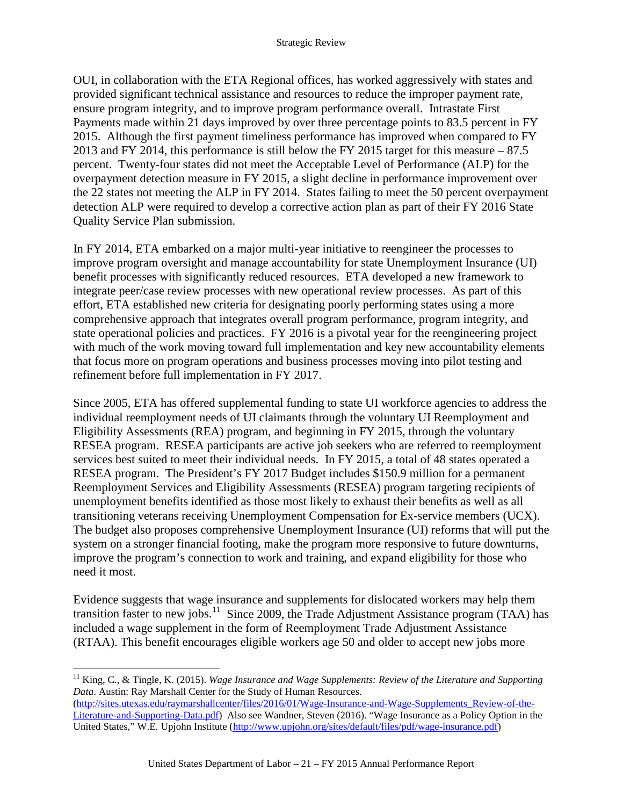OUI, in collaboration with the ETA Regional offices, has worked aggressively with states and provided significant technical assistance and resources to reduce the improper payment rate, ensure program integrity, and to improve program performance overall. Intrastate First Payments made within 21 days improved by over three percentage points to 83.5 percent in FY 2015. Although the first payment timeliness performance has improved when compared to FY 2013 and FY 2014, this performance is still below the FY 2015 target for this measure – 87.5 percent. Twenty-four states did not meet the Acceptable Level of Performance (ALP) for the overpayment detection measure in FY 2015, a slight decline in performance improvement over the 22 states not meeting the ALP in FY 2014. States failing to meet the 50 percent overpayment detection ALP were required to develop a corrective action plan as part of their FY 2016 State Quality Service Plan submission.

In FY 2014, ETA embarked on a major multi-year initiative to reengineer the processes to improve program oversight and manage accountability for state Unemployment Insurance (UI) benefit processes with significantly reduced resources. ETA developed a new framework to integrate peer/case review processes with new operational review processes. As part of this effort, ETA established new criteria for designating poorly performing states using a more comprehensive approach that integrates overall program performance, program integrity, and state operational policies and practices. FY 2016 is a pivotal year for the reengineering project with much of the work moving toward full implementation and key new accountability elements that focus more on program operations and business processes moving into pilot testing and refinement before full implementation in FY 2017.

Since 2005, ETA has offered supplemental funding to state UI workforce agencies to address the individual reemployment needs of UI claimants through the voluntary UI Reemployment and Eligibility Assessments (REA) program, and beginning in FY 2015, through the voluntary RESEA program. RESEA participants are active job seekers who are referred to reemployment services best suited to meet their individual needs. In FY 2015, a total of 48 states operated a RESEA program. The President's FY 2017 Budget includes \$150.9 million for a permanent Reemployment Services and Eligibility Assessments (RESEA) program targeting recipients of unemployment benefits identified as those most likely to exhaust their benefits as well as all transitioning veterans receiving Unemployment Compensation for Ex-service members (UCX). The budget also proposes comprehensive Unemployment Insurance (UI) reforms that will put the system on a stronger financial footing, make the program more responsive to future downturns, improve the program's connection to work and training, and expand eligibility for those who need it most.

Evidence suggests that wage insurance and supplements for dislocated workers may help them transition faster to new jobs.<sup>11</sup> Since 2009, the Trade Adjustment Assistance program (TAA) has included a wage supplement in the form of Reemployment Trade Adjustment Assistance (RTAA). This benefit encourages eligible workers age 50 and older to accept new jobs more

<span id="page-24-0"></span><sup>&</sup>lt;sup>11</sup> King, C., & Tingle, K. (2015). *Wage Insurance and Wage Supplements: Review of the Literature and Supporting Data*. Austin: Ray Marshall Center for the Study of Human Resources.

[<sup>\(</sup>http://sites.utexas.edu/raymarshallcenter/files/2016/01/Wage-Insurance-and-Wage-Supplements\\_Review-of-the-](http://sites.utexas.edu/raymarshallcenter/files/2016/01/Wage-Insurance-and-Wage-Supplements_Review-of-the-Literature-and-Supporting-Data.pdf)[Literature-and-Supporting-Data.pdf\)](http://sites.utexas.edu/raymarshallcenter/files/2016/01/Wage-Insurance-and-Wage-Supplements_Review-of-the-Literature-and-Supporting-Data.pdf) Also see Wandner, Steven (2016). "Wage Insurance as a Policy Option in the United States," W.E. Upjohn Institute [\(http://www.upjohn.org/sites/default/files/pdf/wage-insurance.pdf\)](http://www.upjohn.org/sites/default/files/pdf/wage-insurance.pdf)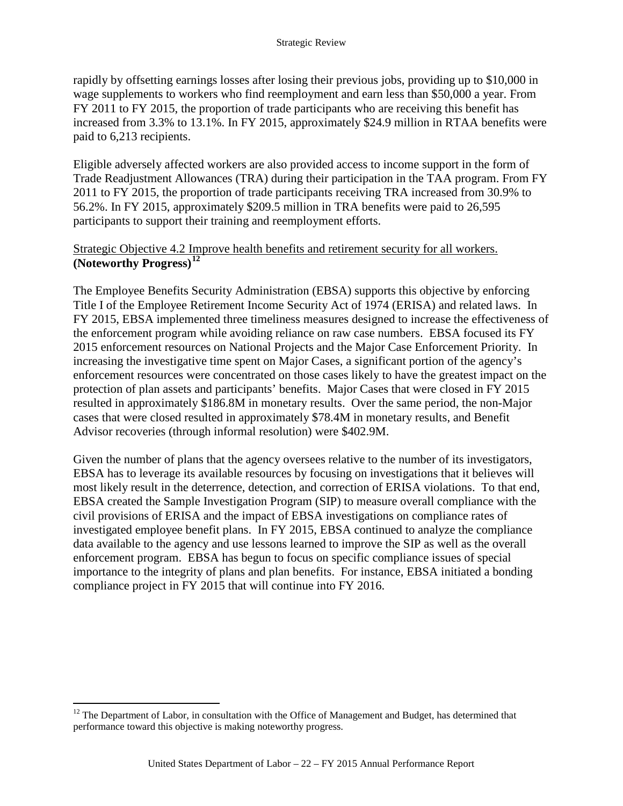rapidly by offsetting earnings losses after losing their previous jobs, providing up to \$10,000 in wage supplements to workers who find reemployment and earn less than \$50,000 a year. From FY 2011 to FY 2015, the proportion of trade participants who are receiving this benefit has increased from 3.3% to 13.1%. In FY 2015, approximately \$24.9 million in RTAA benefits were paid to 6,213 recipients.

Eligible adversely affected workers are also provided access to income support in the form of Trade Readjustment Allowances (TRA) during their participation in the TAA program. From FY 2011 to FY 2015, the proportion of trade participants receiving TRA increased from 30.9% to 56.2%. In FY 2015, approximately \$209.5 million in TRA benefits were paid to 26,595 participants to support their training and reemployment efforts.

### Strategic Objective 4.2 Improve health benefits and retirement security for all workers. **(Noteworthy Progress)[12](#page-25-0)**

The Employee Benefits Security Administration (EBSA) supports this objective by enforcing Title I of the Employee Retirement Income Security Act of 1974 (ERISA) and related laws. In FY 2015, EBSA implemented three timeliness measures designed to increase the effectiveness of the enforcement program while avoiding reliance on raw case numbers. EBSA focused its FY 2015 enforcement resources on National Projects and the Major Case Enforcement Priority. In increasing the investigative time spent on Major Cases, a significant portion of the agency's enforcement resources were concentrated on those cases likely to have the greatest impact on the protection of plan assets and participants' benefits. Major Cases that were closed in FY 2015 resulted in approximately \$186.8M in monetary results. Over the same period, the non-Major cases that were closed resulted in approximately \$78.4M in monetary results, and Benefit Advisor recoveries (through informal resolution) were \$402.9M.

Given the number of plans that the agency oversees relative to the number of its investigators, EBSA has to leverage its available resources by focusing on investigations that it believes will most likely result in the deterrence, detection, and correction of ERISA violations. To that end, EBSA created the Sample Investigation Program (SIP) to measure overall compliance with the civil provisions of ERISA and the impact of EBSA investigations on compliance rates of investigated employee benefit plans. In FY 2015, EBSA continued to analyze the compliance data available to the agency and use lessons learned to improve the SIP as well as the overall enforcement program. EBSA has begun to focus on specific compliance issues of special importance to the integrity of plans and plan benefits. For instance, EBSA initiated a bonding compliance project in FY 2015 that will continue into FY 2016.

<span id="page-25-0"></span> $12$  The Department of Labor, in consultation with the Office of Management and Budget, has determined that performance toward this objective is making noteworthy progress.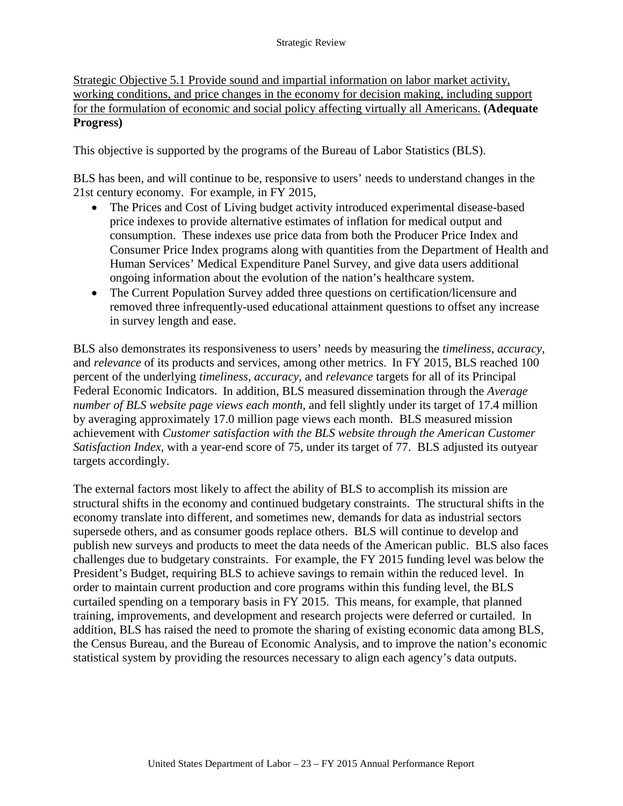Strategic Objective 5.1 Provide sound and impartial information on labor market activity, working conditions, and price changes in the economy for decision making, including support for the formulation of economic and social policy affecting virtually all Americans. **(Adequate Progress)**

This objective is supported by the programs of the Bureau of Labor Statistics (BLS).

BLS has been, and will continue to be, responsive to users' needs to understand changes in the 21st century economy. For example, in FY 2015,

- The Prices and Cost of Living budget activity introduced experimental disease-based price indexes to provide alternative estimates of inflation for medical output and consumption. These indexes use price data from both the Producer Price Index and Consumer Price Index programs along with quantities from the Department of Health and Human Services' Medical Expenditure Panel Survey, and give data users additional ongoing information about the evolution of the nation's healthcare system.
- The Current Population Survey added three questions on certification/licensure and removed three infrequently-used educational attainment questions to offset any increase in survey length and ease.

BLS also demonstrates its responsiveness to users' needs by measuring the *timeliness*, *accuracy*, and *relevance* of its products and services, among other metrics. In FY 2015, BLS reached 100 percent of the underlying *timeliness*, *accuracy*, and *relevance* targets for all of its Principal Federal Economic Indicators. In addition, BLS measured dissemination through the *Average number of BLS website page views each month*, and fell slightly under its target of 17.4 million by averaging approximately 17.0 million page views each month. BLS measured mission achievement with *Customer satisfaction with the BLS website through the American Customer Satisfaction Index*, with a year-end score of 75, under its target of 77. BLS adjusted its outyear targets accordingly.

The external factors most likely to affect the ability of BLS to accomplish its mission are structural shifts in the economy and continued budgetary constraints. The structural shifts in the economy translate into different, and sometimes new, demands for data as industrial sectors supersede others, and as consumer goods replace others. BLS will continue to develop and publish new surveys and products to meet the data needs of the American public. BLS also faces challenges due to budgetary constraints. For example, the FY 2015 funding level was below the President's Budget, requiring BLS to achieve savings to remain within the reduced level. In order to maintain current production and core programs within this funding level, the BLS curtailed spending on a temporary basis in FY 2015. This means, for example, that planned training, improvements, and development and research projects were deferred or curtailed. In addition, BLS has raised the need to promote the sharing of existing economic data among BLS, the Census Bureau, and the Bureau of Economic Analysis, and to improve the nation's economic statistical system by providing the resources necessary to align each agency's data outputs.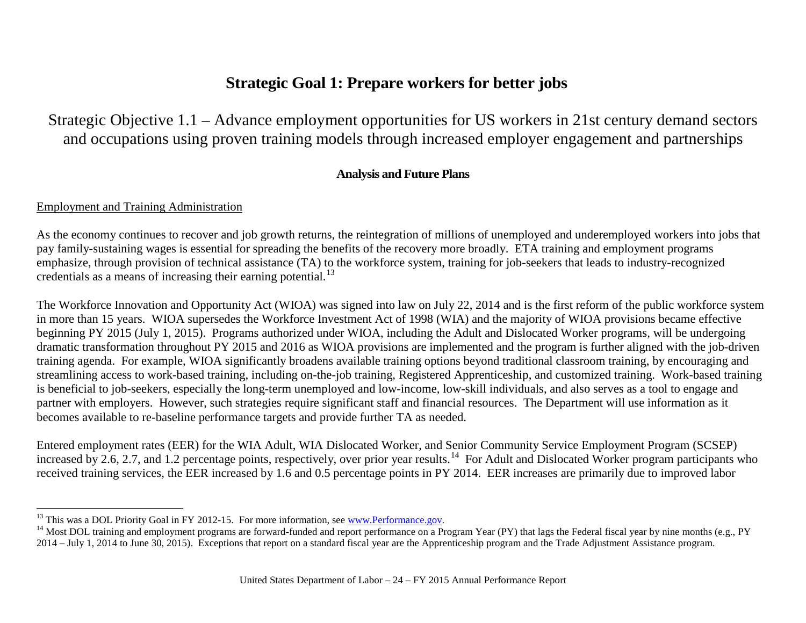# <span id="page-27-2"></span><span id="page-27-1"></span>**Strategic Goal 1: Prepare workers for better jobs**

Strategic Objective 1.1 – Advance employment opportunities for US workers in 21st century demand sectors and occupations using proven training models through increased employer engagement and partnerships

### **Analysis and Future Plans**

### <span id="page-27-0"></span>Employment and Training Administration

As the economy continues to recover and job growth returns, the reintegration of millions of unemployed and underemployed workers into jobs that pay family-sustaining wages is essential for spreading the benefits of the recovery more broadly. ETA training and employment programs emphasize, through provision of technical assistance (TA) to the workforce system, training for job-seekers that leads to industry-recognized credentials as a means of increasing their earning potential.<sup>[13](#page-27-1)</sup>

The Workforce Innovation and Opportunity Act (WIOA) was signed into law on July 22, 2014 and is the first reform of the public workforce system in more than 15 years. WIOA supersedes the Workforce Investment Act of 1998 (WIA) and the majority of WIOA provisions became effective beginning PY 2015 (July 1, 2015). Programs authorized under WIOA, including the Adult and Dislocated Worker programs, will be undergoing dramatic transformation throughout PY 2015 and 2016 as WIOA provisions are implemented and the program is further aligned with the job-driven training agenda. For example, WIOA significantly broadens available training options beyond traditional classroom training, by encouraging and streamlining access to work-based training, including on-the-job training, Registered Apprenticeship, and customized training. Work-based training is beneficial to job-seekers, especially the long-term unemployed and low-income, low-skill individuals, and also serves as a tool to engage and partner with employers. However, such strategies require significant staff and financial resources. The Department will use information as it becomes available to re-baseline performance targets and provide further TA as needed.

Entered employment rates (EER) for the WIA Adult, WIA Dislocated Worker, and Senior Community Service Employment Program (SCSEP) increased by 2.6, 2.7, and 1.2 percentage points, respectively, over prior year results.<sup>[14](#page-27-2)</sup> For Adult and Dislocated Worker program participants who received training services, the EER increased by 1.6 and 0.5 percentage points in PY 2014. EER increases are primarily due to improved labor

<sup>&</sup>lt;sup>13</sup> This was a DOL Priority Goal in FY 2012-15. For more information, see <u>www.Performance.gov</u>.<br><sup>14</sup> Most DOL training and employment programs are forward-funded and report performance on a Program Year (PY) that lags t 2014 – July 1, 2014 to June 30, 2015). Exceptions that report on a standard fiscal year are the Apprenticeship program and the Trade Adjustment Assistance program.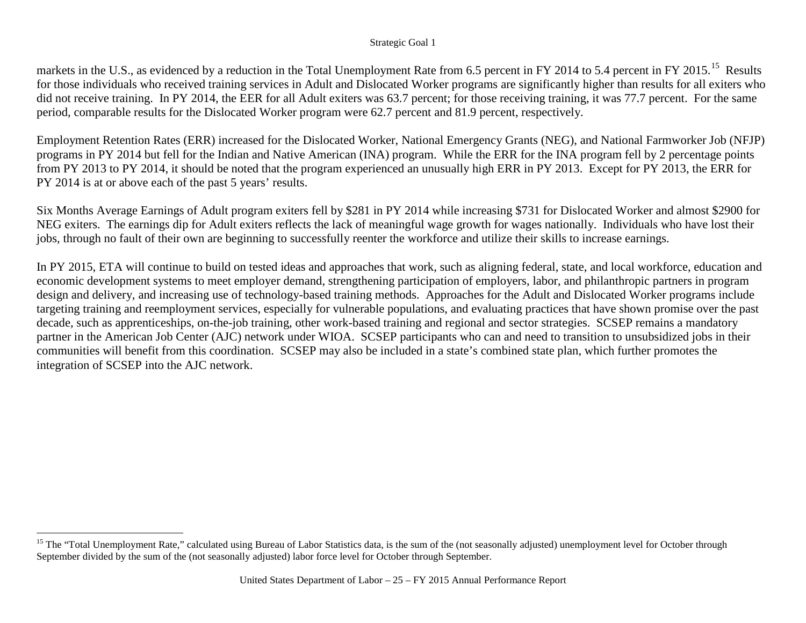#### <span id="page-28-0"></span>Strategic Goal 1

markets in the U.S., as evidenced by a reduction in the Total Unemployment Rate from 6.5 percent in FY 2014 to 5.4 percent in FY 20[15](#page-28-0).<sup>15</sup> Results for those individuals who received training services in Adult and Dislocated Worker programs are significantly higher than results for all exiters who did not receive training. In PY 2014, the EER for all Adult exiters was 63.7 percent; for those receiving training, it was 77.7 percent. For the same period, comparable results for the Dislocated Worker program were 62.7 percent and 81.9 percent, respectively.

Employment Retention Rates (ERR) increased for the Dislocated Worker, National Emergency Grants (NEG), and National Farmworker Job (NFJP) programs in PY 2014 but fell for the Indian and Native American (INA) program. While the ERR for the INA program fell by 2 percentage points from PY 2013 to PY 2014, it should be noted that the program experienced an unusually high ERR in PY 2013. Except for PY 2013, the ERR for PY 2014 is at or above each of the past 5 years' results.

Six Months Average Earnings of Adult program exiters fell by \$281 in PY 2014 while increasing \$731 for Dislocated Worker and almost \$2900 for NEG exiters. The earnings dip for Adult exiters reflects the lack of meaningful wage growth for wages nationally. Individuals who have lost their jobs, through no fault of their own are beginning to successfully reenter the workforce and utilize their skills to increase earnings.

In PY 2015, ETA will continue to build on tested ideas and approaches that work, such as aligning federal, state, and local workforce, education and economic development systems to meet employer demand, strengthening participation of employers, labor, and philanthropic partners in program design and delivery, and increasing use of technology-based training methods. Approaches for the Adult and Dislocated Worker programs include targeting training and reemployment services, especially for vulnerable populations, and evaluating practices that have shown promise over the past decade, such as apprenticeships, on-the-job training, other work-based training and regional and sector strategies. SCSEP remains a mandatory partner in the American Job Center (AJC) network under WIOA. SCSEP participants who can and need to transition to unsubsidized jobs in their communities will benefit from this coordination. SCSEP may also be included in a state's combined state plan, which further promotes the integration of SCSEP into the AJC network.

<sup>&</sup>lt;sup>15</sup> The "Total Unemployment Rate," calculated using Bureau of Labor Statistics data, is the sum of the (not seasonally adjusted) unemployment level for October through September divided by the sum of the (not seasonally adjusted) labor force level for October through September.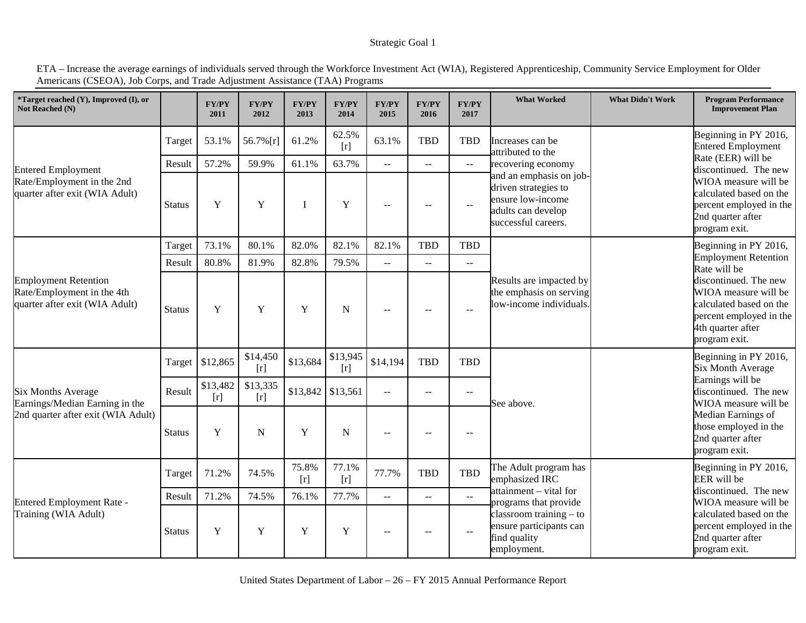#### Strategic Goal 1

ETA – Increase the average earnings of individuals served through the Workforce Investment Act (WIA), Registered Apprenticeship, Community Service Employment for Older Americans (CSEOA), Job Corps, and Trade Adjustment Assistance (TAA) Programs

| *Target reached (Y), Improved (I), or<br>Not Reached (N)                                    |               | <b>FY/PY</b><br>2011 | FY/PY<br>2012     | <b>FY/PY</b><br>2013 | FY/PY<br>2014     | <b>FY/PY</b><br>2015        | <b>FY/PY</b><br>2016     | <b>FY/PY</b><br>2017      | <b>What Worked</b>                                                                                                | <b>What Didn't Work</b>                                                                                          | <b>Program Performance</b><br><b>Improvement Plan</b>                                                                                     |  |
|---------------------------------------------------------------------------------------------|---------------|----------------------|-------------------|----------------------|-------------------|-----------------------------|--------------------------|---------------------------|-------------------------------------------------------------------------------------------------------------------|------------------------------------------------------------------------------------------------------------------|-------------------------------------------------------------------------------------------------------------------------------------------|--|
|                                                                                             | Target        | 53.1%                | 56.7% [r]         | 61.2%                | 62.5%<br>[r]      | 63.1%                       | <b>TBD</b>               | <b>TBD</b>                | Increases can be<br>attributed to the                                                                             | Beginning in PY 2016,<br><b>Entered Employment</b>                                                               |                                                                                                                                           |  |
| <b>Entered Employment</b>                                                                   | Result        | 57.2%                | 59.9%             | 61.1%                | 63.7%             | $\mathcal{L}^{\mathcal{L}}$ | $\overline{a}$           | $\mathbb{L}^{\mathbb{L}}$ | recovering economy                                                                                                |                                                                                                                  | Rate (EER) will be<br>discontinued. The new                                                                                               |  |
| Rate/Employment in the 2nd<br>quarter after exit (WIA Adult)                                | <b>Status</b> | Y                    | Y                 |                      | Y                 | $- -$                       | $\sim$                   | $\overline{\phantom{m}}$  | and an emphasis on job-<br>driven strategies to<br>ensure low-income<br>adults can develop<br>successful careers. |                                                                                                                  | WIOA measure will be<br>calculated based on the<br>percent employed in the<br>2nd quarter after<br>program exit.                          |  |
|                                                                                             | Target        | 73.1%                | 80.1%             | 82.0%                | 82.1%             | 82.1%                       | <b>TBD</b>               | <b>TBD</b>                |                                                                                                                   |                                                                                                                  | Beginning in PY 2016,                                                                                                                     |  |
|                                                                                             | Result        | 80.8%                | 81.9%             | 82.8%                | 79.5%             | $\overline{a}$              | $\sim$ $\sim$            | $\mathbb{L} \mathbb{L}$   |                                                                                                                   |                                                                                                                  | <b>Employment Retention</b><br>Rate will be                                                                                               |  |
| <b>Employment Retention</b><br>Rate/Employment in the 4th<br>quarter after exit (WIA Adult) | <b>Status</b> | Y                    | Y                 | Y                    | N                 | $-$                         | $\overline{\phantom{m}}$ | $\sim$ $\sim$             | Results are impacted by<br>the emphasis on serving<br>low-income individuals.                                     |                                                                                                                  | discontinued. The new<br>WIOA measure will be<br>calculated based on the<br>percent employed in the<br>4th quarter after<br>program exit. |  |
|                                                                                             | Target        | \$12,865             | \$14,450<br>[r]   | \$13,684             | \$13,945<br>[r]   | \$14,194                    | <b>TBD</b>               | <b>TBD</b>                | See above.                                                                                                        |                                                                                                                  | Beginning in PY 2016,<br><b>Six Month Average</b>                                                                                         |  |
| <b>Six Months Average</b><br>Earnings/Median Earning in the                                 | Result        | \$13,482<br>[r]      | \$13,335<br>$[r]$ |                      | \$13,842 \$13,561 | $\mathbb{L}^{\mathbb{L}}$   | $\sim$ $\sim$            | $\overline{\phantom{a}}$  |                                                                                                                   |                                                                                                                  | Earnings will be<br>discontinued. The new<br>WIOA measure will be                                                                         |  |
| 2nd quarter after exit (WIA Adult)                                                          | <b>Status</b> | Y                    | N                 | Y                    | N                 | $- -$                       | $-$                      | $\overline{\phantom{m}}$  |                                                                                                                   | Median Earnings of<br>those employed in the<br>2nd quarter after<br>program exit.                                |                                                                                                                                           |  |
|                                                                                             | Target        | 71.2%                | 74.5%             | 75.8%<br>[r]         | 77.1%<br>$[r]$    | 77.7%                       | <b>TBD</b>               | <b>TBD</b>                | The Adult program has<br>emphasized IRC                                                                           |                                                                                                                  | Beginning in PY 2016,<br>EER will be                                                                                                      |  |
|                                                                                             | Result        | 71.2%                | 74.5%             | 76.1%                | 77.7%             | $-$                         | $\overline{a}$           | $\sim$ $\sim$             | attainment – vital for                                                                                            |                                                                                                                  | discontinued. The new                                                                                                                     |  |
| <b>Entered Employment Rate -</b><br>Training (WIA Adult)                                    | <b>Status</b> | $\mathbf Y$          | Y                 | Y                    | Y                 | $- -$                       | $\sim$                   | $\sim$ $\sim$             | programs that provide<br>$classroom training - to$<br>ensure participants can<br>find quality<br>employment.      | WIOA measure will be<br>calculated based on the<br>percent employed in the<br>2nd quarter after<br>program exit. |                                                                                                                                           |  |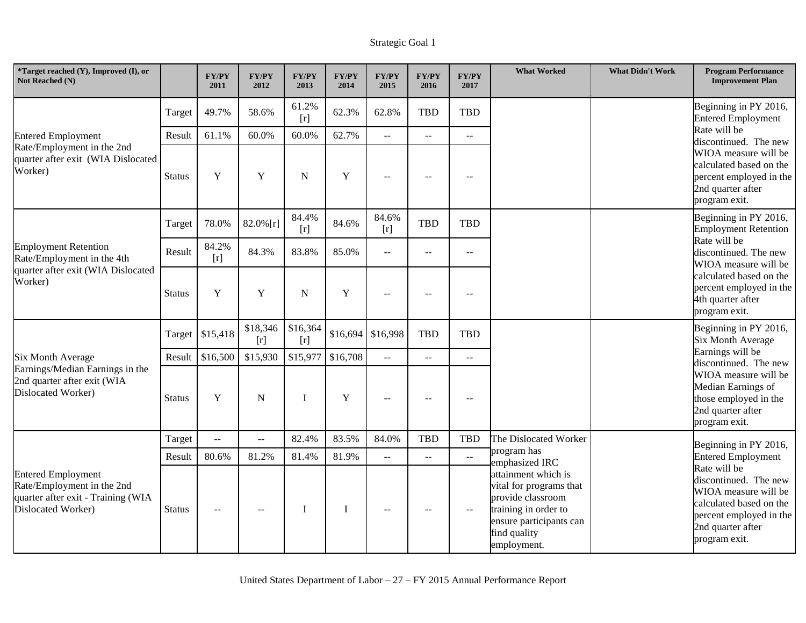| *Target reached $(Y)$ , Improved $(I)$ , or<br>Not Reached (N)                                                                                                                                                         |                         | <b>FY/PY</b><br>2011       | <b>FY/PY</b><br>2012 | <b>FY/PY</b><br>2013 | <b>FY/PY</b><br>2014 | <b>FY/PY</b><br>2015            | <b>FY/PY</b><br>2016          | <b>FY/PY</b><br>2017           | <b>What Worked</b>                                                                                                                                    | <b>What Didn't Work</b> | <b>Program Performance</b><br><b>Improvement Plan</b>                                                                                                                                    |  |
|------------------------------------------------------------------------------------------------------------------------------------------------------------------------------------------------------------------------|-------------------------|----------------------------|----------------------|----------------------|----------------------|---------------------------------|-------------------------------|--------------------------------|-------------------------------------------------------------------------------------------------------------------------------------------------------|-------------------------|------------------------------------------------------------------------------------------------------------------------------------------------------------------------------------------|--|
|                                                                                                                                                                                                                        | Target                  | 49.7%                      | 58.6%                | 61.2%<br>$[r]$       | 62.3%                | 62.8%                           | <b>TBD</b>                    | <b>TBD</b>                     |                                                                                                                                                       |                         | Beginning in PY 2016,<br><b>Entered Employment</b>                                                                                                                                       |  |
| <b>Entered Employment</b><br>Rate/Employment in the 2nd<br>quarter after exit (WIA Dislocated<br>Worker)<br><b>Employment Retention</b><br>Rate/Employment in the 4th<br>quarter after exit (WIA Dislocated<br>Worker) | Result<br><b>Status</b> | 61.1%<br>Y                 | 60.0%<br>Y           | 60.0%<br>N           | 62.7%<br>Y           | $\overline{a}$<br>$\sim$ $\sim$ | $\mathbf{u}$<br>$\sim$ $\sim$ | $\sim$ $\sim$<br>$\rightarrow$ |                                                                                                                                                       |                         | Rate will be<br>discontinued. The new<br>WIOA measure will be<br>calculated based on the<br>percent employed in the<br>2nd quarter after                                                 |  |
|                                                                                                                                                                                                                        | Target                  | 78.0%                      | $82.0\%$ [r]         | 84.4%                | 84.6%                | 84.6%                           | <b>TBD</b>                    | <b>TBD</b>                     |                                                                                                                                                       |                         | program exit.<br>Beginning in PY 2016,                                                                                                                                                   |  |
|                                                                                                                                                                                                                        | Result                  | 84.2%<br>$\lceil r \rceil$ | 84.3%                | [r]<br>83.8%         | 85.0%                | $[r]$<br>$\sim$ $\sim$          | $\overline{\phantom{m}}$      | $\sim$ $\sim$                  |                                                                                                                                                       |                         | <b>Employment Retention</b><br>Rate will be<br>discontinued. The new<br>WIOA measure will be<br>calculated based on the<br>percent employed in the<br>4th quarter after<br>program exit. |  |
|                                                                                                                                                                                                                        | <b>Status</b>           | Y                          | Y                    | N                    | Y                    | $-$                             |                               | $\sim$                         |                                                                                                                                                       |                         |                                                                                                                                                                                          |  |
|                                                                                                                                                                                                                        | Target                  | \$15,418                   | \$18,346<br>[r]      | \$16,364<br>[r]      | \$16,694             | \$16,998                        | <b>TBD</b>                    | <b>TBD</b>                     |                                                                                                                                                       |                         | Beginning in PY 2016,<br><b>Six Month Average</b><br>Earnings will be<br>discontinued. The new                                                                                           |  |
| <b>Six Month Average</b>                                                                                                                                                                                               | Result                  | \$16,500                   | \$15,930             | \$15,977             | \$16,708             | $\mathbb{L}^{\mathbb{L}}$       | $\sim$ $\sim$                 | $\mathbf{u}$                   |                                                                                                                                                       |                         |                                                                                                                                                                                          |  |
| Earnings/Median Earnings in the<br>2nd quarter after exit (WIA<br>Dislocated Worker)                                                                                                                                   | <b>Status</b>           | $\mathbf Y$                | N                    | T                    | $\mathbf Y$          | $\sim$ $\sim$                   | $\sim$ $\sim$                 | $\sim$ $\sim$                  |                                                                                                                                                       |                         | WIOA measure will be<br>Median Earnings of<br>those employed in the<br>2nd quarter after<br>program exit.                                                                                |  |
|                                                                                                                                                                                                                        | Target                  | $-$                        | $\sim$ $\sim$        | 82.4%                | 83.5%                | 84.0%                           | <b>TBD</b>                    | TBD                            | The Dislocated Worker                                                                                                                                 |                         | Beginning in PY 2016,                                                                                                                                                                    |  |
|                                                                                                                                                                                                                        | Result                  | 80.6%                      | 81.2%                | 81.4%                | 81.9%                | $\mathbb{H}^{\mathbb{H}}$       | $\overline{a}$                | $\mathbb{L} \mathbb{L}$        | program has<br>emphasized IRC                                                                                                                         |                         | <b>Entered Employment</b>                                                                                                                                                                |  |
| <b>Entered Employment</b><br>Rate/Employment in the 2nd<br>quarter after exit - Training (WIA<br>Dislocated Worker)                                                                                                    | <b>Status</b>           | $-$                        |                      |                      | I                    |                                 |                               | $\sim$ $\sim$                  | attainment which is<br>vital for programs that<br>provide classroom<br>training in order to<br>ensure participants can<br>find quality<br>employment. |                         | Rate will be<br>discontinued. The new<br>WIOA measure will be<br>calculated based on the<br>percent employed in the<br>2nd quarter after<br>program exit.                                |  |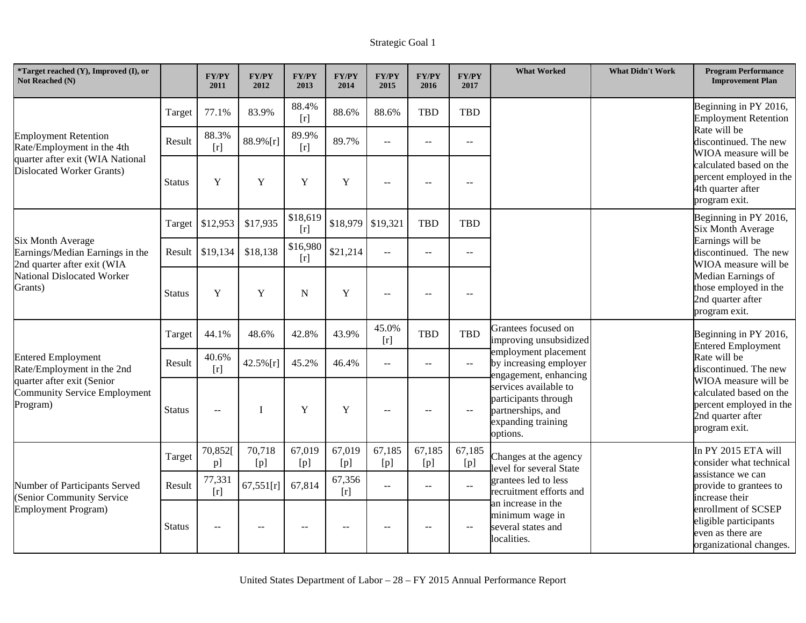| *Target reached (Y), Improved (I), or<br>Not Reached (N)                                                                                   |               | <b>FY/PY</b><br>2011 | <b>FY/PY</b><br>2012 | <b>FY/PY</b><br>2013 | <b>FY/PY</b><br>2014 | <b>FY/PY</b><br>2015      | <b>FY/PY</b><br>2016 | <b>FY/PY</b><br>2017        | <b>What Worked</b>                                                                                                       | <b>What Didn't Work</b> | <b>Program Performance</b><br><b>Improvement Plan</b>                                                                                                     |  |  |
|--------------------------------------------------------------------------------------------------------------------------------------------|---------------|----------------------|----------------------|----------------------|----------------------|---------------------------|----------------------|-----------------------------|--------------------------------------------------------------------------------------------------------------------------|-------------------------|-----------------------------------------------------------------------------------------------------------------------------------------------------------|--|--|
|                                                                                                                                            | Target        | 77.1%                | 83.9%                | 88.4%<br>[r]         | 88.6%                | 88.6%                     | <b>TBD</b>           | <b>TBD</b>                  |                                                                                                                          |                         | Beginning in PY 2016,<br><b>Employment Retention</b>                                                                                                      |  |  |
| <b>Employment Retention</b><br>Rate/Employment in the 4th                                                                                  | Result        | 88.3%<br>[r]         | 88.9%[r]             | 89.9%<br>[r]         | 89.7%                | $\sim$ $\sim$             | $\sim$ $\sim$        | $ -$                        |                                                                                                                          |                         | Rate will be<br>discontinued. The new<br>WIOA measure will be                                                                                             |  |  |
| quarter after exit (WIA National<br><b>Dislocated Worker Grants)</b>                                                                       | <b>Status</b> | Y                    | Y                    | Y                    | $\mathbf Y$          |                           |                      |                             |                                                                                                                          |                         | calculated based on the<br>percent employed in the<br>4th quarter after<br>program exit.                                                                  |  |  |
|                                                                                                                                            |               | Target \$12,953      | \$17,935             | \$18,619<br>[r]      | \$18,979             | \$19,321                  | <b>TBD</b>           | <b>TBD</b>                  |                                                                                                                          |                         | Beginning in PY 2016,<br><b>Six Month Average</b>                                                                                                         |  |  |
| <b>Six Month Average</b><br>Earnings/Median Earnings in the<br>2nd quarter after exit (WIA<br><b>National Dislocated Worker</b><br>Grants) |               | Result \$19,134      | \$18,138             | \$16,980<br>[r]      | \$21,214             | $\mathbb{L}^{\mathbb{L}}$ | $\mathbf{u}$         | $\mathbf{u}$                |                                                                                                                          |                         | Earnings will be<br>discontinued. The new<br>WIOA measure will be<br>Median Earnings of<br>those employed in the<br>2nd quarter after<br>program exit.    |  |  |
|                                                                                                                                            | <b>Status</b> | $\mathbf Y$          | $\mathbf Y$          | ${\bf N}$            | $\mathbf Y$          | $\overline{a}$            | $\sim$ $\sim$        | $\overline{\phantom{a}}$    |                                                                                                                          |                         |                                                                                                                                                           |  |  |
|                                                                                                                                            | Target        | 44.1%                | 48.6%                | 42.8%                | 43.9%                | 45.0%<br>[r]              | <b>TBD</b>           | TBD                         | Grantees focused on<br>improving unsubsidized<br>employment placement<br>by increasing employer<br>engagement, enhancing |                         | Beginning in PY 2016,<br><b>Entered Employment</b>                                                                                                        |  |  |
| <b>Entered Employment</b><br>Rate/Employment in the 2nd                                                                                    | Result        | 40.6%<br>[r]         | 42.5%[r]             | 45.2%                | 46.4%                | $\sim$ $\sim$             | $\sim$ $\sim$        | $\mathbb{H} \to \mathbb{H}$ |                                                                                                                          |                         | Rate will be<br>discontinued. The new<br>WIOA measure will be<br>calculated based on the<br>percent employed in the<br>2nd quarter after<br>program exit. |  |  |
| quarter after exit (Senior<br><b>Community Service Employment</b><br>Program)                                                              | <b>Status</b> | $\mathbf{u}$         | $\mathbf I$          | $\mathbf Y$          | $\mathbf Y$          | $\sim$ $\sim$             | $\mathbf{L}$         | $\overline{\phantom{a}}$    | services available to<br>participants through<br>partnerships, and<br>expanding training<br>options.                     |                         |                                                                                                                                                           |  |  |
|                                                                                                                                            | Target        | 70,852<br>p]         | 70,718<br>[p]        | 67,019<br>[p]        | 67,019<br>[p]        | 67,185<br>[p]             | 67,185<br>[p]        | 67,185<br>[p]               | Changes at the agency<br>level for several State                                                                         |                         | In PY 2015 ETA will<br>consider what technical                                                                                                            |  |  |
| Number of Participants Served<br>(Senior Community Service<br><b>Employment Program)</b>                                                   | Result        | 77,331<br>[r]        | 67,551[r]            | 67,814               | 67,356<br>[r]        | $\sim$                    | $\sim$ $\sim$        | $\mathbb{L}^{\mathbb{L}}$   | grantees led to less<br>recruitment efforts and                                                                          |                         | assistance we can<br>provide to grantees to                                                                                                               |  |  |
|                                                                                                                                            | <b>Status</b> | $\overline{a}$       | $\sim$ $\sim$        | $- -$                | $-$                  | $\sim$ $\sim$             | $-$                  | $\overline{\phantom{a}}$    | an increase in the<br>minimum wage in<br>several states and<br>localities.                                               |                         | increase their<br>enrollment of SCSEP<br>eligible participants<br>even as there are<br>organizational changes.                                            |  |  |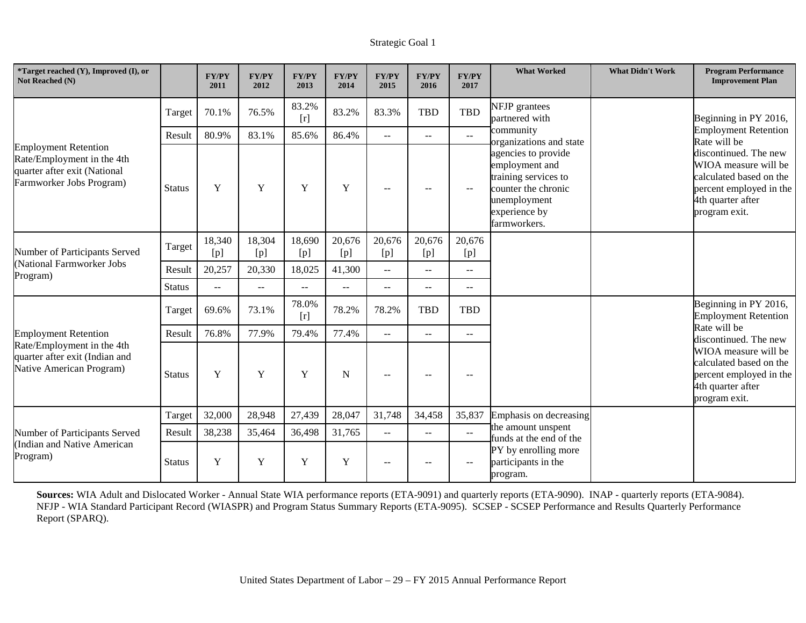| *Target reached (Y), Improved (I), or<br>Not Reached (N)                                                              |               | <b>FY/PY</b><br>2011 | <b>FY/PY</b><br>2012 | <b>FY/PY</b><br>2013 | <b>FY/PY</b><br>2014 | <b>FY/PY</b><br>2015      | <b>FY/PY</b><br>2016     | <b>FY/PY</b><br>2017 | <b>What Worked</b>                                                                                                                    | <b>What Didn't Work</b> | <b>Program Performance</b><br><b>Improvement Plan</b>                                                                                     |
|-----------------------------------------------------------------------------------------------------------------------|---------------|----------------------|----------------------|----------------------|----------------------|---------------------------|--------------------------|----------------------|---------------------------------------------------------------------------------------------------------------------------------------|-------------------------|-------------------------------------------------------------------------------------------------------------------------------------------|
|                                                                                                                       | Target        | 70.1%                | 76.5%                | 83.2%<br>$[r]$       | 83.2%                | 83.3%                     | <b>TBD</b>               | <b>TBD</b>           | NFJP grantees<br>partnered with                                                                                                       |                         | Beginning in PY 2016,                                                                                                                     |
|                                                                                                                       | Result        | 80.9%                | 83.1%                | 85.6%                | 86.4%                | $\mathbf{u}$              | $\overline{\phantom{a}}$ | $-$                  | community<br>organizations and state                                                                                                  |                         | <b>Employment Retention</b><br>Rate will be                                                                                               |
| <b>Employment Retention</b><br>Rate/Employment in the 4th<br>quarter after exit (National<br>Farmworker Jobs Program) | <b>Status</b> | Y                    | Y                    | Y                    | Y                    | $\sim$ $\sim$             | $\sim$ $\sim$            | $-$                  | agencies to provide<br>employment and<br>training services to<br>counter the chronic<br>unemployment<br>experience by<br>farmworkers. |                         | discontinued. The new<br>WIOA measure will be<br>calculated based on the<br>percent employed in the<br>4th quarter after<br>program exit. |
| Number of Participants Served<br>(National Farmworker Jobs<br>Program)                                                | Target        | 18,340<br>[p]        | 18,304<br>[p]        | 18,690<br>[p]        | 20,676<br>[p]        | 20,676<br>[p]             | 20,676<br>[p]            | 20,676<br>[p]        |                                                                                                                                       |                         |                                                                                                                                           |
|                                                                                                                       | Result        | 20,257               | 20,330               | 18,025               | 41,300               | $\overline{\phantom{a}}$  | $-$                      | $\sim$ $\sim$        |                                                                                                                                       |                         |                                                                                                                                           |
|                                                                                                                       | <b>Status</b> | $\mathbf{u}$         | $\mathbf{u}$         | $- -$                | $- -$                | $\overline{\phantom{a}}$  | $\overline{\phantom{a}}$ | $\mathbf{u}$         |                                                                                                                                       |                         |                                                                                                                                           |
|                                                                                                                       | Target        | 69.6%                | 73.1%                | 78.0%<br>$[r]$       | 78.2%                | 78.2%                     | <b>TBD</b>               | <b>TBD</b>           |                                                                                                                                       |                         | Beginning in PY 2016,<br><b>Employment Retention</b><br>Rate will be<br>discontinued. The new                                             |
| <b>Employment Retention</b>                                                                                           | Result        | 76.8%                | 77.9%                | 79.4%                | 77.4%                | $\mathbf{u} = \mathbf{v}$ | $\mathbf{L}$             | $\mathbf{u}$         |                                                                                                                                       |                         |                                                                                                                                           |
| Rate/Employment in the 4th<br>quarter after exit (Indian and<br>Native American Program)                              | <b>Status</b> | Y                    | Y                    | Y                    | N                    | $-$                       | $-$                      | $\sim$               |                                                                                                                                       |                         | WIOA measure will be<br>calculated based on the<br>percent employed in the<br>4th quarter after<br>program exit.                          |
|                                                                                                                       | Target        | 32,000               | 28,948               | 27,439               | 28,047               | 31,748                    | 34,458                   | 35,837               | Emphasis on decreasing                                                                                                                |                         |                                                                                                                                           |
| Number of Participants Served                                                                                         | Result        | 38,238               | 35,464               | 36,498               | 31,765               | $\sim$ $\sim$             | $\overline{\phantom{m}}$ | $ -$                 | the amount unspent<br>funds at the end of the                                                                                         |                         |                                                                                                                                           |
| (Indian and Native American<br>Program)                                                                               | Status        | Y                    | Y                    | Y                    | Y                    | $\sim$                    |                          | $-$                  | PY by enrolling more<br>participants in the<br>program.                                                                               |                         |                                                                                                                                           |

**Sources:** WIA Adult and Dislocated Worker - Annual State WIA performance reports (ETA-9091) and quarterly reports (ETA-9090). INAP - quarterly reports (ETA-9084). NFJP - WIA Standard Participant Record (WIASPR) and Program Status Summary Reports (ETA-9095). SCSEP - SCSEP Performance and Results Quarterly Performance Report (SPARQ).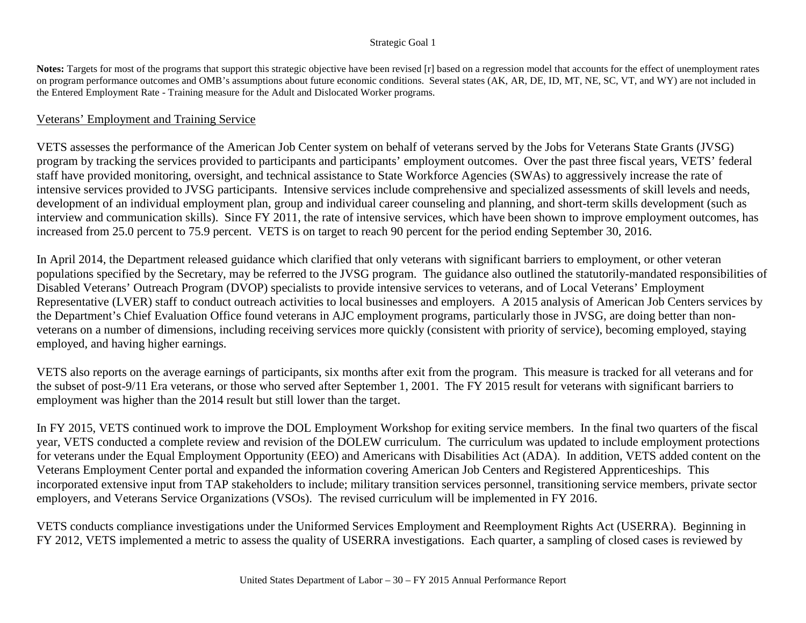#### Strategic Goal 1

**Notes:** Targets for most of the programs that support this strategic objective have been revised [r] based on a regression model that accounts for the effect of unemployment rates on program performance outcomes and OMB's assumptions about future economic conditions. Several states (AK, AR, DE, ID, MT, NE, SC, VT, and WY) are not included in the Entered Employment Rate - Training measure for the Adult and Dislocated Worker programs.

#### Veterans' Employment and Training Service

VETS assesses the performance of the American Job Center system on behalf of veterans served by the Jobs for Veterans State Grants (JVSG) program by tracking the services provided to participants and participants' employment outcomes. Over the past three fiscal years, VETS' federal staff have provided monitoring, oversight, and technical assistance to State Workforce Agencies (SWAs) to aggressively increase the rate of intensive services provided to JVSG participants. Intensive services include comprehensive and specialized assessments of skill levels and needs, development of an individual employment plan, group and individual career counseling and planning, and short-term skills development (such as interview and communication skills). Since FY 2011, the rate of intensive services, which have been shown to improve employment outcomes, has increased from 25.0 percent to 75.9 percent. VETS is on target to reach 90 percent for the period ending September 30, 2016.

In April 2014, the Department released guidance which clarified that only veterans with significant barriers to employment, or other veteran populations specified by the Secretary, may be referred to the JVSG program. The guidance also outlined the statutorily-mandated responsibilities of Disabled Veterans' Outreach Program (DVOP) specialists to provide intensive services to veterans, and of Local Veterans' Employment Representative (LVER) staff to conduct outreach activities to local businesses and employers. A 2015 analysis of American Job Centers services by the Department's Chief Evaluation Office found veterans in AJC employment programs, particularly those in JVSG, are doing better than nonveterans on a number of dimensions, including receiving services more quickly (consistent with priority of service), becoming employed, staying employed, and having higher earnings.

VETS also reports on the average earnings of participants, six months after exit from the program. This measure is tracked for all veterans and for the subset of post-9/11 Era veterans, or those who served after September 1, 2001. The FY 2015 result for veterans with significant barriers to employment was higher than the 2014 result but still lower than the target.

In FY 2015, VETS continued work to improve the DOL Employment Workshop for exiting service members. In the final two quarters of the fiscal year, VETS conducted a complete review and revision of the DOLEW curriculum. The curriculum was updated to include employment protections for veterans under the Equal Employment Opportunity (EEO) and Americans with Disabilities Act (ADA). In addition, VETS added content on the Veterans Employment Center portal and expanded the information covering American Job Centers and Registered Apprenticeships. This incorporated extensive input from TAP stakeholders to include; military transition services personnel, transitioning service members, private sector employers, and Veterans Service Organizations (VSOs). The revised curriculum will be implemented in FY 2016.

VETS conducts compliance investigations under the Uniformed Services Employment and Reemployment Rights Act (USERRA). Beginning in FY 2012, VETS implemented a metric to assess the quality of USERRA investigations. Each quarter, a sampling of closed cases is reviewed by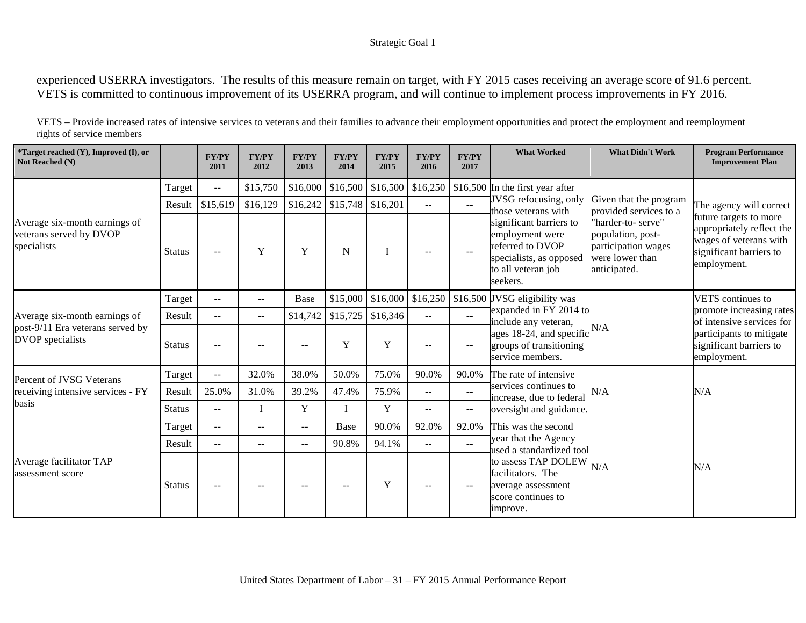#### Strategic Goal 1

experienced USERRA investigators. The results of this measure remain on target, with FY 2015 cases receiving an average score of 91.6 percent. VETS is committed to continuous improvement of its USERRA program, and will continue to implement process improvements in FY 2016.

| VETS – Provide increased rates of intensive services to veterans and their families to advance their employment opportunities and protect the employment and reemployment |
|---------------------------------------------------------------------------------------------------------------------------------------------------------------------------|
| rights of service members                                                                                                                                                 |

| *Target reached (Y), Improved (I), or<br>Not Reached (N)                                     |               | <b>FY/PY</b><br>2011 | <b>FY/PY</b><br>2012 | <b>FY/PY</b><br>2013                                  | <b>FY/PY</b><br>2014          | <b>FY/PY</b><br>2015                     | <b>FY/PY</b><br>2016 | <b>FY/PY</b><br>2017                          | <b>What Worked</b>                                                                                                          | <b>What Didn't Work</b>                                                                                                                               | <b>Program Performance</b><br><b>Improvement Plan</b>                                                                                              |                          |
|----------------------------------------------------------------------------------------------|---------------|----------------------|----------------------|-------------------------------------------------------|-------------------------------|------------------------------------------|----------------------|-----------------------------------------------|-----------------------------------------------------------------------------------------------------------------------------|-------------------------------------------------------------------------------------------------------------------------------------------------------|----------------------------------------------------------------------------------------------------------------------------------------------------|--------------------------|
|                                                                                              | Target        | $\sim$ $\sim$        | \$15,750             |                                                       |                               | $$16,000 \mid $16,500 \mid $16,500 \mid$ | \$16,250             |                                               | \$16,500 In the first year after                                                                                            | Given that the program<br>provided services to a<br>"harder-to- serve"<br>population, post-<br>participation wages<br>were lower than<br>anticipated. |                                                                                                                                                    |                          |
|                                                                                              | Result        | \$15,619             | \$16,129             |                                                       | $$16,242$ $$15,748$ $$16,201$ |                                          | $-$                  | $\overline{a}$                                | JVSG refocusing, only<br>those veterans with                                                                                |                                                                                                                                                       | The agency will correct<br>future targets to more<br>appropriately reflect the<br>wages of veterans with<br>significant barriers to<br>employment. |                          |
| Average six-month earnings of<br>veterans served by DVOP<br>specialists                      | <b>Status</b> | $\sim$ $\sim$        | Y                    | Y                                                     | N                             |                                          | $-$                  | $- -$                                         | significant barriers to<br>employment were<br>referred to DVOP<br>specialists, as opposed<br>to all veteran job<br>seekers. |                                                                                                                                                       |                                                                                                                                                    |                          |
| Average six-month earnings of<br>post-9/11 Era veterans served by<br><b>DVOP</b> specialists | Target        | $\mathbf{u}$         | $\sim$ $\sim$        | <b>Base</b>                                           |                               | \$15,000 \$16,000                        | \$16,250             |                                               | \$16,500 JVSG eligibility was<br>expanded in FY 2014 to                                                                     |                                                                                                                                                       |                                                                                                                                                    | <b>VETS</b> continues to |
|                                                                                              | Result        | $\sim$ $\sim$        | $-$                  | \$14,742                                              | \$15,725                      | \$16,346                                 | $\sim$ $\sim$        | $\mathbb{L}^{\mathbb{L}}$                     |                                                                                                                             | include any veteran,<br>N/A                                                                                                                           | promote increasing rates<br>of intensive services for<br>participants to mitigate<br>significant barriers to<br>employment.                        |                          |
|                                                                                              | <b>Status</b> | $\sim$ $\sim$        |                      | $-$                                                   | Y                             | Y                                        |                      | $\overline{\phantom{m}}$                      | ages 18-24, and specific<br>groups of transitioning<br>service members.                                                     |                                                                                                                                                       |                                                                                                                                                    |                          |
| Percent of JVSG Veterans                                                                     | Target        | $\sim$ $\sim$        | 32.0%                | 38.0%                                                 | 50.0%                         | 75.0%                                    | 90.0%                | 90.0%                                         | The rate of intensive                                                                                                       | N/A                                                                                                                                                   | N/A                                                                                                                                                |                          |
| receiving intensive services - FY                                                            | Result        | 25.0%                | 31.0%                | 39.2%                                                 | 47.4%                         | 75.9%                                    | $\mathbf{u}$         | $\mathbb{L}^{\mathbb{L}}$                     | services continues to<br>increase, due to federal                                                                           |                                                                                                                                                       |                                                                                                                                                    |                          |
| basis                                                                                        | <b>Status</b> | $\mathbf{u}$         |                      | Y                                                     |                               | Y                                        | $---$                | $\mathord{\hspace{1pt}\text{--}\hspace{1pt}}$ | oversight and guidance.                                                                                                     |                                                                                                                                                       |                                                                                                                                                    |                          |
|                                                                                              | Target        | $--$                 | $- -$                | $\overline{\phantom{m}}$                              | Base                          | 90.0%                                    | 92.0%                | 92.0%                                         | This was the second                                                                                                         |                                                                                                                                                       |                                                                                                                                                    |                          |
|                                                                                              | Result        | $--$                 | $- -$                | $\mathbf{u}$                                          | 90.8%                         | 94.1%                                    | $\qquad \qquad -$    | $--$                                          | year that the Agency<br>used a standardized tool                                                                            |                                                                                                                                                       |                                                                                                                                                    |                          |
| Average facilitator TAP<br>assessment score                                                  | <b>Status</b> | $--$                 | $- -$                | $\hspace{0.05cm} - \hspace{0.05cm} - \hspace{0.05cm}$ | $\qquad \qquad -$             | $\mathbf Y$                              | $--$                 | $-$                                           | to assess TAP DOLEW<br>N/A<br>facilitators. The<br>average assessment<br>score continues to<br>improve.                     | N/A                                                                                                                                                   |                                                                                                                                                    |                          |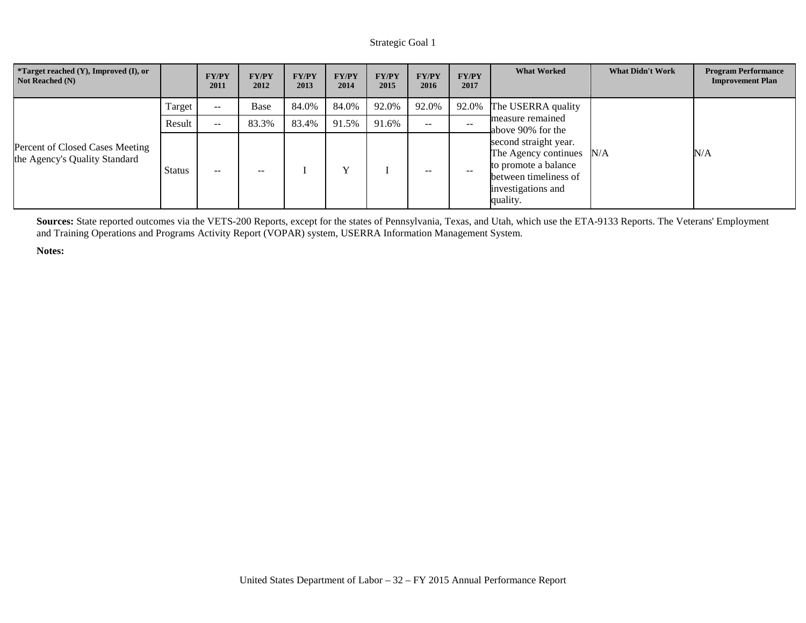| *Target reached (Y), Improved (I), or<br>Not Reached (N)         |        | <b>FY/PY</b><br>2011 | <b>FY/PY</b><br>2012 | <b>FY/PY</b><br>2013 | <b>FY/PY</b><br>2014 | <b>FY/PY</b><br>2015 | <b>FY/PY</b><br>2016                                  | <b>FY/PY</b><br>2017 | <b>What Worked</b>                                                                                                                   | <b>What Didn't Work</b> | <b>Program Performance</b><br><b>Improvement Plan</b> |
|------------------------------------------------------------------|--------|----------------------|----------------------|----------------------|----------------------|----------------------|-------------------------------------------------------|----------------------|--------------------------------------------------------------------------------------------------------------------------------------|-------------------------|-------------------------------------------------------|
|                                                                  | Target | $- -$                | Base                 | 84.0%                | 84.0%                | 92.0%                | 92.0%                                                 | 92.0%                | The USERRA quality<br>measure remained<br>above 90% for the                                                                          |                         |                                                       |
|                                                                  | Result | $\sim$ $\sim$        | 83.3%                | 83.4%                | 91.5%                | 91.6%                | $\hspace{0.05cm} - \hspace{0.05cm} - \hspace{0.05cm}$ | $- -$                |                                                                                                                                      |                         |                                                       |
| Percent of Closed Cases Meeting<br>the Agency's Quality Standard | Status | $-$                  | $- -$                |                      |                      |                      | $- -$                                                 | $- -$                | second straight year.<br>The Agency continues N/A<br>to promote a balance<br>between timeliness of<br>investigations and<br>quality. |                         | N/A                                                   |

**Sources:** State reported outcomes via the VETS-200 Reports, except for the states of Pennsylvania, Texas, and Utah, which use the ETA-9133 Reports. The Veterans' Employment and Training Operations and Programs Activity Report (VOPAR) system, USERRA Information Management System.

**Notes:**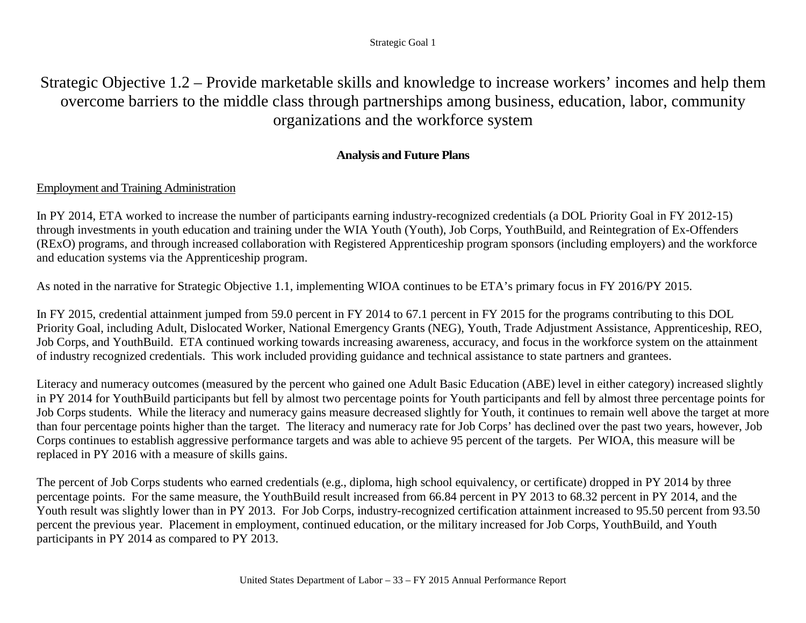# Strategic Objective 1.2 – Provide marketable skills and knowledge to increase workers' incomes and help them overcome barriers to the middle class through partnerships among business, education, labor, community organizations and the workforce system

# **Analysis and Future Plans**

# Employment and Training Administration

In PY 2014, ETA worked to increase the number of participants earning industry-recognized credentials (a DOL Priority Goal in FY 2012-15) through investments in youth education and training under the WIA Youth (Youth), Job Corps, YouthBuild, and Reintegration of Ex-Offenders (RExO) programs, and through increased collaboration with Registered Apprenticeship program sponsors (including employers) and the workforce and education systems via the Apprenticeship program.

As noted in the narrative for Strategic Objective 1.1, implementing WIOA continues to be ETA's primary focus in FY 2016/PY 2015.

In FY 2015, credential attainment jumped from 59.0 percent in FY 2014 to 67.1 percent in FY 2015 for the programs contributing to this DOL Priority Goal, including Adult, Dislocated Worker, National Emergency Grants (NEG), Youth, Trade Adjustment Assistance, Apprenticeship, REO, Job Corps, and YouthBuild. ETA continued working towards increasing awareness, accuracy, and focus in the workforce system on the attainment of industry recognized credentials. This work included providing guidance and technical assistance to state partners and grantees.

Literacy and numeracy outcomes (measured by the percent who gained one Adult Basic Education (ABE) level in either category) increased slightly in PY 2014 for YouthBuild participants but fell by almost two percentage points for Youth participants and fell by almost three percentage points for Job Corps students. While the literacy and numeracy gains measure decreased slightly for Youth, it continues to remain well above the target at more than four percentage points higher than the target. The literacy and numeracy rate for Job Corps' has declined over the past two years, however, Job Corps continues to establish aggressive performance targets and was able to achieve 95 percent of the targets. Per WIOA, this measure will be replaced in PY 2016 with a measure of skills gains.

The percent of Job Corps students who earned credentials (e.g., diploma, high school equivalency, or certificate) dropped in PY 2014 by three percentage points. For the same measure, the YouthBuild result increased from 66.84 percent in PY 2013 to 68.32 percent in PY 2014, and the Youth result was slightly lower than in PY 2013. For Job Corps, industry-recognized certification attainment increased to 95.50 percent from 93.50 percent the previous year. Placement in employment, continued education, or the military increased for Job Corps, YouthBuild, and Youth participants in PY 2014 as compared to PY 2013.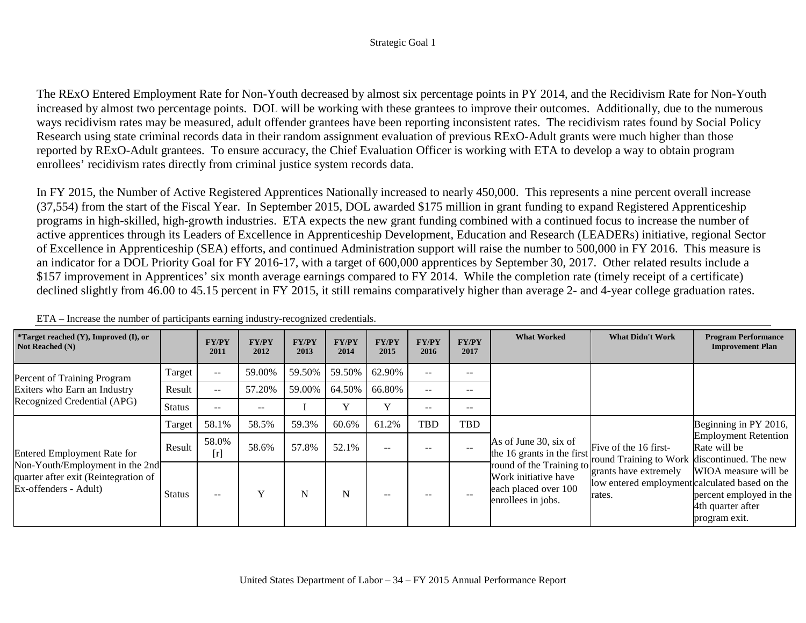The RExO Entered Employment Rate for Non-Youth decreased by almost six percentage points in PY 2014, and the Recidivism Rate for Non-Youth increased by almost two percentage points. DOL will be working with these grantees to improve their outcomes. Additionally, due to the numerous ways recidivism rates may be measured, adult offender grantees have been reporting inconsistent rates. The recidivism rates found by Social Policy Research using state criminal records data in their random assignment evaluation of previous RExO-Adult grants were much higher than those reported by RExO-Adult grantees. To ensure accuracy, the Chief Evaluation Officer is working with ETA to develop a way to obtain program enrollees' recidivism rates directly from criminal justice system records data.

In FY 2015, the Number of Active Registered Apprentices Nationally increased to nearly 450,000. This represents a nine percent overall increase (37,554) from the start of the Fiscal Year. In September 2015, DOL awarded \$175 million in grant funding to expand Registered Apprenticeship programs in high-skilled, high-growth industries. ETA expects the new grant funding combined with a continued focus to increase the number of active apprentices through its Leaders of Excellence in Apprenticeship Development, Education and Research (LEADERs) initiative, regional Sector of Excellence in Apprenticeship (SEA) efforts, and continued Administration support will raise the number to 500,000 in FY 2016. This measure is an indicator for a DOL Priority Goal for FY 2016-17, with a target of 600,000 apprentices by September 30, 2017. Other related results include a \$157 improvement in Apprentices' six month average earnings compared to FY 2014. While the completion rate (timely receipt of a certificate) declined slightly from 46.00 to 45.15 percent in FY 2015, it still remains comparatively higher than average 2- and 4-year college graduation rates.

| *Target reached (Y), Improved (I), or<br><b>Not Reached (N)</b>                                  |               | <b>FY/PY</b><br>2011 | <b>FY/PY</b><br>2012 | <b>FY/PY</b><br>2013 | <b>FY/PY</b><br>2014 | <b>FY/PY</b><br>2015 | <b>FY/PY</b><br>2016 | <b>FY/PY</b><br>2017 | <b>What Worked</b>                                                                             | <b>What Didn't Work</b>                                                           | <b>Program Performance</b><br><b>Improvement Plan</b>                                 |
|--------------------------------------------------------------------------------------------------|---------------|----------------------|----------------------|----------------------|----------------------|----------------------|----------------------|----------------------|------------------------------------------------------------------------------------------------|-----------------------------------------------------------------------------------|---------------------------------------------------------------------------------------|
| Percent of Training Program                                                                      | Target        | $-$                  | 59.00%               | 59.50%               | 59.50%               | 62.90%               | $\sim$ $\sim$        | $- -$                |                                                                                                |                                                                                   |                                                                                       |
| Exiters who Earn an Industry                                                                     | Result        | $-$                  | 57.20%               | 59.00%               | 64.50%               | 66.80%               | $\sim$ $\sim$        | $- -$                |                                                                                                |                                                                                   |                                                                                       |
| Recognized Credential (APG)                                                                      | <b>Status</b> | $- -$                | $- -$                |                      |                      | v                    | $- -$                | $- -$                |                                                                                                |                                                                                   |                                                                                       |
|                                                                                                  | Target        | 58.1%                | 58.5%                | 59.3%                | 60.6%                | 61.2%                | TBD                  | TBD                  |                                                                                                |                                                                                   | Beginning in PY 2016,                                                                 |
| <b>Entered Employment Rate for</b>                                                               | Result        | 58.0%<br>[r]         | 58.6%                | 57.8%                | 52.1%                | $- -$                |                      |                      | As of June 30, six of<br>the 16 grants in the first                                            | Five of the 16 first-<br>round Training to Work discontinued. The new             | <b>Employment Retention</b><br>Rate will be                                           |
| Non-Youth/Employment in the 2nd<br>quarter after exit (Reintegration of<br>Ex-offenders - Adult) | <b>Status</b> | $-$                  |                      | N                    | N                    | $- -$                | $- -$                | $-$                  | round of the Training to<br>Work initiative have<br>each placed over 100<br>enrollees in jobs. | grants have extremely<br>low entered employment calculated based on the<br>rates. | WIOA measure will be<br>percent employed in the<br>4th quarter after<br>program exit. |

|  |  | ETA – Increase the number of participants earning industry-recognized credentials. |  |  |
|--|--|------------------------------------------------------------------------------------|--|--|
|  |  |                                                                                    |  |  |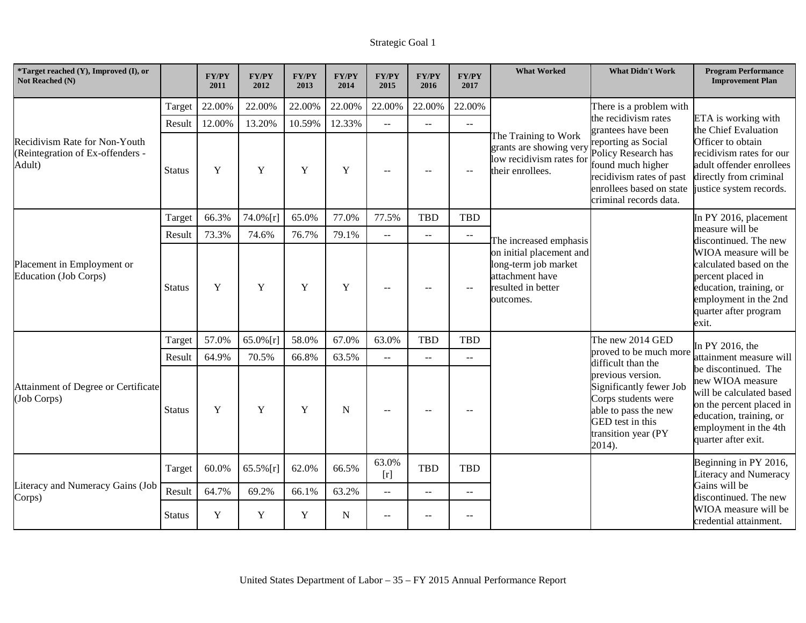| <i>*Target reached (Y), Improved (I), or</i><br>Not Reached (N)             |               | <b>FY/PY</b><br>2011 | <b>FY/PY</b><br>2012 | <b>FY/PY</b><br>2013 | <b>FY/PY</b><br>2014 | <b>FY/PY</b><br>2015                          | <b>FY/PY</b><br>2016                          | <b>FY/PY</b><br>2017                                | <b>What Worked</b>                                                                                     | <b>What Didn't Work</b>                                                                                                                                                                          | <b>Program Performance</b><br><b>Improvement Plan</b>                                                                                                                       |
|-----------------------------------------------------------------------------|---------------|----------------------|----------------------|----------------------|----------------------|-----------------------------------------------|-----------------------------------------------|-----------------------------------------------------|--------------------------------------------------------------------------------------------------------|--------------------------------------------------------------------------------------------------------------------------------------------------------------------------------------------------|-----------------------------------------------------------------------------------------------------------------------------------------------------------------------------|
|                                                                             | Target        | 22.00%               | 22.00%               | 22.00%               | 22.00%               | 22.00%                                        | 22.00%                                        | 22.00%                                              |                                                                                                        | There is a problem with                                                                                                                                                                          |                                                                                                                                                                             |
|                                                                             | Result        | 12.00%               | 13.20%               | 10.59%               | 12.33%               | $\overline{a}$                                | $-$                                           | $\sim$ $\sim$                                       |                                                                                                        | the recidivism rates<br>grantees have been                                                                                                                                                       | ETA is working with<br>the Chief Evaluation                                                                                                                                 |
| Recidivism Rate for Non-Youth<br>(Reintegration of Ex-offenders -<br>Adult) | <b>Status</b> | $\mathbf Y$          | $\mathbf Y$          | $\mathbf Y$          | $\mathbf Y$          | $-$                                           | $\sim$ $\sim$                                 | $\sim$                                              | The Training to Work<br>grants are showing very<br>low recidivism rates for<br>their enrollees.        | reporting as Social<br>Policy Research has<br>found much higher<br>recidivism rates of past<br>enrollees based on state<br>criminal records data.                                                | Officer to obtain<br>recidivism rates for our<br>adult offender enrollees<br>directly from criminal<br>justice system records.                                              |
|                                                                             | Target        | 66.3%                | 74.0% [r]            | 65.0%                | 77.0%                | 77.5%                                         | <b>TBD</b>                                    | <b>TBD</b>                                          |                                                                                                        |                                                                                                                                                                                                  | In PY 2016, placement                                                                                                                                                       |
|                                                                             | Result        | 73.3%                | 74.6%                | 76.7%                | 79.1%                | $-$                                           | $\mathord{\hspace{1pt}\text{--}\hspace{1pt}}$ | $\mathbb{H}^{\mathbb{H}}$                           | The increased emphasis                                                                                 |                                                                                                                                                                                                  | measure will be<br>discontinued. The new                                                                                                                                    |
| Placement in Employment or<br><b>Education (Job Corps)</b>                  | <b>Status</b> | Y                    | Y                    | Y                    | Y                    | $-$                                           | $-$                                           |                                                     | on initial placement and<br>long-term job market<br>attachment have<br>resulted in better<br>outcomes. |                                                                                                                                                                                                  | WIOA measure will be<br>calculated based on the<br>percent placed in<br>education, training, or<br>employment in the 2nd<br>quarter after program<br>exit.                  |
|                                                                             | Target        | 57.0%                | $65.0\%$ [r]         | 58.0%                | 67.0%                | 63.0%                                         | <b>TBD</b>                                    | TBD                                                 | The new 2014 GED                                                                                       |                                                                                                                                                                                                  | In PY 2016, the                                                                                                                                                             |
|                                                                             | Result        | 64.9%                | 70.5%                | 66.8%                | 63.5%                | $-$                                           | $\overline{\phantom{m}}$                      | $\overline{\phantom{m}}$                            |                                                                                                        |                                                                                                                                                                                                  | attainment measure will                                                                                                                                                     |
| Attainment of Degree or Certificate<br>(Job Corps)                          | Status        | Y                    | Y                    | Y                    | N                    | $- -$                                         | $\sim$ $\sim$                                 | $\sim$                                              |                                                                                                        | proved to be much more<br>difficult than the<br>previous version.<br>Significantly fewer Job<br>Corps students were<br>able to pass the new<br>GED test in this<br>transition year (PY<br>2014). | be discontinued. The<br>new WIOA measure<br>will be calculated based<br>on the percent placed in<br>education, training, or<br>employment in the 4th<br>quarter after exit. |
|                                                                             | Target        | 60.0%                | $65.5\%$ [r]         | 62.0%                | 66.5%                | 63.0%<br>[r]                                  | <b>TBD</b>                                    | TBD                                                 |                                                                                                        |                                                                                                                                                                                                  | Beginning in PY 2016,<br>Literacy and Numeracy                                                                                                                              |
| Corps)                                                                      | Result        | 64.7%                | 69.2%                | 66.1%                | 63.2%                | $\overline{a}$                                | $\mathbf{u}$                                  | $\mathbf{u}$                                        |                                                                                                        |                                                                                                                                                                                                  | Gains will be<br>discontinued. The new                                                                                                                                      |
| Literacy and Numeracy Gains (Job                                            | <b>Status</b> | $\mathbf Y$          | Y                    | Y                    | N                    | $\mathord{\hspace{1pt}\text{--}\hspace{1pt}}$ | $--$                                          | $\hspace{0.05cm} -\hspace{0.05cm} -\hspace{0.05cm}$ |                                                                                                        |                                                                                                                                                                                                  | WIOA measure will be<br>credential attainment.                                                                                                                              |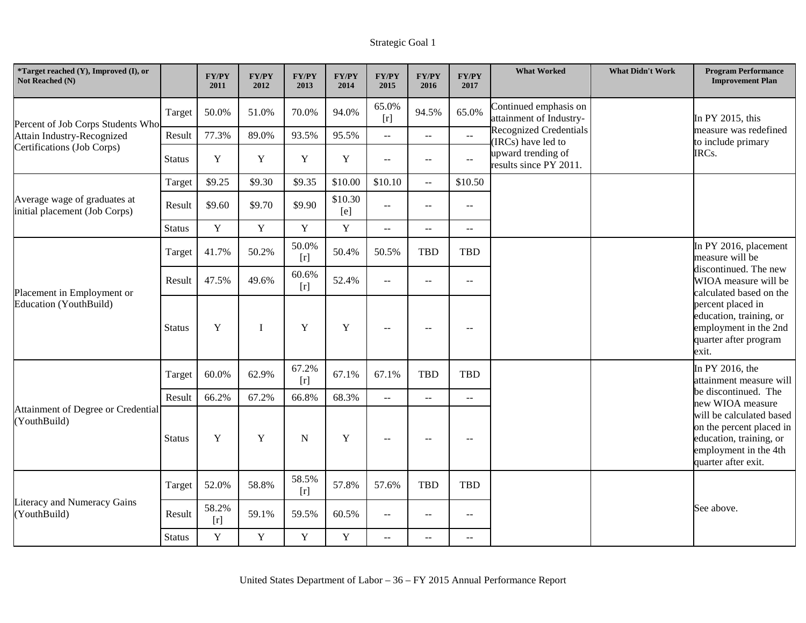| *Target reached (Y), Improved (I), or<br>Not Reached (N)      |               | <b>FY/PY</b><br>2011 | <b>FY/PY</b><br>2012 | <b>FY/PY</b><br>2013 | <b>FY/PY</b><br>2014 | <b>FY/PY</b><br>2015      | <b>FY/PY</b><br>2016                          | <b>FY/PY</b><br>2017                          | <b>What Worked</b>                                  | <b>What Didn't Work</b> | <b>Program Performance</b><br><b>Improvement Plan</b>                                                                           |
|---------------------------------------------------------------|---------------|----------------------|----------------------|----------------------|----------------------|---------------------------|-----------------------------------------------|-----------------------------------------------|-----------------------------------------------------|-------------------------|---------------------------------------------------------------------------------------------------------------------------------|
| Percent of Job Corps Students Who                             | Target        | 50.0%                | 51.0%                | 70.0%                | 94.0%                | 65.0%<br>[r]              | 94.5%                                         | 65.0%                                         | Continued emphasis on<br>attainment of Industry-    |                         | In PY 2015, this                                                                                                                |
| Attain Industry-Recognized                                    | Result        | 77.3%                | 89.0%                | 93.5%                | 95.5%                | $\mathbb{Z}^{\mathbb{Z}}$ | $\mathbb{L} \mathbb{L}$                       | $\mathbb{L}^{\mathbb{L}}$                     | <b>Recognized Credentials</b><br>(IRCs) have led to |                         | measure was redefined<br>to include primary                                                                                     |
| Certifications (Job Corps)                                    | <b>Status</b> | $\mathbf Y$          | Y                    | $\mathbf Y$          | $\mathbf Y$          | $\sim$ $\sim$             | $\mathord{\hspace{1pt}\text{--}\hspace{1pt}}$ | $\mathord{\hspace{1pt}\text{--}\hspace{1pt}}$ | upward trending of<br>results since PY 2011.        |                         | IRCs.                                                                                                                           |
|                                                               | Target        | \$9.25               | \$9.30               | \$9.35               | \$10.00              | \$10.10                   | $\sim$ $\sim$                                 | \$10.50                                       |                                                     |                         |                                                                                                                                 |
| Average wage of graduates at<br>initial placement (Job Corps) | Result        | \$9.60               | \$9.70               | \$9.90               | \$10.30<br>[e]       | $\sim$ $\sim$             | $\sim$ $\sim$                                 | $\rightarrow$ $\rightarrow$                   |                                                     |                         |                                                                                                                                 |
|                                                               | <b>Status</b> | $\mathbf Y$          | Y                    | $\mathbf Y$          | $\mathbf Y$          | $\mathbb{Z}^{\mathbb{Z}}$ | $\mathbb{L} \mathbb{L}$                       | $\sim$ $\sim$                                 |                                                     |                         |                                                                                                                                 |
|                                                               | Target        | 41.7%                | 50.2%                | 50.0%<br>[r]         | 50.4%                | 50.5%                     | <b>TBD</b>                                    | TBD                                           |                                                     |                         | In PY 2016, placement<br>measure will be                                                                                        |
| Placement in Employment or<br>Education (YouthBuild)          | Result        | 47.5%                | 49.6%                | 60.6%<br>[r]         | 52.4%                | $\sim$ $\sim$             | $\overline{a}$                                | $\overline{a}$                                |                                                     |                         | discontinued. The new<br>WIOA measure will be<br>calculated based on the                                                        |
|                                                               | <b>Status</b> | Y                    | $\mathbf I$          | Y                    | Y                    | $\overline{\phantom{m}}$  | $\overline{\phantom{m}}$                      | $\overline{\phantom{m}}$                      |                                                     |                         | percent placed in<br>education, training, or<br>employment in the 2nd<br>quarter after program<br>exit.                         |
|                                                               | Target        | 60.0%                | 62.9%                | 67.2%<br>$[r]$       | 67.1%                | 67.1%                     | <b>TBD</b>                                    | <b>TBD</b>                                    |                                                     |                         | In PY 2016, the<br>attainment measure will                                                                                      |
|                                                               | Result        | 66.2%                | 67.2%                | 66.8%                | 68.3%                | $\mathbb{L}^{\mathbb{L}}$ | $\mathbf{L}$                                  | $\overline{a}$                                |                                                     |                         | be discontinued. The<br>new WIOA measure                                                                                        |
| Attainment of Degree or Credential<br>(YouthBuild)            | <b>Status</b> | Y                    | Y                    | N                    | Y                    | $- -$                     | $\sim$ $\sim$                                 | $\sim$                                        |                                                     |                         | will be calculated based<br>on the percent placed in<br>education, training, or<br>employment in the 4th<br>quarter after exit. |
| Literacy and Numeracy Gains<br>(YouthBuild)                   | Target        | 52.0%                | 58.8%                | 58.5%                | 57.8%                | 57.6%                     | <b>TBD</b>                                    | <b>TBD</b>                                    |                                                     |                         |                                                                                                                                 |
|                                                               | Result        | 58.2%<br>[r]         | 59.1%                | 59.5%                | 60.5%                | $\overline{a}$            | $\overline{\phantom{m}}$                      | $\overline{\phantom{a}}$                      |                                                     |                         | See above.                                                                                                                      |
|                                                               | <b>Status</b> | $\mathbf Y$          | $\mathbf Y$          | $\mathbf Y$          | $\mathbf Y$          | $\mathbf{u}$              | $-$                                           | $-$                                           |                                                     |                         |                                                                                                                                 |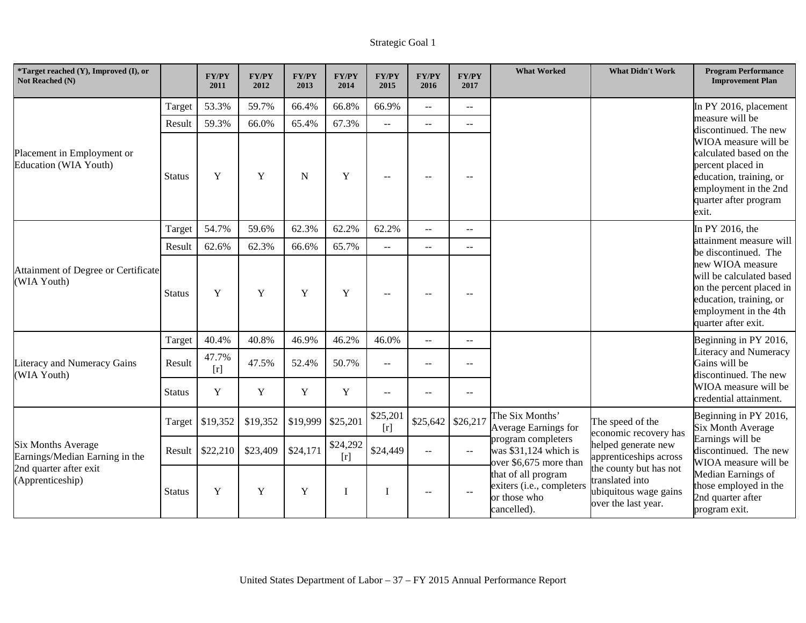| *Target reached (Y), Improved (I), or<br>Not Reached (N)                                                  |               | <b>FY/PY</b><br>2011 | <b>FY/PY</b><br>2012 | <b>FY/PY</b><br>2013                        | <b>FY/PY</b><br>2014 | <b>FY/PY</b><br>2015                                                                                                                                | <b>FY/PY</b><br>2016     | <b>FY/PY</b><br>2017     | <b>What Worked</b>                                                                                                                                                                                                                                                                                                                               | <b>What Didn't Work</b>                                                                                  | <b>Program Performance</b><br><b>Improvement Plan</b>                                                                                                      |
|-----------------------------------------------------------------------------------------------------------|---------------|----------------------|----------------------|---------------------------------------------|----------------------|-----------------------------------------------------------------------------------------------------------------------------------------------------|--------------------------|--------------------------|--------------------------------------------------------------------------------------------------------------------------------------------------------------------------------------------------------------------------------------------------------------------------------------------------------------------------------------------------|----------------------------------------------------------------------------------------------------------|------------------------------------------------------------------------------------------------------------------------------------------------------------|
|                                                                                                           | Target        | 53.3%                | 59.7%                | 66.4%                                       | 66.8%                | 66.9%                                                                                                                                               | $\overline{\phantom{m}}$ | $\sim$ $\sim$            |                                                                                                                                                                                                                                                                                                                                                  |                                                                                                          | In PY 2016, placement                                                                                                                                      |
|                                                                                                           | Result        | 59.3%                | 66.0%                | 65.4%                                       | 67.3%                | $\sim$                                                                                                                                              | $\sim$                   | --                       |                                                                                                                                                                                                                                                                                                                                                  |                                                                                                          | measure will be<br>discontinued. The new                                                                                                                   |
| Placement in Employment or<br><b>Education (WIA Youth)</b>                                                | <b>Status</b> | Y                    | Y                    | $\mathbf N$                                 | Y                    | $\overline{\phantom{a}}$                                                                                                                            | $-$                      | $\sim$ $\sim$            |                                                                                                                                                                                                                                                                                                                                                  |                                                                                                          | WIOA measure will be<br>calculated based on the<br>percent placed in<br>education, training, or<br>employment in the 2nd<br>quarter after program<br>exit. |
|                                                                                                           | Target        | 54.7%                | 59.6%                | 62.3%                                       | 62.2%                | 62.2%                                                                                                                                               | $-$                      | $\mathbf{u}$             |                                                                                                                                                                                                                                                                                                                                                  |                                                                                                          | In PY 2016, the                                                                                                                                            |
|                                                                                                           | Result        | 62.6%                | 62.3%                | 66.6%                                       | 65.7%                | $\sim$ $\sim$                                                                                                                                       | $\overline{\phantom{m}}$ | $\overline{\phantom{m}}$ |                                                                                                                                                                                                                                                                                                                                                  |                                                                                                          | attainment measure will<br>be discontinued. The                                                                                                            |
| Attainment of Degree or Certificate<br>(WIA Youth)                                                        | <b>Status</b> | Y                    | $\mathbf Y$          | $\mathbf Y$<br>$\mathbf Y$<br>$\sim$<br>$-$ |                      | new WIOA measure<br>will be calculated based<br>on the percent placed in<br>education, training, or<br>employment in the 4th<br>quarter after exit. |                          |                          |                                                                                                                                                                                                                                                                                                                                                  |                                                                                                          |                                                                                                                                                            |
|                                                                                                           | Target        | 40.4%                | 40.8%                | 46.9%                                       | 46.2%                | 46.0%                                                                                                                                               | $\mathbf{u}$             | $\overline{a}$           |                                                                                                                                                                                                                                                                                                                                                  |                                                                                                          | Beginning in PY 2016,                                                                                                                                      |
| Literacy and Numeracy Gains<br>(WIA Youth)                                                                | Result        | 47.7%<br>[r]         | 47.5%                | 52.4%                                       | 50.7%                | $-$                                                                                                                                                 | $\overline{\phantom{m}}$ | $\overline{\phantom{m}}$ |                                                                                                                                                                                                                                                                                                                                                  |                                                                                                          | Literacy and Numeracy<br>Gains will be<br>discontinued. The new                                                                                            |
|                                                                                                           | <b>Status</b> | Y                    | $\mathbf Y$          | Y                                           | $\mathbf Y$          | $- -$                                                                                                                                               | $\sim$                   | $\overline{\phantom{m}}$ |                                                                                                                                                                                                                                                                                                                                                  |                                                                                                          | WIOA measure will be<br>credential attainment.                                                                                                             |
| <b>Six Months Average</b><br>Earnings/Median Earning in the<br>2nd quarter after exit<br>(Apprenticeship) | Target        | \$19,352             | \$19,352             | \$19,999                                    | \$25,201             | \$25,201<br>[r]                                                                                                                                     | \$25,642                 | \$26,217                 | The Six Months'<br>Average Earnings for                                                                                                                                                                                                                                                                                                          | The speed of the                                                                                         | Beginning in PY 2016,<br>Six Month Average                                                                                                                 |
|                                                                                                           | Result        | \$22,210             | \$23,409             | \$24,171                                    | \$24,292<br>[r]      | \$24,449                                                                                                                                            | $\sim$                   | $\sim$ $\sim$            | economic recovery has<br>program completers<br>helped generate new<br>was \$31,124 which is<br>apprenticeships across<br>over \$6,675 more than<br>the county but has not<br>that of all program<br>translated into<br>exiters (i.e., completers<br>ubiquitous wage gains<br>$\rightarrow$<br>or those who<br>over the last year.<br>cancelled). |                                                                                                          | Earnings will be<br>discontinued. The new                                                                                                                  |
|                                                                                                           | <b>Status</b> | Y                    | Y                    | Y                                           |                      | I                                                                                                                                                   | $\sim$ $\sim$            |                          |                                                                                                                                                                                                                                                                                                                                                  | WIOA measure will be<br>Median Earnings of<br>hose employed in the<br>2nd quarter after<br>program exit. |                                                                                                                                                            |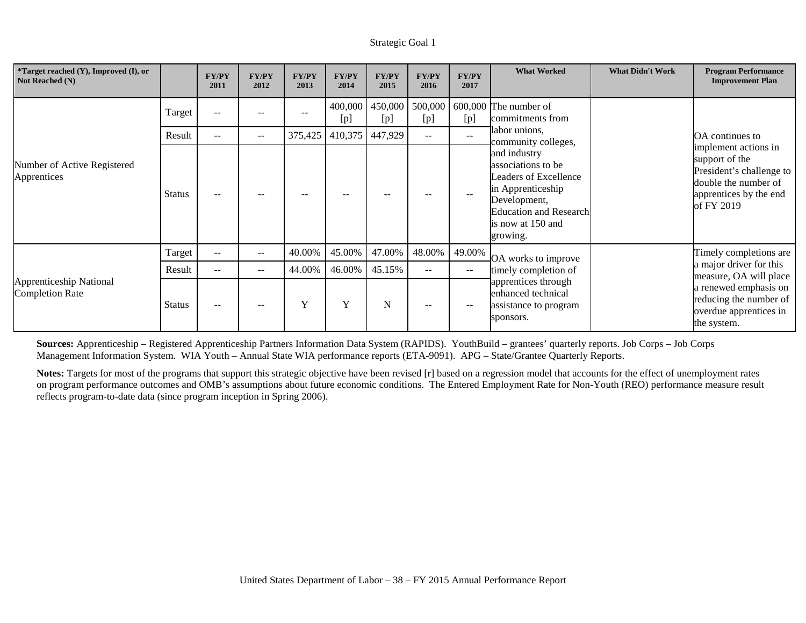| *Target reached (Y), Improved (I), or<br>Not Reached (N) |               | <b>FY/PY</b><br>2011 | <b>FY/PY</b><br>2012     | <b>FY/PY</b><br>2013 | <b>FY/PY</b><br>2014 | <b>FY/PY</b><br>2015 | <b>FY/PY</b><br>2016 | <b>FY/PY</b><br>2017     | <b>What Worked</b>                                                                                                                                                        | <b>What Didn't Work</b> | <b>Program Performance</b><br><b>Improvement Plan</b>                                                                                                 |
|----------------------------------------------------------|---------------|----------------------|--------------------------|----------------------|----------------------|----------------------|----------------------|--------------------------|---------------------------------------------------------------------------------------------------------------------------------------------------------------------------|-------------------------|-------------------------------------------------------------------------------------------------------------------------------------------------------|
|                                                          | Target        | $\sim$ $\sim$        |                          |                      | 400,000<br>[p]       | 450,000<br>[p]       | 500,000<br>[p]       | [p]                      | $600,000$ The number of<br>commitments from                                                                                                                               |                         |                                                                                                                                                       |
|                                                          | Result        | $\sim$ $\sim$        | $--$                     | 375,425              | 410,375              | 447,929              | $--$                 | $\overline{\phantom{m}}$ | abor unions,<br>community colleges,                                                                                                                                       |                         | OA continues to<br>implement actions in<br>support of the<br>President's challenge to<br>double the number of<br>apprentices by the end<br>of FY 2019 |
| Number of Active Registered<br>Apprentices               | <b>Status</b> | $-$                  |                          | $- -$                |                      |                      |                      |                          | and industry<br>associations to be<br><b>Leaders of Excellence</b><br>in Apprenticeship<br>Development,<br><b>Education and Research</b><br>is now at 150 and<br>growing. |                         |                                                                                                                                                       |
|                                                          | Target        | $\sim$ $\sim$        | $\overline{\phantom{m}}$ | 40.00%               | 45.00%               | 47.00%               | 48.00%               | 49.00%                   | OA works to improve                                                                                                                                                       |                         | Timely completions are                                                                                                                                |
|                                                          | Result        | $ -$                 | $\overline{\phantom{m}}$ | 44.00%               | 46.00%               | 45.15%               | $\sim$ $\sim$        | $--$                     | timely completion of                                                                                                                                                      |                         | a major driver for this<br>measure, OA will place                                                                                                     |
| Apprenticeship National<br><b>Completion Rate</b>        | <b>Status</b> | $-$                  | $- -$                    | Y                    | Y                    | N                    | $\qquad \qquad -$    | $- -$                    | apprentices through<br>enhanced technical<br>assistance to program<br>sponsors.                                                                                           |                         | a renewed emphasis on<br>reducing the number of<br>overdue apprentices in<br>the system.                                                              |

**Sources:** Apprenticeship – Registered Apprenticeship Partners Information Data System (RAPIDS). YouthBuild – grantees' quarterly reports. Job Corps – Job Corps Management Information System. WIA Youth – Annual State WIA performance reports (ETA-9091). APG – State/Grantee Quarterly Reports.

**Notes:** Targets for most of the programs that support this strategic objective have been revised [r] based on a regression model that accounts for the effect of unemployment rates on program performance outcomes and OMB's assumptions about future economic conditions. The Entered Employment Rate for Non-Youth (REO) performance measure result reflects program-to-date data (since program inception in Spring 2006).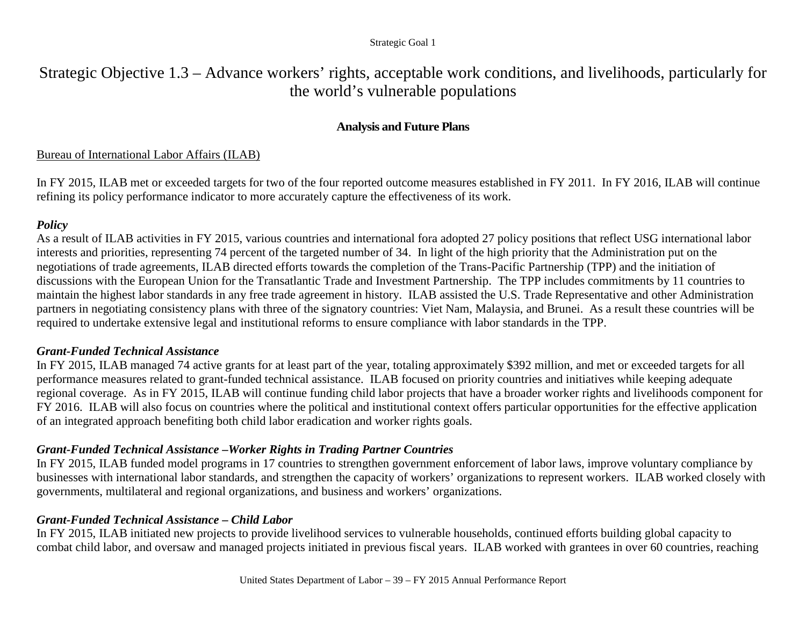Strategic Objective 1.3 – Advance workers' rights, acceptable work conditions, and livelihoods, particularly for the world's vulnerable populations

# **Analysis and Future Plans**

# Bureau of International Labor Affairs (ILAB)

In FY 2015, ILAB met or exceeded targets for two of the four reported outcome measures established in FY 2011. In FY 2016, ILAB will continue refining its policy performance indicator to more accurately capture the effectiveness of its work.

# *Policy*

As a result of ILAB activities in FY 2015, various countries and international fora adopted 27 policy positions that reflect USG international labor interests and priorities, representing 74 percent of the targeted number of 34. In light of the high priority that the Administration put on the negotiations of trade agreements, ILAB directed efforts towards the completion of the Trans-Pacific Partnership (TPP) and the initiation of discussions with the European Union for the Transatlantic Trade and Investment Partnership. The TPP includes commitments by 11 countries to maintain the highest labor standards in any free trade agreement in history. ILAB assisted the U.S. Trade Representative and other Administration partners in negotiating consistency plans with three of the signatory countries: Viet Nam, Malaysia, and Brunei. As a result these countries will be required to undertake extensive legal and institutional reforms to ensure compliance with labor standards in the TPP.

# *Grant-Funded Technical Assistance*

In FY 2015, ILAB managed 74 active grants for at least part of the year, totaling approximately \$392 million, and met or exceeded targets for all performance measures related to grant-funded technical assistance. ILAB focused on priority countries and initiatives while keeping adequate regional coverage. As in FY 2015, ILAB will continue funding child labor projects that have a broader worker rights and livelihoods component for FY 2016. ILAB will also focus on countries where the political and institutional context offers particular opportunities for the effective application of an integrated approach benefiting both child labor eradication and worker rights goals.

# *Grant-Funded Technical Assistance* **–***Worker Rights in Trading Partner Countries*

In FY 2015, ILAB funded model programs in 17 countries to strengthen government enforcement of labor laws, improve voluntary compliance by businesses with international labor standards, and strengthen the capacity of workers' organizations to represent workers. ILAB worked closely with governments, multilateral and regional organizations, and business and workers' organizations.

# *Grant-Funded Technical Assistance* **–** *Child Labor*

In FY 2015, ILAB initiated new projects to provide livelihood services to vulnerable households, continued efforts building global capacity to combat child labor, and oversaw and managed projects initiated in previous fiscal years. ILAB worked with grantees in over 60 countries, reaching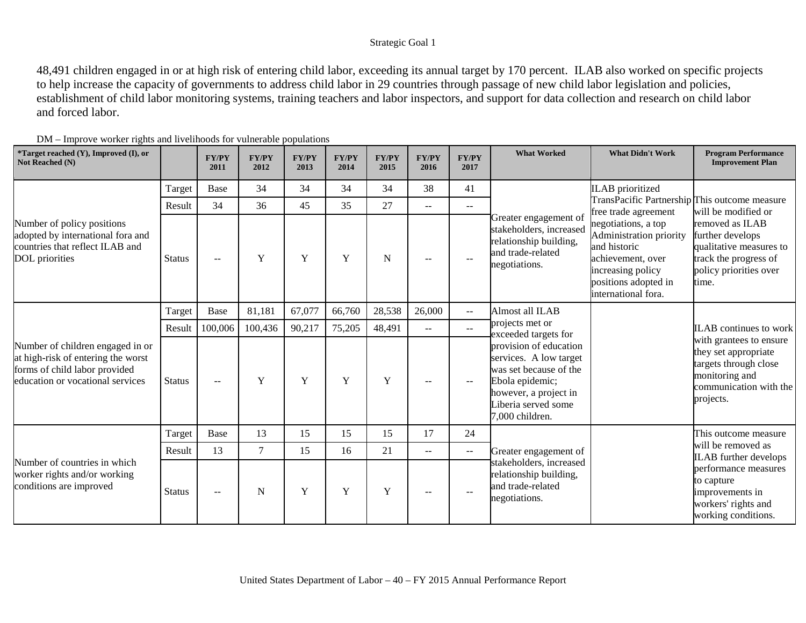48,491 children engaged in or at high risk of entering child labor, exceeding its annual target by 170 percent. ILAB also worked on specific projects to help increase the capacity of governments to address child labor in 29 countries through passage of new child labor legislation and policies, establishment of child labor monitoring systems, training teachers and labor inspectors, and support for data collection and research on child labor and forced labor.

| *Target reached (Y), Improved (I), or<br>Not Reached (N)                                                                                    |               | <b>FY/PY</b><br>2011     | <b>FY/PY</b><br>2012 | <b>FY/PY</b><br>2013 | <b>FY/PY</b><br>2014 | <b>FY/PY</b><br>2015 | <b>FY/PY</b><br>2016     | <b>FY/PY</b><br>2017      | <b>What Worked</b>                                                                                                                                               | <b>What Didn't Work</b>                                                                                                                                 | <b>Program Performance</b><br><b>Improvement Plan</b>                                                                               |
|---------------------------------------------------------------------------------------------------------------------------------------------|---------------|--------------------------|----------------------|----------------------|----------------------|----------------------|--------------------------|---------------------------|------------------------------------------------------------------------------------------------------------------------------------------------------------------|---------------------------------------------------------------------------------------------------------------------------------------------------------|-------------------------------------------------------------------------------------------------------------------------------------|
|                                                                                                                                             | Target        | Base                     | 34                   | 34                   | 34                   | 34                   | 38                       | 41                        |                                                                                                                                                                  | <b>ILAB</b> prioritized                                                                                                                                 |                                                                                                                                     |
|                                                                                                                                             | Result        | 34                       | 36                   | 45                   | 35                   | 27                   | $--$                     | $\overline{\phantom{m}}$  |                                                                                                                                                                  | TransPacific Partnership This outcome measure<br>free trade agreement                                                                                   | will be modified or                                                                                                                 |
| Number of policy positions<br>adopted by international fora and<br>countries that reflect ILAB and<br>DOL priorities                        | <b>Status</b> | $\overline{\phantom{a}}$ | Y                    | Y                    | Y                    | $\mathbf N$          | $\sim$ $\sim$            | $\sim$                    | Greater engagement of<br>stakeholders, increased<br>relationship building,<br>and trade-related<br>negotiations.                                                 | negotiations, a top<br>Administration priority<br>and historic<br>achievement, over<br>increasing policy<br>positions adopted in<br>international fora. | removed as ILAB<br>further develops<br>qualitative measures to<br>track the progress of<br>policy priorities over<br>time.          |
|                                                                                                                                             | Target        | Base                     | 81,181               | 67,077               | 66,760               | 28,538               | 26,000                   | $-$                       | Almost all ILAB                                                                                                                                                  |                                                                                                                                                         |                                                                                                                                     |
|                                                                                                                                             | Result        | 100,006                  | 100,436              | 90,217               | 75,205               | 48,491               | $  \,$                   | $\mathbb{L}^{\mathbb{L}}$ | projects met or<br>exceeded targets for                                                                                                                          |                                                                                                                                                         | <b>ILAB</b> continues to work                                                                                                       |
| Number of children engaged in or<br>at high-risk of entering the worst<br>forms of child labor provided<br>education or vocational services | <b>Status</b> | $-$                      | Y                    | Y                    | Y                    | $\mathbf Y$          |                          | $\overline{\phantom{m}}$  | provision of education<br>services. A low target<br>was set because of the<br>Ebola epidemic;<br>however, a project in<br>Liberia served some<br>7,000 children. |                                                                                                                                                         | with grantees to ensure<br>they set appropriate<br>targets through close<br>monitoring and<br>communication with the<br>projects.   |
|                                                                                                                                             | Target        | Base                     | 13                   | 15                   | 15                   | 15                   | 17                       | 24                        |                                                                                                                                                                  |                                                                                                                                                         | This outcome measure                                                                                                                |
|                                                                                                                                             | Result        | 13                       | $\tau$               | 15                   | 16                   | 21                   | $\overline{\phantom{a}}$ | $\sim$ $\sim$             | Greater engagement of                                                                                                                                            |                                                                                                                                                         | will be removed as                                                                                                                  |
| Number of countries in which<br>worker rights and/or working<br>conditions are improved                                                     | <b>Status</b> | $\overline{\phantom{m}}$ | N                    | Y                    | $\mathbf Y$          | $\mathbf Y$          |                          |                           | stakeholders, increased<br>relationship building,<br>and trade-related<br>negotiations.                                                                          |                                                                                                                                                         | <b>ILAB</b> further develops<br>performance measures<br>to capture<br>improvements in<br>workers' rights and<br>working conditions. |

DM – Improve worker rights and livelihoods for vulnerable populations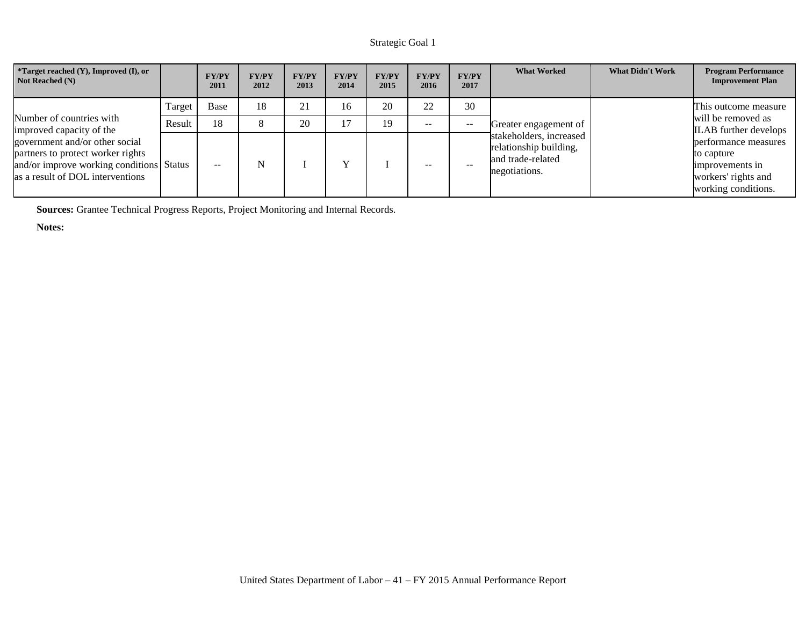| <i>*Target reached <math>(Y)</math>, Improved <math>(I)</math>, or</i><br><b>Not Reached (N)</b>                                                    |        | <b>FY/PY</b><br>2011 | <b>FY/PY</b><br>2012 | <b>FY/PY</b><br>2013 | <b>FY/PY</b><br>2014 | <b>FY/PY</b><br>2015 | <b>FY/PY</b><br>2016 | <b>FY/PY</b><br>2017 | <b>What Worked</b>                                                                      | <b>What Didn't Work</b> | <b>Program Performance</b><br><b>Improvement Plan</b>                                               |
|-----------------------------------------------------------------------------------------------------------------------------------------------------|--------|----------------------|----------------------|----------------------|----------------------|----------------------|----------------------|----------------------|-----------------------------------------------------------------------------------------|-------------------------|-----------------------------------------------------------------------------------------------------|
|                                                                                                                                                     | Target | Base                 | 18                   | $\mathbf{\Omega}$    | 16                   | 20                   | 22                   | 30                   |                                                                                         |                         | This outcome measure                                                                                |
| Number of countries with<br>improved capacity of the                                                                                                | Result | 18                   |                      | 20                   |                      | 19                   | $\qquad \qquad -$    | $- -$                | Greater engagement of                                                                   |                         | will be removed as<br><b>ILAB</b> further develops                                                  |
| government and/or other social<br>partners to protect worker rights<br>and/or improve working conditions Status<br>as a result of DOL interventions |        | $\sim$ $\sim$        | N                    |                      |                      |                      | $- -$                | $- -$                | stakeholders, increased<br>relationship building,<br>and trade-related<br>negotiations. |                         | performance measures<br>to capture<br>improvements in<br>workers' rights and<br>working conditions. |

**Sources:** Grantee Technical Progress Reports, Project Monitoring and Internal Records.

**Notes:**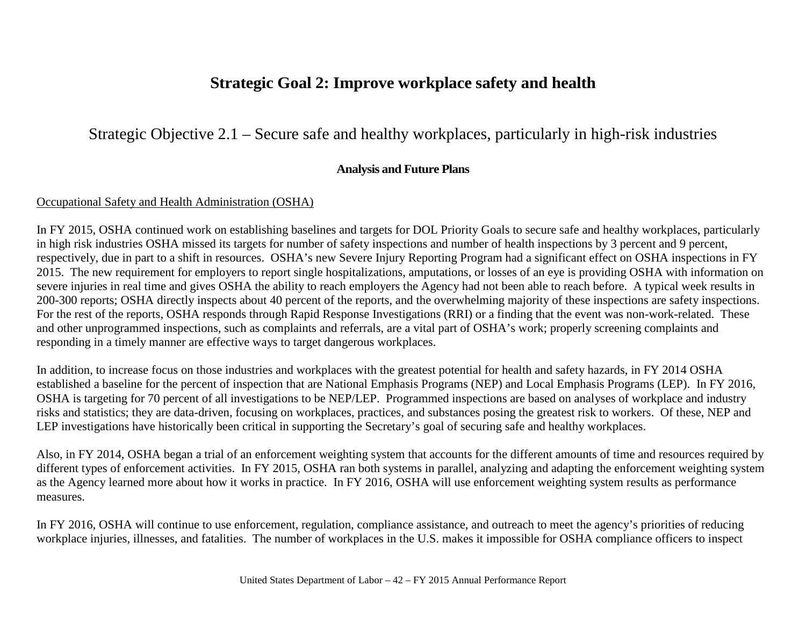# **Strategic Goal 2: Improve workplace safety and health**

# Strategic Objective 2.1 – Secure safe and healthy workplaces, particularly in high-risk industries

# **Analysis and Future Plans**

## Occupational Safety and Health Administration (OSHA)

In FY 2015, OSHA continued work on establishing baselines and targets for DOL Priority Goals to secure safe and healthy workplaces, particularly in high risk industries OSHA missed its targets for number of safety inspections and number of health inspections by 3 percent and 9 percent, respectively, due in part to a shift in resources. OSHA's new Severe Injury Reporting Program had a significant effect on OSHA inspections in FY 2015. The new requirement for employers to report single hospitalizations, amputations, or losses of an eye is providing OSHA with information on severe injuries in real time and gives OSHA the ability to reach employers the Agency had not been able to reach before. A typical week results in 200-300 reports; OSHA directly inspects about 40 percent of the reports, and the overwhelming majority of these inspections are safety inspections. For the rest of the reports, OSHA responds through Rapid Response Investigations (RRI) or a finding that the event was non-work-related. These and other unprogrammed inspections, such as complaints and referrals, are a vital part of OSHA's work; properly screening complaints and responding in a timely manner are effective ways to target dangerous workplaces.

In addition, to increase focus on those industries and workplaces with the greatest potential for health and safety hazards, in FY 2014 OSHA established a baseline for the percent of inspection that are National Emphasis Programs (NEP) and Local Emphasis Programs (LEP). In FY 2016, OSHA is targeting for 70 percent of all investigations to be NEP/LEP. Programmed inspections are based on analyses of workplace and industry risks and statistics; they are data-driven, focusing on workplaces, practices, and substances posing the greatest risk to workers. Of these, NEP and LEP investigations have historically been critical in supporting the Secretary's goal of securing safe and healthy workplaces.

Also, in FY 2014, OSHA began a trial of an enforcement weighting system that accounts for the different amounts of time and resources required by different types of enforcement activities. In FY 2015, OSHA ran both systems in parallel, analyzing and adapting the enforcement weighting system as the Agency learned more about how it works in practice. In FY 2016, OSHA will use enforcement weighting system results as performance measures.

In FY 2016, OSHA will continue to use enforcement, regulation, compliance assistance, and outreach to meet the agency's priorities of reducing workplace injuries, illnesses, and fatalities. The number of workplaces in the U.S. makes it impossible for OSHA compliance officers to inspect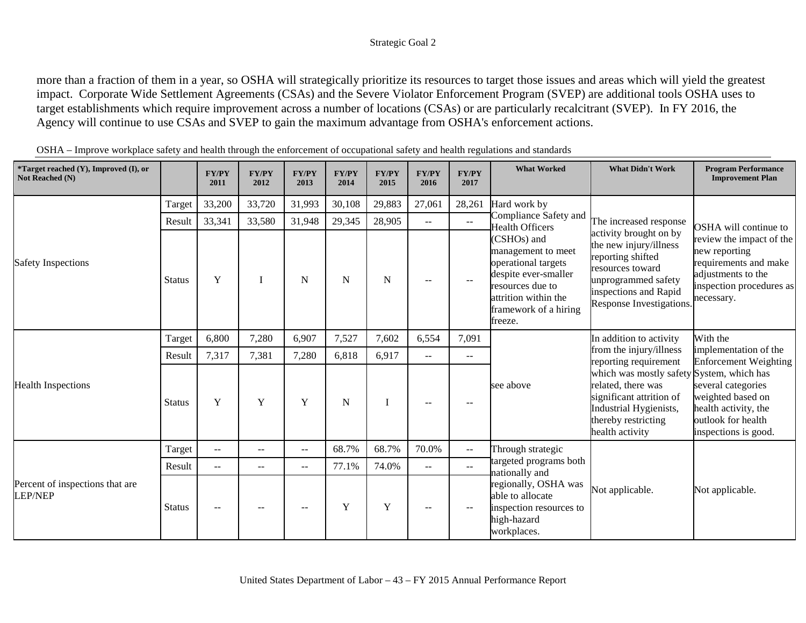more than a fraction of them in a year, so OSHA will strategically prioritize its resources to target those issues and areas which will yield the greatest impact. Corporate Wide Settlement Agreements (CSAs) and the Severe Violator Enforcement Program (SVEP) are additional tools OSHA uses to target establishments which require improvement across a number of locations (CSAs) or are particularly recalcitrant (SVEP). In FY 2016, the Agency will continue to use CSAs and SVEP to gain the maximum advantage from OSHA's enforcement actions.

| $\sqrt{\text{``Target reached (Y)}}, \text{Improved (I)}$ , or<br>Not Reached (N) |               | <b>FY/PY</b><br>2011     | <b>FY/PY</b><br>2012     | <b>FY/PY</b><br>2013     | <b>FY/PY</b><br>2014 | <b>FY/PY</b><br>2015 | <b>FY/PY</b><br>2016     | <b>FY/PY</b><br>2017 | <b>What Worked</b>                                                                                                                                               | <b>What Didn't Work</b>                                                                                                                                                                                                                        | <b>Program Performance</b><br><b>Improvement Plan</b>                                                                              |
|-----------------------------------------------------------------------------------|---------------|--------------------------|--------------------------|--------------------------|----------------------|----------------------|--------------------------|----------------------|------------------------------------------------------------------------------------------------------------------------------------------------------------------|------------------------------------------------------------------------------------------------------------------------------------------------------------------------------------------------------------------------------------------------|------------------------------------------------------------------------------------------------------------------------------------|
|                                                                                   | Target        | 33,200                   | 33,720                   | 31,993                   | 30,108               | 29,883               | 27,061                   | 28,261               | Hard work by                                                                                                                                                     |                                                                                                                                                                                                                                                |                                                                                                                                    |
|                                                                                   | Result        | 33,341                   | 33,580                   | 31,948                   | 29,345               | 28,905               | $\overline{\phantom{a}}$ | $\sim$ $\sim$        | Compliance Safety and<br><b>Health Officers</b>                                                                                                                  | The increased response                                                                                                                                                                                                                         | OSHA will continue to                                                                                                              |
| <b>Safety Inspections</b>                                                         | <b>Status</b> | Y                        | I                        | N                        | N                    | N                    | $-$                      | $\mathbf{u}$         | (CSHOs) and<br>management to meet<br>operational targets<br>despite ever-smaller<br>resources due to<br>attrition within the<br>framework of a hiring<br>freeze. | activity brought on by<br>the new injury/illness<br>reporting shifted<br>resources toward<br>unprogrammed safety<br>inspections and Rapid<br>Response Investigations.                                                                          | review the impact of the<br>new reporting<br>requirements and make<br>adjustments to the<br>inspection procedures as<br>necessary. |
|                                                                                   | Target        | 6,800                    | 7,280                    | 6,907                    | 7,527                | 7,602                | 6,554                    | 7,091                |                                                                                                                                                                  |                                                                                                                                                                                                                                                | With the                                                                                                                           |
|                                                                                   | Result        | 7,317                    | 7,381                    | 7,280                    | 6,818                | 6,917                | $\overline{\phantom{a}}$ | $-$                  |                                                                                                                                                                  |                                                                                                                                                                                                                                                | implementation of the<br>Enforcement Weighting                                                                                     |
| <b>Health Inspections</b>                                                         | <b>Status</b> | Y                        | Y                        | Y                        | ${\bf N}$            |                      | $-$                      | --                   | see above                                                                                                                                                        | In addition to activity<br>from the injury/illness<br>reporting requirement<br>which was mostly safety System, which has<br>related, there was<br>significant attrition of<br>Industrial Hygienists,<br>thereby restricting<br>health activity | several categories<br>weighted based on<br>health activity, the<br>outlook for health<br>inspections is good.                      |
|                                                                                   | Target        | $\sim$ $\sim$            | $--$                     | $\overline{\phantom{a}}$ | 68.7%                | 68.7%                | 70.0%                    | $- -$                | Through strategic                                                                                                                                                |                                                                                                                                                                                                                                                |                                                                                                                                    |
|                                                                                   | Result        | $\overline{\phantom{m}}$ | $\overline{\phantom{m}}$ | $\qquad \qquad -$        | 77.1%                | 74.0%                | $- -$                    | $- -$                | targeted programs both<br>nationally and                                                                                                                         |                                                                                                                                                                                                                                                |                                                                                                                                    |
| Percent of inspections that are<br><b>LEP/NEP</b>                                 | <b>Status</b> | $-$                      | $\sim$                   | $\overline{\phantom{a}}$ | Y                    | Y                    | $-$                      | --                   | regionally, OSHA was<br>able to allocate<br>inspection resources to<br>high-hazard<br>workplaces.                                                                | Not applicable.                                                                                                                                                                                                                                | Not applicable.                                                                                                                    |

OSHA – Improve workplace safety and health through the enforcement of occupational safety and health regulations and standards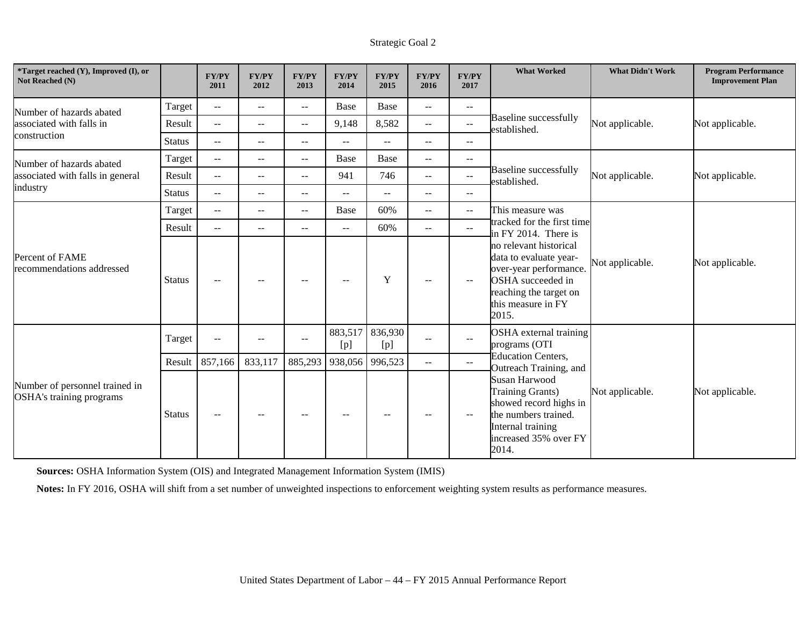| <i>*Target reached (Y), Improved (I), or</i><br>Not Reached (N) |               | <b>FY/PY</b><br>2011                          | <b>FY/PY</b><br>2012     | <b>FY/PY</b><br>2013     | <b>FY/PY</b><br>2014     | <b>FY/PY</b><br>2015                          | <b>FY/PY</b><br>2016     | <b>FY/PY</b><br>2017 | <b>What Worked</b>                                                                                                                                       | <b>What Didn't Work</b> | <b>Program Performance</b><br><b>Improvement Plan</b> |
|-----------------------------------------------------------------|---------------|-----------------------------------------------|--------------------------|--------------------------|--------------------------|-----------------------------------------------|--------------------------|----------------------|----------------------------------------------------------------------------------------------------------------------------------------------------------|-------------------------|-------------------------------------------------------|
| Number of hazards abated                                        | Target        | $\mathord{\hspace{1pt}\text{--}\hspace{1pt}}$ | $\overline{\phantom{m}}$ | $\overline{\phantom{a}}$ | Base                     | Base                                          | $\overline{\phantom{m}}$ | --                   |                                                                                                                                                          |                         |                                                       |
| associated with falls in                                        | Result        | $\sim$ $\sim$                                 | $\mathbf{u}$             | $- -$                    | 9,148                    | 8,582                                         | $- -$                    | $- -$                | <b>Baseline successfully</b><br>established.                                                                                                             | Not applicable.         | Not applicable.                                       |
| construction                                                    | <b>Status</b> | $\mathbf{u}$                                  | $\mathbf{u}$             | $\overline{\phantom{a}}$ | $\overline{\phantom{a}}$ | $\mathbf{L}$                                  | $\overline{\phantom{a}}$ | $-$                  |                                                                                                                                                          |                         |                                                       |
| Number of hazards abated                                        | Target        | $\mathbb{L} \mathbb{L}$                       | $\mathbf{u}$             | $- -$                    | Base                     | <b>Base</b>                                   | $\overline{\phantom{a}}$ | $-$                  |                                                                                                                                                          |                         |                                                       |
| associated with falls in general                                | Result        | $\overline{a}$                                | $\overline{\phantom{m}}$ | $- -$                    | 941                      | 746                                           | $- -$                    | $-$                  | <b>Baseline successfully</b><br>established.                                                                                                             | Not applicable.         | Not applicable.                                       |
| industry                                                        | <b>Status</b> | $\sim$ $\sim$                                 | $\sim$ $\sim$            | $\overline{\phantom{a}}$ | $\sim$                   | $\sim$ $\sim$                                 | $\overline{\phantom{m}}$ | $-$                  |                                                                                                                                                          |                         |                                                       |
|                                                                 | Target        | $\mathord{\hspace{1pt}\text{--}\hspace{1pt}}$ | $\overline{\phantom{m}}$ | $\overline{\phantom{a}}$ | Base                     | 60%                                           | $\overline{\phantom{m}}$ | $- -$                | This measure was                                                                                                                                         |                         |                                                       |
|                                                                 | Result        | $\overline{a}$                                | $\overline{\phantom{m}}$ | --                       | $--$                     | 60%                                           | $\overline{\phantom{m}}$ | $\sim$               | tracked for the first time<br>in FY 2014. There is                                                                                                       |                         |                                                       |
| Percent of FAME<br>recommendations addressed                    | <b>Status</b> | $\sim$ $\sim$                                 | $--$                     | $- -$                    | $- -$                    | Y                                             | $\overline{\phantom{m}}$ | $\sim$ $\sim$        | no relevant historical<br>data to evaluate year-<br>over-year performance.<br>OSHA succeeded in<br>reaching the target on<br>this measure in FY<br>2015. | Not applicable.         | Not applicable.                                       |
|                                                                 | Target        | $\rightarrow$                                 |                          | $\qquad \qquad -$        | 883,517<br>[p]           | 836,930<br>[p]                                | $\overline{\phantom{a}}$ | $\mathbf{u}$         | OSHA external training<br>programs (OTI                                                                                                                  |                         |                                                       |
|                                                                 | Result        | 857,166                                       | 833,117                  | 885,293                  | 938,056                  | 996,523                                       | $\overline{\phantom{a}}$ | $\sim$               | <b>Education Centers,</b><br>Outreach Training, and                                                                                                      |                         |                                                       |
| Number of personnel trained in<br>OSHA's training programs      | <b>Status</b> | $\mathord{\hspace{1pt}\text{--}\hspace{1pt}}$ | $\overline{\phantom{m}}$ | $--$                     | $--$                     | $\mathord{\hspace{1pt}\text{--}\hspace{1pt}}$ | $\overline{\phantom{a}}$ | $-\,-$               | <b>Susan Harwood</b><br>Training Grants)<br>showed record highs in<br>the numbers trained.<br>Internal training<br>increased 35% over FY<br>2014.        | Not applicable.         | Not applicable.                                       |

**Sources:** OSHA Information System (OIS) and Integrated Management Information System (IMIS)

**Notes:** In FY 2016, OSHA will shift from a set number of unweighted inspections to enforcement weighting system results as performance measures.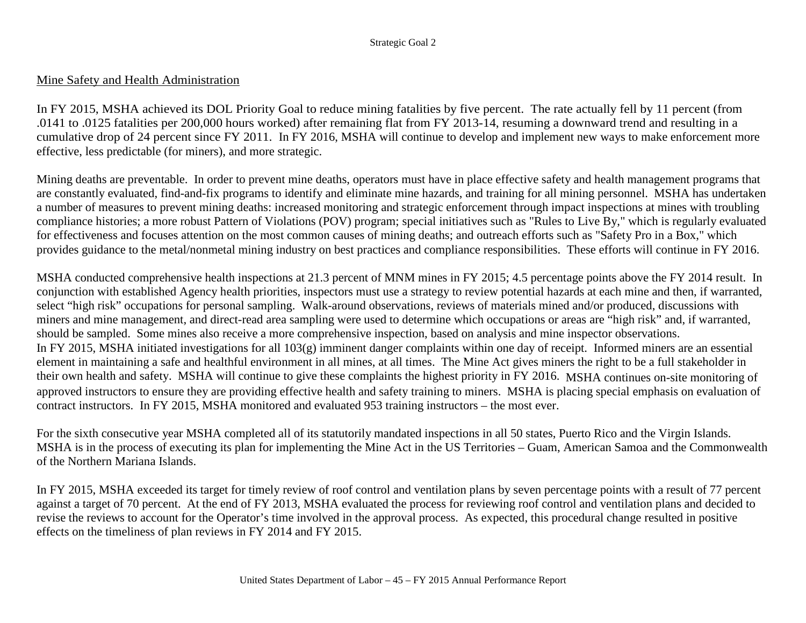### Mine Safety and Health Administration

In FY 2015, MSHA achieved its DOL Priority Goal to reduce mining fatalities by five percent. The rate actually fell by 11 percent (from .0141 to .0125 fatalities per 200,000 hours worked) after remaining flat from FY 2013-14, resuming a downward trend and resulting in a cumulative drop of 24 percent since FY 2011. In FY 2016, MSHA will continue to develop and implement new ways to make enforcement more effective, less predictable (for miners), and more strategic.

Mining deaths are preventable. In order to prevent mine deaths, operators must have in place effective safety and health management programs that are constantly evaluated, find-and-fix programs to identify and eliminate mine hazards, and training for all mining personnel. MSHA has undertaken a number of measures to prevent mining deaths: increased monitoring and strategic enforcement through impact inspections at mines with troubling compliance histories; a more robust Pattern of Violations (POV) program; special initiatives such as "Rules to Live By," which is regularly evaluated for effectiveness and focuses attention on the most common causes of mining deaths; and outreach efforts such as "Safety Pro in a Box," which provides guidance to the metal/nonmetal mining industry on best practices and compliance responsibilities. These efforts will continue in FY 2016.

MSHA conducted comprehensive health inspections at 21.3 percent of MNM mines in FY 2015; 4.5 percentage points above the FY 2014 result. In conjunction with established Agency health priorities, inspectors must use a strategy to review potential hazards at each mine and then, if warranted, select "high risk" occupations for personal sampling. Walk-around observations, reviews of materials mined and/or produced, discussions with miners and mine management, and direct-read area sampling were used to determine which occupations or areas are "high risk" and, if warranted, should be sampled. Some mines also receive a more comprehensive inspection, based on analysis and mine inspector observations. In FY 2015, MSHA initiated investigations for all 103(g) imminent danger complaints within one day of receipt. Informed miners are an essential element in maintaining a safe and healthful environment in all mines, at all times. The Mine Act gives miners the right to be a full stakeholder in their own health and safety. MSHA will continue to give these complaints the highest priority in FY 2016. MSHA continues on-site monitoring of approved instructors to ensure they are providing effective health and safety training to miners. MSHA is placing special emphasis on evaluation of contract instructors. In FY 2015, MSHA monitored and evaluated 953 training instructors – the most ever.

For the sixth consecutive year MSHA completed all of its statutorily mandated inspections in all 50 states, Puerto Rico and the Virgin Islands. MSHA is in the process of executing its plan for implementing the Mine Act in the US Territories – Guam, American Samoa and the Commonwealth of the Northern Mariana Islands.

In FY 2015, MSHA exceeded its target for timely review of roof control and ventilation plans by seven percentage points with a result of 77 percent against a target of 70 percent. At the end of FY 2013, MSHA evaluated the process for reviewing roof control and ventilation plans and decided to revise the reviews to account for the Operator's time involved in the approval process. As expected, this procedural change resulted in positive effects on the timeliness of plan reviews in FY 2014 and FY 2015.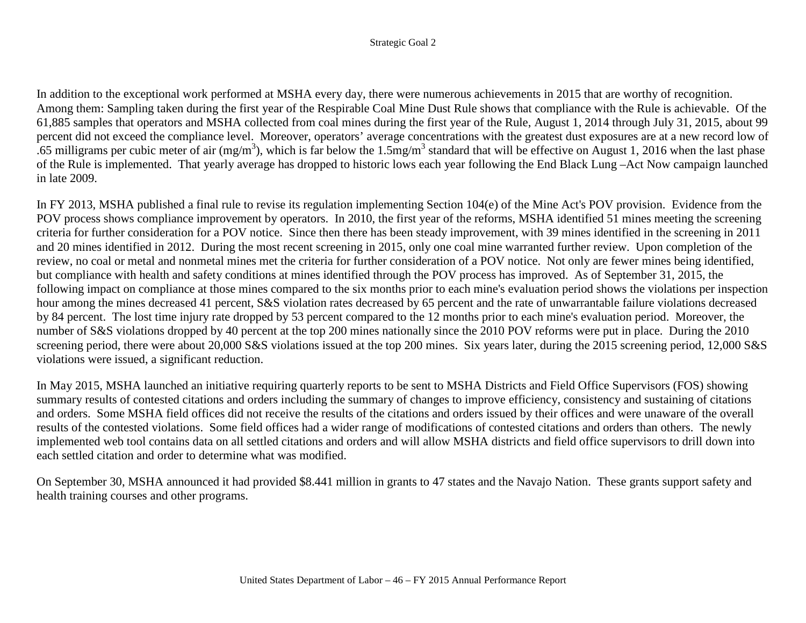In addition to the exceptional work performed at MSHA every day, there were numerous achievements in 2015 that are worthy of recognition. Among them: Sampling taken during the first year of the Respirable Coal Mine Dust Rule shows that compliance with the Rule is achievable. Of the 61,885 samples that operators and MSHA collected from coal mines during the first year of the Rule, August 1, 2014 through July 31, 2015, about 99 percent did not exceed the compliance level. Moreover, operators' average concentrations with the greatest dust exposures are at a new record low of .65 milligrams per cubic meter of air (mg/m<sup>3</sup>), which is far below the 1.5mg/m<sup>3</sup> standard that will be effective on August 1, 2016 when the last phase of the Rule is implemented. That yearly average has dropped to historic lows each year following the End Black Lung –Act Now campaign launched in late 2009.

In FY 2013, MSHA published a final rule to revise its regulation implementing Section 104(e) of the Mine Act's POV provision. Evidence from the POV process shows compliance improvement by operators. In 2010, the first year of the reforms, MSHA identified 51 mines meeting the screening criteria for further consideration for a POV notice. Since then there has been steady improvement, with 39 mines identified in the screening in 2011 and 20 mines identified in 2012. During the most recent screening in 2015, only one coal mine warranted further review. Upon completion of the review, no coal or metal and nonmetal mines met the criteria for further consideration of a POV notice. Not only are fewer mines being identified, but compliance with health and safety conditions at mines identified through the POV process has improved. As of September 31, 2015, the following impact on compliance at those mines compared to the six months prior to each mine's evaluation period shows the violations per inspection hour among the mines decreased 41 percent, S&S violation rates decreased by 65 percent and the rate of unwarrantable failure violations decreased by 84 percent. The lost time injury rate dropped by 53 percent compared to the 12 months prior to each mine's evaluation period. Moreover, the number of S&S violations dropped by 40 percent at the top 200 mines nationally since the 2010 POV reforms were put in place. During the 2010 screening period, there were about 20,000 S&S violations issued at the top 200 mines. Six years later, during the 2015 screening period, 12,000 S&S violations were issued, a significant reduction.

In May 2015, MSHA launched an initiative requiring quarterly reports to be sent to MSHA Districts and Field Office Supervisors (FOS) showing summary results of contested citations and orders including the summary of changes to improve efficiency, consistency and sustaining of citations and orders. Some MSHA field offices did not receive the results of the citations and orders issued by their offices and were unaware of the overall results of the contested violations. Some field offices had a wider range of modifications of contested citations and orders than others. The newly implemented web tool contains data on all settled citations and orders and will allow MSHA districts and field office supervisors to drill down into each settled citation and order to determine what was modified.

On September 30, MSHA announced it had provided \$8.441 million in grants to 47 states and the Navajo Nation. These grants support safety and health training courses and other programs.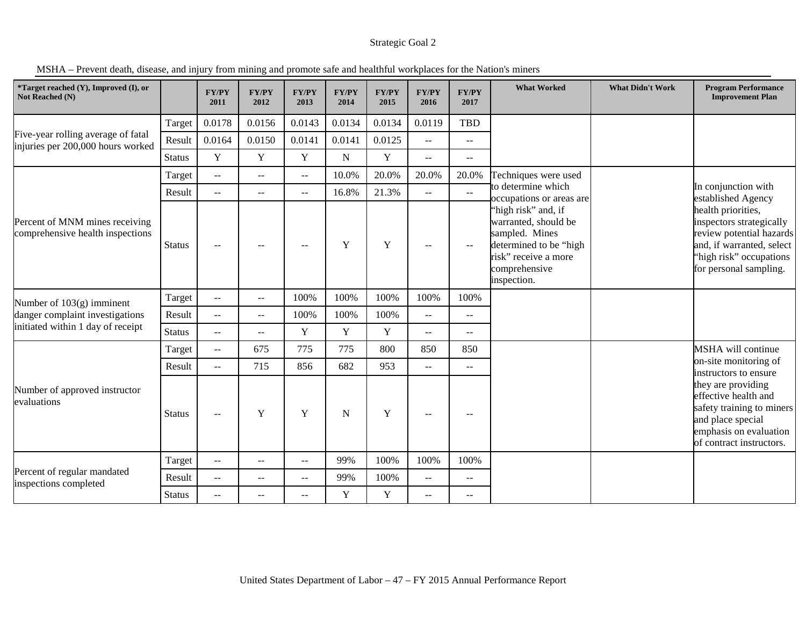MSHA – Prevent death, disease, and injury from mining and promote safe and healthful workplaces for the Nation's miners

| *Target reached (Y), Improved (I), or<br>Not Reached (N)                |               | FY/PY<br>2011                                 | <b>FY/PY</b><br>2012 | <b>FY/PY</b><br>2013 | <b>FY/PY</b><br>2014 | <b>FY/PY</b><br>2015 | <b>FY/PY</b><br>2016                          | <b>FY/PY</b><br>2017                          | <b>What Worked</b>                                                                                                                              | <b>What Didn't Work</b> | <b>Program Performance</b><br><b>Improvement Plan</b>                                                                                                        |
|-------------------------------------------------------------------------|---------------|-----------------------------------------------|----------------------|----------------------|----------------------|----------------------|-----------------------------------------------|-----------------------------------------------|-------------------------------------------------------------------------------------------------------------------------------------------------|-------------------------|--------------------------------------------------------------------------------------------------------------------------------------------------------------|
|                                                                         | Target        | 0.0178                                        | 0.0156               | 0.0143               | 0.0134               | 0.0134               | 0.0119                                        | <b>TBD</b>                                    |                                                                                                                                                 |                         |                                                                                                                                                              |
| Five-year rolling average of fatal<br>injuries per 200,000 hours worked | Result        | 0.0164                                        | 0.0150               | 0.0141               | 0.0141               | 0.0125               | $-$                                           | $\mathord{\hspace{1pt}\text{--}\hspace{1pt}}$ |                                                                                                                                                 |                         |                                                                                                                                                              |
|                                                                         | <b>Status</b> | $\mathbf Y$                                   | Y                    | Y                    | ${\bf N}$            | $\mathbf Y$          | $-$                                           | $-$                                           |                                                                                                                                                 |                         |                                                                                                                                                              |
|                                                                         | Target        | $\overline{a}$                                | $\sim$               | $\overline{a}$       | 10.0%                | 20.0%                | 20.0%                                         | 20.0%                                         | Techniques were used                                                                                                                            |                         |                                                                                                                                                              |
|                                                                         | Result        | $\mathbb{H} \to \mathbb{H}$                   | $\sim$ $\sim$        | $-$                  | 16.8%                | 21.3%                | $\mathord{\hspace{1pt}\text{--}\hspace{1pt}}$ | $\sim$                                        | to determine which<br>occupations or areas are                                                                                                  |                         | In conjunction with<br>established Agency                                                                                                                    |
| Percent of MNM mines receiving<br>comprehensive health inspections      | <b>Status</b> | $-$                                           |                      | $-$                  | Y                    | Y                    | $\mathbf{u}$                                  | $\overline{\phantom{m}}$                      | "high risk" and, if<br>warranted, should be<br>sampled. Mines<br>determined to be "high<br>risk" receive a more<br>comprehensive<br>inspection. |                         | health priorities,<br>inspectors strategically<br>review potential hazards<br>and, if warranted, select<br>"high risk" occupations<br>for personal sampling. |
| Number of $103(g)$ imminent                                             | Target        | $\mathbf{u}$                                  | $\mathbf{u}$         | 100%                 | 100%                 | 100%                 | 100%                                          | 100%                                          |                                                                                                                                                 |                         |                                                                                                                                                              |
| danger complaint investigations                                         | Result        | $\mathbf{u}$                                  | $\mathbf{u}$         | 100%                 | 100%                 | 100%                 | $\mathbf{u}$                                  | $\mathbf{u} =$                                |                                                                                                                                                 |                         |                                                                                                                                                              |
| initiated within 1 day of receipt                                       | <b>Status</b> | --                                            | $\sim$ $\sim$        | Y                    | Y                    | $\mathbf Y$          | $\mathord{\hspace{1pt}\text{--}\hspace{1pt}}$ | $-$                                           |                                                                                                                                                 |                         |                                                                                                                                                              |
|                                                                         | Target        | $\mathord{\hspace{1pt}\text{--}\hspace{1pt}}$ | 675                  | 775                  | 775                  | 800                  | 850                                           | 850                                           |                                                                                                                                                 |                         | MSHA will continue                                                                                                                                           |
|                                                                         | Result        | $-$                                           | 715                  | 856                  | 682                  | 953                  | $\overline{\phantom{m}}$                      | $- -$                                         |                                                                                                                                                 |                         | on-site monitoring of<br>instructors to ensure                                                                                                               |
| Number of approved instructor<br>evaluations                            | <b>Status</b> | --                                            | Y                    | Y                    | $\mathbf N$          | Y                    | $\overline{\phantom{m}}$                      | $-$                                           |                                                                                                                                                 |                         | they are providing<br>effective health and<br>safety training to miners<br>and place special<br>emphasis on evaluation<br>of contract instructors.           |
|                                                                         | Target        | $-$                                           | $\sim$ $\sim$        | $- -$                | 99%                  | 100%                 | 100%                                          | 100%                                          |                                                                                                                                                 |                         |                                                                                                                                                              |
| Percent of regular mandated<br>inspections completed                    | Result        | $-$                                           | $\sim$               | $- -$                | 99%                  | 100%                 | $\overline{\phantom{m}}$                      | $\mathord{\hspace{1pt}\text{--}\hspace{1pt}}$ |                                                                                                                                                 |                         |                                                                                                                                                              |
|                                                                         | <b>Status</b> | $-$                                           | $\sim$ $\sim$        | $- -$                | Y                    | Y                    | $\mathbf{u}$                                  | $-$                                           |                                                                                                                                                 |                         |                                                                                                                                                              |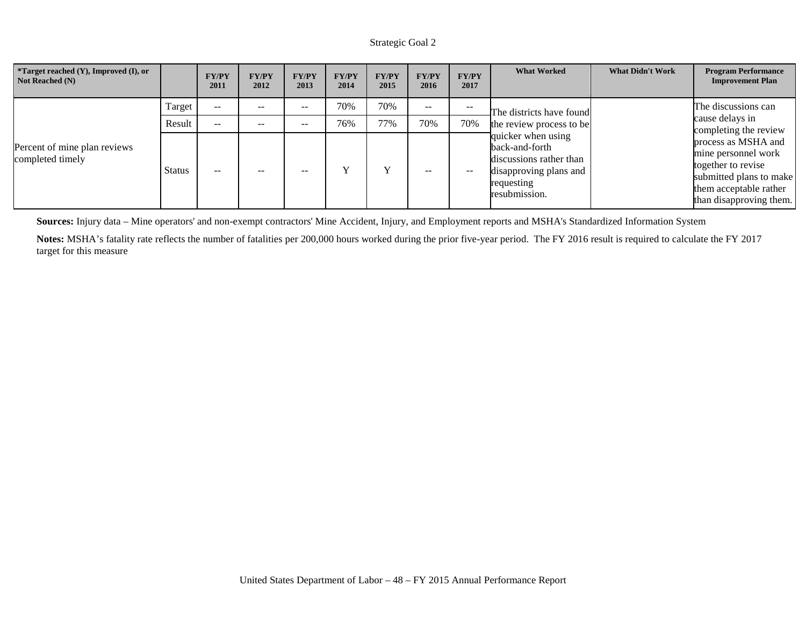| <i>*</i> Target reached $(Y)$ , Improved $(I)$ , or<br>Not Reached (N) |        | <b>FY/PY</b><br>2011 | <b>FY/PY</b><br>2012 | <b>FY/PY</b><br>2013 | <b>FY/PY</b><br>2014 | <b>FY/PY</b><br>2015 | <b>FY/PY</b><br>2016 | <b>FY/PY</b><br>2017 | <b>What Worked</b>                                                                                                       | <b>What Didn't Work</b> | <b>Program Performance</b><br><b>Improvement Plan</b>                                                                                            |
|------------------------------------------------------------------------|--------|----------------------|----------------------|----------------------|----------------------|----------------------|----------------------|----------------------|--------------------------------------------------------------------------------------------------------------------------|-------------------------|--------------------------------------------------------------------------------------------------------------------------------------------------|
|                                                                        | Target | $\sim$ $\sim$        | $- -$                | $- -$                | 70%                  | 70%                  | $- -$                | --                   | The districts have found                                                                                                 |                         | The discussions can                                                                                                                              |
|                                                                        | Result | $\sim$ $\sim$        | $- -$                | --                   | 76%                  | 77%                  | 70%                  | 70%                  | the review process to be                                                                                                 |                         | cause delays in<br>completing the review                                                                                                         |
| Percent of mine plan reviews<br>completed timely                       | Status | $\sim$ $\sim$        | $- -$                | --                   |                      |                      | $- -$                | $- -$                | quicker when using<br>back-and-forth<br>discussions rather than<br>disapproving plans and<br>requesting<br>resubmission. |                         | process as MSHA and<br>mine personnel work<br>together to revise<br>submitted plans to make<br>them acceptable rather<br>than disapproving them. |

**Sources:** Injury data – Mine operators' and non-exempt contractors' Mine Accident, Injury, and Employment reports and MSHA's Standardized Information System

**Notes:** MSHA's fatality rate reflects the number of fatalities per 200,000 hours worked during the prior five-year period. The FY 2016 result is required to calculate the FY 2017 target for this measure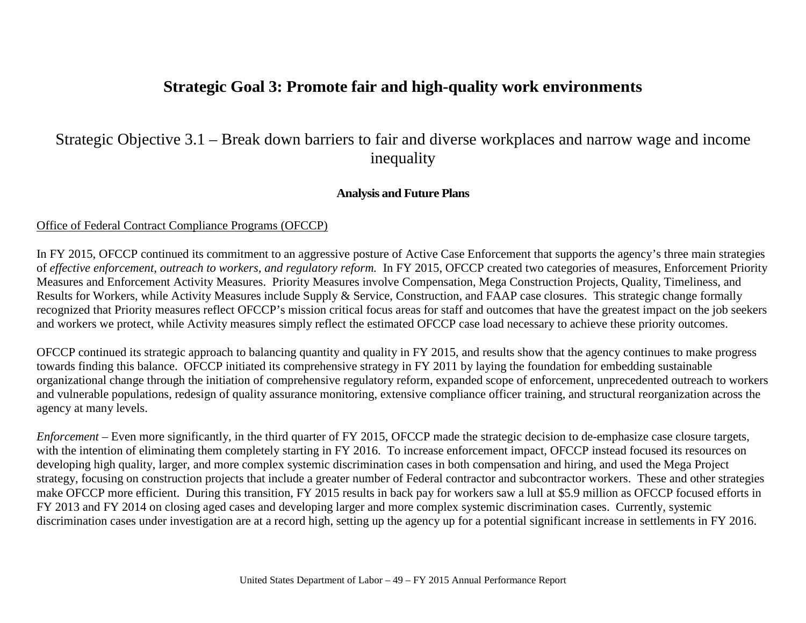# **Strategic Goal 3: Promote fair and high-quality work environments**

# Strategic Objective 3.1 – Break down barriers to fair and diverse workplaces and narrow wage and income inequality

### **Analysis and Future Plans**

### Office of Federal Contract Compliance Programs (OFCCP)

In FY 2015, OFCCP continued its commitment to an aggressive posture of Active Case Enforcement that supports the agency's three main strategies of *effective enforcement, outreach to workers, and regulatory reform.* In FY 2015, OFCCP created two categories of measures, Enforcement Priority Measures and Enforcement Activity Measures. Priority Measures involve Compensation, Mega Construction Projects, Quality, Timeliness, and Results for Workers, while Activity Measures include Supply & Service, Construction, and FAAP case closures. This strategic change formally recognized that Priority measures reflect OFCCP's mission critical focus areas for staff and outcomes that have the greatest impact on the job seekers and workers we protect, while Activity measures simply reflect the estimated OFCCP case load necessary to achieve these priority outcomes.

OFCCP continued its strategic approach to balancing quantity and quality in FY 2015, and results show that the agency continues to make progress towards finding this balance. OFCCP initiated its comprehensive strategy in FY 2011 by laying the foundation for embedding sustainable organizational change through the initiation of comprehensive regulatory reform, expanded scope of enforcement, unprecedented outreach to workers and vulnerable populations, redesign of quality assurance monitoring, extensive compliance officer training, and structural reorganization across the agency at many levels.

*Enforcement* – Even more significantly, in the third quarter of FY 2015, OFCCP made the strategic decision to de-emphasize case closure targets, with the intention of eliminating them completely starting in FY 2016. To increase enforcement impact, OFCCP instead focused its resources on developing high quality, larger, and more complex systemic discrimination cases in both compensation and hiring, and used the Mega Project strategy, focusing on construction projects that include a greater number of Federal contractor and subcontractor workers. These and other strategies make OFCCP more efficient. During this transition, FY 2015 results in back pay for workers saw a lull at \$5.9 million as OFCCP focused efforts in FY 2013 and FY 2014 on closing aged cases and developing larger and more complex systemic discrimination cases. Currently, systemic discrimination cases under investigation are at a record high, setting up the agency up for a potential significant increase in settlements in FY 2016.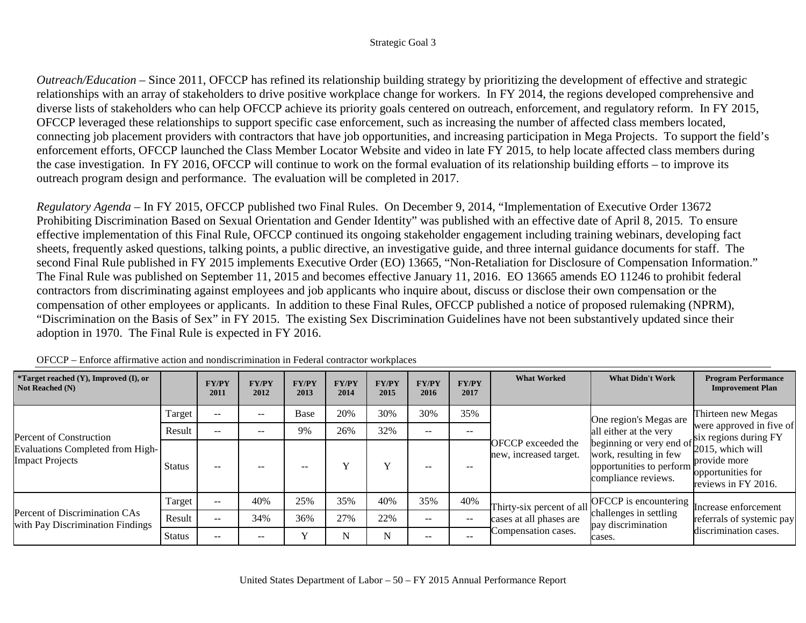*Outreach/Education* – Since 2011, OFCCP has refined its relationship building strategy by prioritizing the development of effective and strategic relationships with an array of stakeholders to drive positive workplace change for workers. In FY 2014, the regions developed comprehensive and diverse lists of stakeholders who can help OFCCP achieve its priority goals centered on outreach, enforcement, and regulatory reform. In FY 2015, OFCCP leveraged these relationships to support specific case enforcement, such as increasing the number of affected class members located, connecting job placement providers with contractors that have job opportunities, and increasing participation in Mega Projects. To support the field's enforcement efforts, OFCCP launched the Class Member Locator Website and video in late FY 2015, to help locate affected class members during the case investigation. In FY 2016, OFCCP will continue to work on the formal evaluation of its relationship building efforts – to improve its outreach program design and performance. The evaluation will be completed in 2017.

*Regulatory Agenda* – In FY 2015, OFCCP published two Final Rules. On December 9, 2014, "Implementation of Executive Order 13672 Prohibiting Discrimination Based on Sexual Orientation and Gender Identity" was published with an effective date of April 8, 2015. To ensure effective implementation of this Final Rule, OFCCP continued its ongoing stakeholder engagement including training webinars, developing fact sheets, frequently asked questions, talking points, a public directive, an investigative guide, and three internal guidance documents for staff. The second Final Rule published in FY 2015 implements Executive Order (EO) 13665, "Non-Retaliation for Disclosure of Compensation Information." The Final Rule was published on September 11, 2015 and becomes effective January 11, 2016. EO 13665 amends EO 11246 to prohibit federal contractors from discriminating against employees and job applicants who inquire about, discuss or disclose their own compensation or the compensation of other employees or applicants. In addition to these Final Rules, OFCCP published a notice of proposed rulemaking (NPRM), "Discrimination on the Basis of Sex" in FY 2015. The existing Sex Discrimination Guidelines have not been substantively updated since their adoption in 1970. The Final Rule is expected in FY 2016.

| <i>*Target reached <math>(Y)</math>, Improved <math>(I)</math>, or</i><br>Not Reached (N) |               | <b>FY/PY</b><br>2011                                | <b>FY/PY</b><br>2012 | <b>FY/PY</b><br>2013 | <b>FY/PY</b><br>2014 | <b>FY/PY</b><br>2015 | <b>FY/PY</b><br>2016 | <b>FY/PY</b><br>2017 | <b>What Worked</b>                                  | <b>What Didn't Work</b>                                                                                                                                                 | <b>Program Performance</b><br><b>Improvement Plan</b>    |
|-------------------------------------------------------------------------------------------|---------------|-----------------------------------------------------|----------------------|----------------------|----------------------|----------------------|----------------------|----------------------|-----------------------------------------------------|-------------------------------------------------------------------------------------------------------------------------------------------------------------------------|----------------------------------------------------------|
|                                                                                           | Target        | $\sim$ $\sim$                                       | $\qquad \qquad -$    | Base                 | 20%                  | 30%                  | 30%                  | 35%                  |                                                     | One region's Megas are                                                                                                                                                  | Thirteen new Megas                                       |
| Percent of Construction                                                                   | Result        | $- -$                                               | --                   | 9%                   | 26%                  | 32%                  | --                   | $- -$                |                                                     | all either at the very                                                                                                                                                  | were approved in five of                                 |
| Evaluations Completed from High-<br><b>Impact Projects</b>                                | <b>Status</b> | $\sim$ $\sim$                                       | $- -$                | --                   |                      | $\mathbf{v}$         | $- -$                |                      | <b>OFCCP</b> exceeded the<br>new, increased target. | an ender at the very<br>beginning or very end of<br>$\frac{\text{six}}{2015}$ , which will<br>work, resulting in few<br>opportunities to perform<br>compliance reviews. | provide more<br>opportunities for<br>reviews in FY 2016. |
|                                                                                           | Target        | $\hspace{0.05cm} -\hspace{0.05cm} -\hspace{0.05cm}$ | 40%                  | 25%                  | 35%                  | 40%                  | 35%                  | 40%                  |                                                     | Thirty-six percent of all $\begin{bmatrix} \text{OFCCP} \\ \text{Laglerates} \\ \text{Laglerates} \end{bmatrix}$ Increase enforcement                                   |                                                          |
| Percent of Discrimination CAs<br>with Pay Discrimination Findings                         | Result        | $\sim$ $\sim$                                       | 34%                  | 36%                  | 27%                  | 22%                  | $- -$                | $- -$                | cases at all phases are                             | challenges in settling<br>pay discrimination                                                                                                                            | referrals of systemic pay                                |
|                                                                                           | <b>Status</b> | $\sim$ $\sim$                                       | $- -$                | $\mathbf{v}$         | N                    | N                    | $- -$                | $- -$                | Compensation cases.                                 | cases.                                                                                                                                                                  | discrimination cases.                                    |

OFCCP – Enforce affirmative action and nondiscrimination in Federal contractor workplaces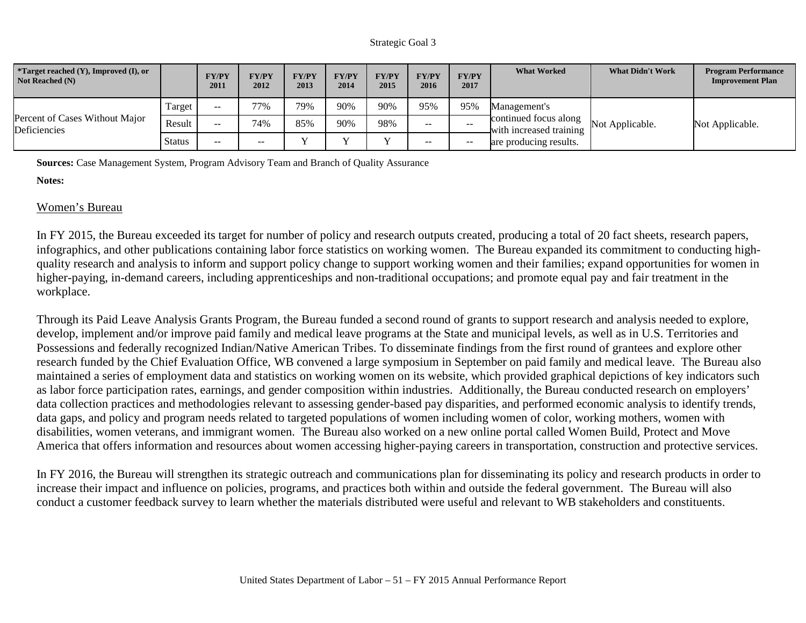| <i>*</i> Target reached $(Y)$ , Improved $(I)$ , or<br>Not Reached (N) |        | <b>FY/PY</b><br>2011 | <b>FY/PY</b><br>2012 | <b>FY/PY</b><br>2013 | <b>FY/PY</b><br>2014 | <b>FY/PY</b><br>2015 | <b>FY/PY</b><br>2016 | <b>FY/PY</b><br>2017 | <b>What Worked</b>                               | <b>What Didn't Work</b> | <b>Program Performance</b><br><b>Improvement Plan</b> |
|------------------------------------------------------------------------|--------|----------------------|----------------------|----------------------|----------------------|----------------------|----------------------|----------------------|--------------------------------------------------|-------------------------|-------------------------------------------------------|
|                                                                        | Target | $- -$                | 77%                  | 79%                  | 90%                  | 90%                  | 95%                  | 95%                  | Management's                                     |                         |                                                       |
| Percent of Cases Without Major<br>Deficiencies                         | Result | $- -$                | 74%                  | 85%                  | 90%                  | 98%                  | $- -$                | $- -$                | continued focus along<br>with increased training | Not Applicable.         | Not Applicable.                                       |
|                                                                        | Status | $- -$                | $- -$                |                      |                      | $\mathbf{v}$         | --                   | $- -$                | are producing results.                           |                         |                                                       |

**Sources:** Case Management System, Program Advisory Team and Branch of Quality Assurance

### **Notes:**

# Women's Bureau

In FY 2015, the Bureau exceeded its target for number of policy and research outputs created, producing a total of 20 fact sheets, research papers, infographics, and other publications containing labor force statistics on working women. The Bureau expanded its commitment to conducting highquality research and analysis to inform and support policy change to support working women and their families; expand opportunities for women in higher-paying, in-demand careers, including apprenticeships and non-traditional occupations; and promote equal pay and fair treatment in the workplace.

Through its Paid Leave Analysis Grants Program, the Bureau funded a second round of grants to support research and analysis needed to explore, develop, implement and/or improve paid family and medical leave programs at the State and municipal levels, as well as in U.S. Territories and Possessions and federally recognized Indian/Native American Tribes. To disseminate findings from the first round of grantees and explore other research funded by the Chief Evaluation Office, WB convened a large symposium in September on paid family and medical leave. The Bureau also maintained a series of employment data and statistics on working women on its website, which provided graphical depictions of key indicators such as labor force participation rates, earnings, and gender composition within industries. Additionally, the Bureau conducted research on employers' data collection practices and methodologies relevant to assessing gender-based pay disparities, and performed economic analysis to identify trends, data gaps, and policy and program needs related to targeted populations of women including women of color, working mothers, women with disabilities, women veterans, and immigrant women. The Bureau also worked on a new online portal called Women Build, Protect and Move America that offers information and resources about women accessing higher-paying careers in transportation, construction and protective services.

In FY 2016, the Bureau will strengthen its strategic outreach and communications plan for disseminating its policy and research products in order to increase their impact and influence on policies, programs, and practices both within and outside the federal government. The Bureau will also conduct a customer feedback survey to learn whether the materials distributed were useful and relevant to WB stakeholders and constituents.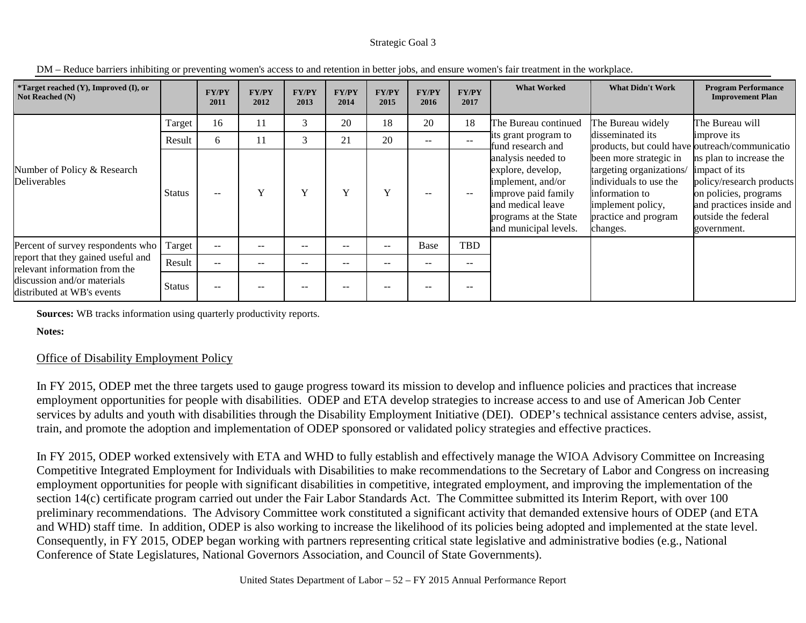| *Target reached (Y), Improved (I), or<br>Not Reached (N)                                                                         |               | <b>FY/PY</b><br>2011 | <b>FY/PY</b><br>2012 | <b>FY/PY</b><br>2013 | <b>FY/PY</b><br>2014 | <b>FY/PY</b><br>2015 | <b>FY/PY</b><br>2016 | <b>FY/PY</b><br>2017 | <b>What Worked</b>                                                                                                                                         | <b>What Didn't Work</b>                                                                                                                                                                                                       | <b>Program Performance</b><br><b>Improvement Plan</b>                                                                                                           |
|----------------------------------------------------------------------------------------------------------------------------------|---------------|----------------------|----------------------|----------------------|----------------------|----------------------|----------------------|----------------------|------------------------------------------------------------------------------------------------------------------------------------------------------------|-------------------------------------------------------------------------------------------------------------------------------------------------------------------------------------------------------------------------------|-----------------------------------------------------------------------------------------------------------------------------------------------------------------|
|                                                                                                                                  | Target        | 16                   | 11                   | 3                    | 20                   | 18                   | 20                   | 18                   | The Bureau continued                                                                                                                                       | The Bureau widely                                                                                                                                                                                                             | The Bureau will                                                                                                                                                 |
|                                                                                                                                  | Result        | 6                    | 11                   | 3                    | 21                   | 20                   | $\sim$ $\sim$        | $\sim$ $\sim$        | its grant program to<br>fund research and                                                                                                                  |                                                                                                                                                                                                                               | improve its                                                                                                                                                     |
| Number of Policy & Research<br>Deliverables                                                                                      | <b>Status</b> | $\qquad \qquad -$    | Y                    | $\mathbf{v}$         | Y                    | Y                    | $- -$                | $-$                  | analysis needed to<br>explore, develop,<br>implement, and/or<br>improve paid family<br>and medical leave<br>programs at the State<br>and municipal levels. | disseminated its<br>products, but could have outreach/communicatio<br>been more strategic in<br>targeting organizations/<br>individuals to use the<br>information to<br>implement policy,<br>practice and program<br>changes. | ns plan to increase the<br>impact of its<br>policy/research products<br>on policies, programs<br>and practices inside and<br>outside the federal<br>government. |
| Percent of survey respondents who                                                                                                | Target        | $\qquad \qquad -$    | $- -$                | $- -$                | $- -$                | $- -$                | Base                 | TBD                  |                                                                                                                                                            |                                                                                                                                                                                                                               |                                                                                                                                                                 |
| report that they gained useful and<br>relevant information from the<br>discussion and/or materials<br>distributed at WB's events | Result        | $- -$                | $- -$                | $- -$                | $- -$                | $- -$                | $- -$                | $- -$                |                                                                                                                                                            |                                                                                                                                                                                                                               |                                                                                                                                                                 |
|                                                                                                                                  | <b>Status</b> | $- -$                |                      |                      |                      |                      | $- -$                |                      |                                                                                                                                                            |                                                                                                                                                                                                                               |                                                                                                                                                                 |

DM – Reduce barriers inhibiting or preventing women's access to and retention in better jobs, and ensure women's fair treatment in the workplace.

**Sources:** WB tracks information using quarterly productivity reports.

**Notes:**

# Office of Disability Employment Policy

In FY 2015, ODEP met the three targets used to gauge progress toward its mission to develop and influence policies and practices that increase employment opportunities for people with disabilities. ODEP and ETA develop strategies to increase access to and use of American Job Center services by adults and youth with disabilities through the Disability Employment Initiative (DEI). ODEP's technical assistance centers advise, assist, train, and promote the adoption and implementation of ODEP sponsored or validated policy strategies and effective practices.

In FY 2015, ODEP worked extensively with ETA and WHD to fully establish and effectively manage the WIOA Advisory Committee on Increasing Competitive Integrated Employment for Individuals with Disabilities to make recommendations to the Secretary of Labor and Congress on increasing employment opportunities for people with significant disabilities in competitive, integrated employment, and improving the implementation of the section 14(c) certificate program carried out under the Fair Labor Standards Act. The Committee submitted its Interim Report, with over 100 preliminary recommendations. The Advisory Committee work constituted a significant activity that demanded extensive hours of ODEP (and ETA and WHD) staff time. In addition, ODEP is also working to increase the likelihood of its policies being adopted and implemented at the state level. Consequently, in FY 2015, ODEP began working with partners representing critical state legislative and administrative bodies (e.g., National Conference of State Legislatures, National Governors Association, and Council of State Governments).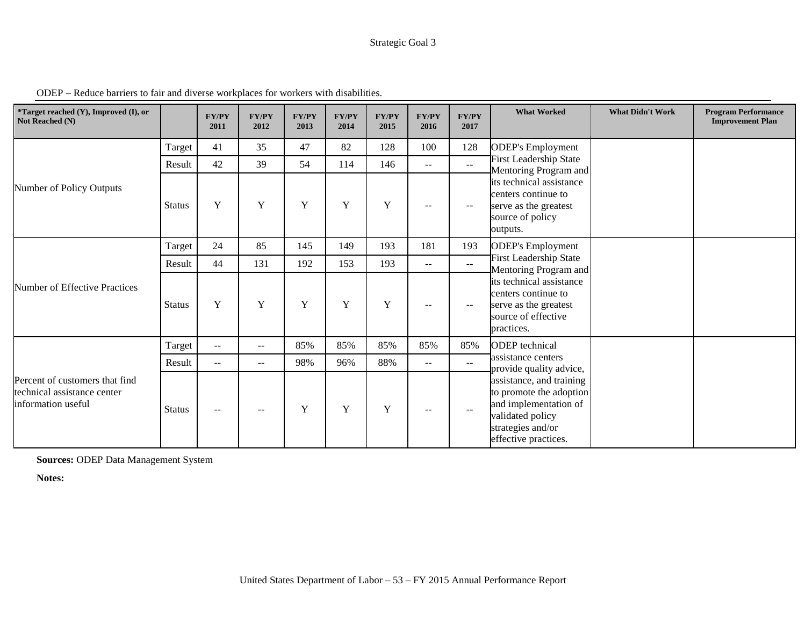| *Target reached (Y), Improved (I), or<br>Not Reached (N)                            |               | <b>FY/PY</b><br>2011     | <b>FY/PY</b><br>2012 | <b>FY/PY</b><br>2013 | <b>FY/PY</b><br>2014 | <b>FY/PY</b><br>2015 | <b>FY/PY</b><br>2016 | <b>FY/PY</b><br>2017     | <b>What Worked</b>                                                                                                                            | <b>What Didn't Work</b> | <b>Program Performance</b><br><b>Improvement Plan</b> |
|-------------------------------------------------------------------------------------|---------------|--------------------------|----------------------|----------------------|----------------------|----------------------|----------------------|--------------------------|-----------------------------------------------------------------------------------------------------------------------------------------------|-------------------------|-------------------------------------------------------|
|                                                                                     | Target        | 41                       | 35                   | 47                   | 82                   | 128                  | 100                  | 128                      | <b>ODEP's Employment</b>                                                                                                                      |                         |                                                       |
|                                                                                     | Result        | 42                       | 39                   | 54                   | 114                  | 146                  | $-$                  | $\sim$ $\sim$            | <b>First Leadership State</b><br>Mentoring Program and                                                                                        |                         |                                                       |
| Number of Policy Outputs                                                            | <b>Status</b> | Y                        | $\mathbf Y$          | $\mathbf Y$          | Y                    | Y                    | $- -$                | $--$                     | its technical assistance<br>centers continue to<br>serve as the greatest<br>source of policy<br>outputs.                                      |                         |                                                       |
|                                                                                     | Target        | 24                       | 85                   | 145                  | 149                  | 193                  | 181                  | 193                      | <b>ODEP's Employment</b>                                                                                                                      |                         |                                                       |
|                                                                                     | Result        | 44                       | 131                  | 192                  | 153                  | 193                  | $--$                 | $\sim$ $\sim$            | <b>First Leadership State</b><br>Mentoring Program and                                                                                        |                         |                                                       |
| Number of Effective Practices                                                       | <b>Status</b> | Y                        | $\mathbf Y$          | Y                    | $\mathbf Y$          | Y                    | $--$                 | $--$                     | its technical assistance<br>centers continue to<br>serve as the greatest<br>source of effective<br>practices.                                 |                         |                                                       |
|                                                                                     | Target        | $\overline{\phantom{m}}$ | $- -$                | 85%                  | 85%                  | 85%                  | 85%                  | 85%                      | <b>ODEP</b> technical                                                                                                                         |                         |                                                       |
|                                                                                     | Result        | $ -$                     | $- -$                | 98%                  | 96%                  | 88%                  | $- -$                | $\sim$                   | assistance centers<br>provide quality advice,                                                                                                 |                         |                                                       |
| Percent of customers that find<br>technical assistance center<br>information useful | <b>Status</b> | $\overline{\phantom{m}}$ | $\qquad \qquad -$    | Y                    | Y                    | Y                    | $\qquad \qquad -$    | $\overline{\phantom{m}}$ | assistance, and training<br>to promote the adoption<br>and implementation of<br>validated policy<br>strategies and/or<br>effective practices. |                         |                                                       |

ODEP – Reduce barriers to fair and diverse workplaces for workers with disabilities.

**Sources:** ODEP Data Management System

**Notes:**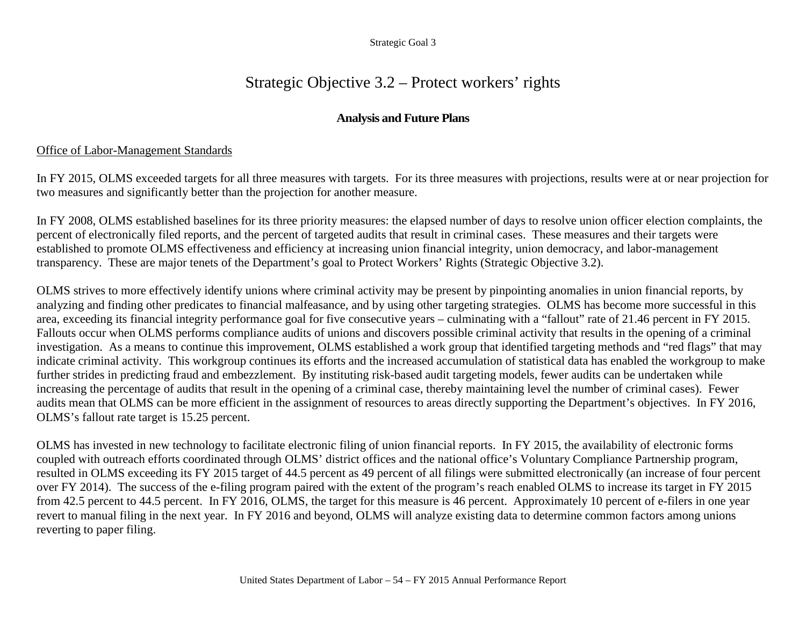# Strategic Objective 3.2 – Protect workers' rights

# **Analysis and Future Plans**

## Office of Labor-Management Standards

In FY 2015, OLMS exceeded targets for all three measures with targets. For its three measures with projections, results were at or near projection for two measures and significantly better than the projection for another measure.

In FY 2008, OLMS established baselines for its three priority measures: the elapsed number of days to resolve union officer election complaints, the percent of electronically filed reports, and the percent of targeted audits that result in criminal cases. These measures and their targets were established to promote OLMS effectiveness and efficiency at increasing union financial integrity, union democracy, and labor-management transparency. These are major tenets of the Department's goal to Protect Workers' Rights (Strategic Objective 3.2).

OLMS strives to more effectively identify unions where criminal activity may be present by pinpointing anomalies in union financial reports, by analyzing and finding other predicates to financial malfeasance, and by using other targeting strategies. OLMS has become more successful in this area, exceeding its financial integrity performance goal for five consecutive years – culminating with a "fallout" rate of 21.46 percent in FY 2015. Fallouts occur when OLMS performs compliance audits of unions and discovers possible criminal activity that results in the opening of a criminal investigation. As a means to continue this improvement, OLMS established a work group that identified targeting methods and "red flags" that may indicate criminal activity. This workgroup continues its efforts and the increased accumulation of statistical data has enabled the workgroup to make further strides in predicting fraud and embezzlement. By instituting risk-based audit targeting models, fewer audits can be undertaken while increasing the percentage of audits that result in the opening of a criminal case, thereby maintaining level the number of criminal cases). Fewer audits mean that OLMS can be more efficient in the assignment of resources to areas directly supporting the Department's objectives. In FY 2016, OLMS's fallout rate target is 15.25 percent.

OLMS has invested in new technology to facilitate electronic filing of union financial reports. In FY 2015, the availability of electronic forms coupled with outreach efforts coordinated through OLMS' district offices and the national office's Voluntary Compliance Partnership program, resulted in OLMS exceeding its FY 2015 target of 44.5 percent as 49 percent of all filings were submitted electronically (an increase of four percent over FY 2014). The success of the e-filing program paired with the extent of the program's reach enabled OLMS to increase its target in FY 2015 from 42.5 percent to 44.5 percent. In FY 2016, OLMS, the target for this measure is 46 percent. Approximately 10 percent of e-filers in one year revert to manual filing in the next year. In FY 2016 and beyond, OLMS will analyze existing data to determine common factors among unions reverting to paper filing.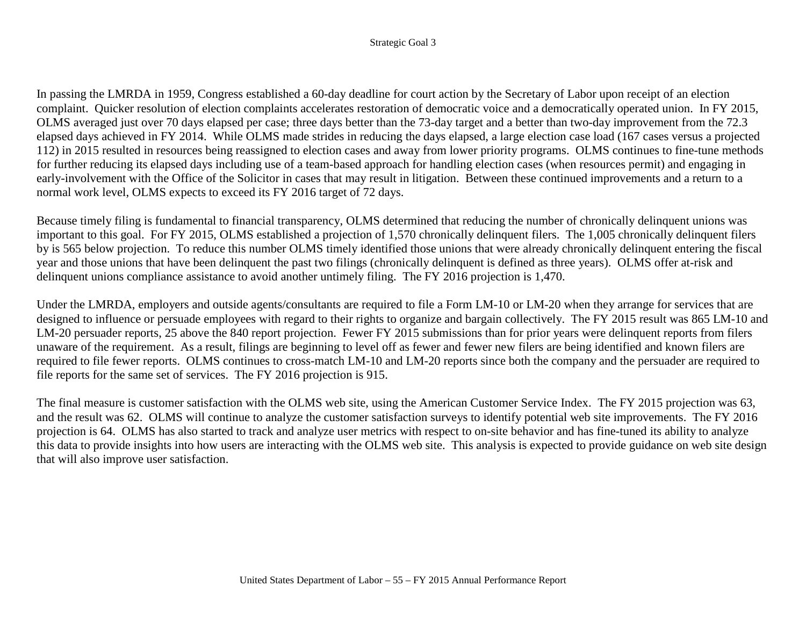In passing the LMRDA in 1959, Congress established a 60-day deadline for court action by the Secretary of Labor upon receipt of an election complaint. Quicker resolution of election complaints accelerates restoration of democratic voice and a democratically operated union. In FY 2015, OLMS averaged just over 70 days elapsed per case; three days better than the 73-day target and a better than two-day improvement from the 72.3 elapsed days achieved in FY 2014. While OLMS made strides in reducing the days elapsed, a large election case load (167 cases versus a projected 112) in 2015 resulted in resources being reassigned to election cases and away from lower priority programs. OLMS continues to fine-tune methods for further reducing its elapsed days including use of a team-based approach for handling election cases (when resources permit) and engaging in early-involvement with the Office of the Solicitor in cases that may result in litigation. Between these continued improvements and a return to a normal work level, OLMS expects to exceed its FY 2016 target of 72 days.

Because timely filing is fundamental to financial transparency, OLMS determined that reducing the number of chronically delinquent unions was important to this goal. For FY 2015, OLMS established a projection of 1,570 chronically delinquent filers. The 1,005 chronically delinquent filers by is 565 below projection. To reduce this number OLMS timely identified those unions that were already chronically delinquent entering the fiscal year and those unions that have been delinquent the past two filings (chronically delinquent is defined as three years). OLMS offer at-risk and delinquent unions compliance assistance to avoid another untimely filing. The FY 2016 projection is 1,470.

Under the LMRDA, employers and outside agents/consultants are required to file a Form LM-10 or LM-20 when they arrange for services that are designed to influence or persuade employees with regard to their rights to organize and bargain collectively. The FY 2015 result was 865 LM-10 and LM-20 persuader reports, 25 above the 840 report projection. Fewer FY 2015 submissions than for prior years were delinquent reports from filers unaware of the requirement. As a result, filings are beginning to level off as fewer and fewer new filers are being identified and known filers are required to file fewer reports. OLMS continues to cross-match LM-10 and LM-20 reports since both the company and the persuader are required to file reports for the same set of services. The FY 2016 projection is 915.

The final measure is customer satisfaction with the OLMS web site, using the American Customer Service Index. The FY 2015 projection was 63, and the result was 62. OLMS will continue to analyze the customer satisfaction surveys to identify potential web site improvements. The FY 2016 projection is 64. OLMS has also started to track and analyze user metrics with respect to on-site behavior and has fine-tuned its ability to analyze this data to provide insights into how users are interacting with the OLMS web site. This analysis is expected to provide guidance on web site design that will also improve user satisfaction.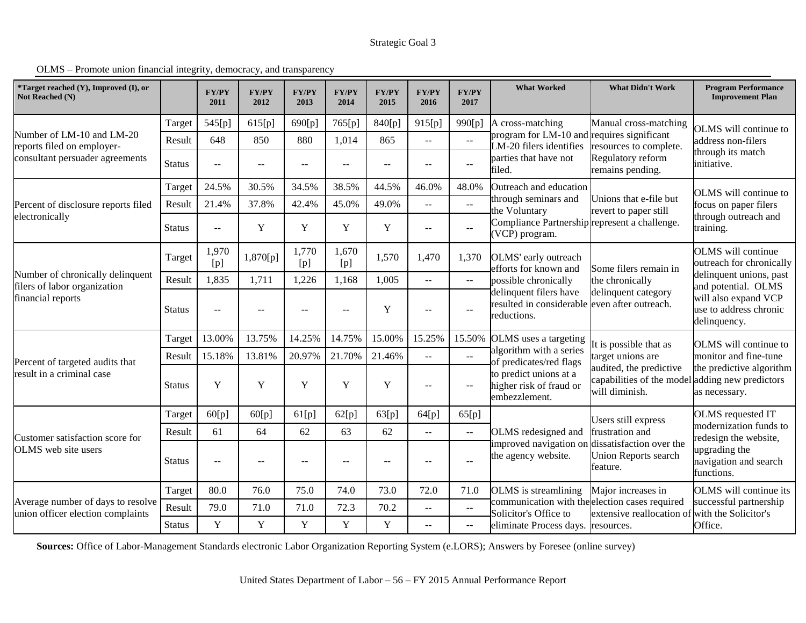OLMS – Promote union financial integrity, democracy, and transparency

| *Target reached (Y), Improved (I), or<br>Not Reached (N)               |               | <b>FY/PY</b><br>2011     | <b>FY/PY</b><br>2012 | <b>FY/PY</b><br>2013 | <b>FY/PY</b><br>2014 | <b>FY/PY</b><br>2015     | <b>FY/PY</b><br>2016                                  | <b>FY/PY</b><br>2017                          | <b>What Worked</b>                                                                     | <b>What Didn't Work</b>                                                                                                                                                                                                                   | <b>Program Performance</b><br><b>Improvement Plan</b>                                                   |  |
|------------------------------------------------------------------------|---------------|--------------------------|----------------------|----------------------|----------------------|--------------------------|-------------------------------------------------------|-----------------------------------------------|----------------------------------------------------------------------------------------|-------------------------------------------------------------------------------------------------------------------------------------------------------------------------------------------------------------------------------------------|---------------------------------------------------------------------------------------------------------|--|
|                                                                        | Target        | 545[p]                   | 615[p]               | 690[p]               | 765[p]               | 840[p]                   | 915[p]                                                | 990[p]                                        | A cross-matching                                                                       | Manual cross-matching                                                                                                                                                                                                                     | <b>OLMS</b> will continue to                                                                            |  |
| Number of LM-10 and LM-20<br>reports filed on employer-                | Result        | 648                      | 850                  | 880                  | 1,014                | 865                      | $\overline{\phantom{a}}$                              | $\sim$                                        | LM-20 filers identifies                                                                |                                                                                                                                                                                                                                           | address non-filers                                                                                      |  |
| consultant persuader agreements                                        | <b>Status</b> | $\overline{a}$           | $- -$                | --                   | $-$                  | $\overline{\phantom{m}}$ | $\overline{\phantom{m}}$                              | $\overline{\phantom{a}}$                      | parties that have not<br>filed.                                                        | Unions that e-file but<br>It is possible that as<br>target unions are<br>audited, the predictive<br>will diminish.<br>frustration and<br><b>Union Reports search</b><br>feature.                                                          | hrough its match<br>initiative.                                                                         |  |
|                                                                        | Target        | 24.5%                    | 30.5%                | 34.5%                | 38.5%                | 44.5%                    | 46.0%                                                 | 48.0%                                         | Outreach and education                                                                 |                                                                                                                                                                                                                                           | OLMS will continue to                                                                                   |  |
| Percent of disclosure reports filed                                    | Result        | 21.4%                    | 37.8%                | 42.4%                | 45.0%                | 49.0%                    | $\overline{\phantom{m}}$                              | $\sim$ $\sim$                                 | through seminars and<br>he Voluntary                                                   |                                                                                                                                                                                                                                           | focus on paper filers                                                                                   |  |
| electronically                                                         | <b>Status</b> | $-$                      | Y                    | Y                    | Y                    | Y                        | $\overline{\phantom{m}}$                              | $- -$                                         | (VCP) program.                                                                         | revert to paper still<br>Compliance Partnership represent a challenge.<br>Some filers remain in<br>the chronically<br>delinquent category                                                                                                 | hrough outreach and<br>raining.                                                                         |  |
|                                                                        | Target        | 1,970<br>[p]             | 1,870[p]             | 1,770<br>[p]         | 1,670<br>[p]         | 1,570                    | 1,470                                                 | 1,370                                         | OLMS' early outreach<br>efforts for known and                                          |                                                                                                                                                                                                                                           | <b>OLMS</b> will continue<br>outreach for chronically<br>delinquent unions, past<br>and potential. OLMS |  |
| Number of chronically delinquent<br>filers of labor organization       | Result        | 1,835                    | 1,711                | 1,226                | 1,168                | 1,005                    | $\sim$ $\sim$                                         | $\sim$ $\sim$                                 | possible chronically                                                                   | program for LM-10 and requires significant<br>resources to complete.<br>Regulatory reform<br>remains pending.<br>Users still express<br>Major increases in<br>communication with the election cases required<br>extensive reallocation of |                                                                                                         |  |
| financial reports                                                      | <b>Status</b> | $-$                      | $\qquad \qquad -$    | --                   | $-$                  | Y                        | $\hspace{0.05cm} -\hspace{0.05cm} -\hspace{0.05cm}$   | $-$                                           | delinquent filers have<br>resulted in considerable even after outreach.<br>reductions. |                                                                                                                                                                                                                                           | will also expand VCP<br>use to address chronic<br>delinquency.                                          |  |
|                                                                        | Target        | 13.00%                   | 13.75%               | 14.25%               | 14.75%               | 15.00%                   | 15.25%                                                | 15.50%                                        | OLMS uses a targeting                                                                  |                                                                                                                                                                                                                                           | OLMS will continue to                                                                                   |  |
| Percent of targeted audits that                                        | Result        | 15.18%                   | 13.81%               | 20.97%               | 21.70%               | 21.46%                   | $-$                                                   | $\sim$ $\sim$                                 | algorithm with a series<br>of predicates/red flags                                     |                                                                                                                                                                                                                                           | monitor and fine-tune                                                                                   |  |
| result in a criminal case                                              | <b>Status</b> | Y                        | Y                    | Y                    | Y                    | Y                        | $\overline{\phantom{m}}$                              | $-$                                           | to predict unions at a<br>higher risk of fraud or<br>embezzlement.                     | capabilities of the model adding new predictors                                                                                                                                                                                           | the predictive algorithm<br>as necessary.                                                               |  |
|                                                                        | Target        | 60[p]                    | 60[p]                | 61[p]                | 62[p]                | 63[p]                    | 64[p]                                                 | 65[p]                                         |                                                                                        |                                                                                                                                                                                                                                           | <b>OLMS</b> requested IT                                                                                |  |
| Customer satisfaction score for                                        | Result        | 61                       | 64                   | 62                   | 63                   | 62                       | $\overline{\phantom{a}}$                              | $\mathrel{{-}-}$                              | OLMS redesigned and                                                                    |                                                                                                                                                                                                                                           | modernization funds to<br>edesign the website,                                                          |  |
| OLMS web site users                                                    | <b>Status</b> | $\overline{\phantom{m}}$ | --                   | --                   | $\qquad \qquad -$    |                          | $\hspace{0.05cm} - \hspace{0.05cm} - \hspace{0.05cm}$ | $\overline{\phantom{m}}$                      | improved navigation on<br>the agency website.                                          | dissatisfaction over the                                                                                                                                                                                                                  | upgrading the<br>navigation and search<br>functions.                                                    |  |
|                                                                        | Target        | 80.0                     | 76.0                 | 75.0                 | 74.0                 | 73.0                     | 72.0                                                  | 71.0                                          | OLMS is streamlining                                                                   |                                                                                                                                                                                                                                           | OLMS will continue its                                                                                  |  |
| Average number of days to resolve<br>union officer election complaints | Result        | 79.0                     | 71.0                 | 71.0                 | 72.3                 | 70.2                     | $\overline{\phantom{a}}$                              | $\mathbb{L} \mathbb{L}$                       | Solicitor's Office to                                                                  |                                                                                                                                                                                                                                           | successful partnership<br>with the Solicitor's                                                          |  |
|                                                                        | <b>Status</b> | Y                        | Y                    | Y                    | Y                    | Y                        | $\mathord{\hspace{1pt}\text{--}\hspace{1pt}}$         | $\mathord{\hspace{1pt}\text{--}\hspace{1pt}}$ | eliminate Process days.                                                                | resources.                                                                                                                                                                                                                                | Office.                                                                                                 |  |

**Sources:** Office of Labor-Management Standards electronic Labor Organization Reporting System (e.LORS); Answers by Foresee (online survey)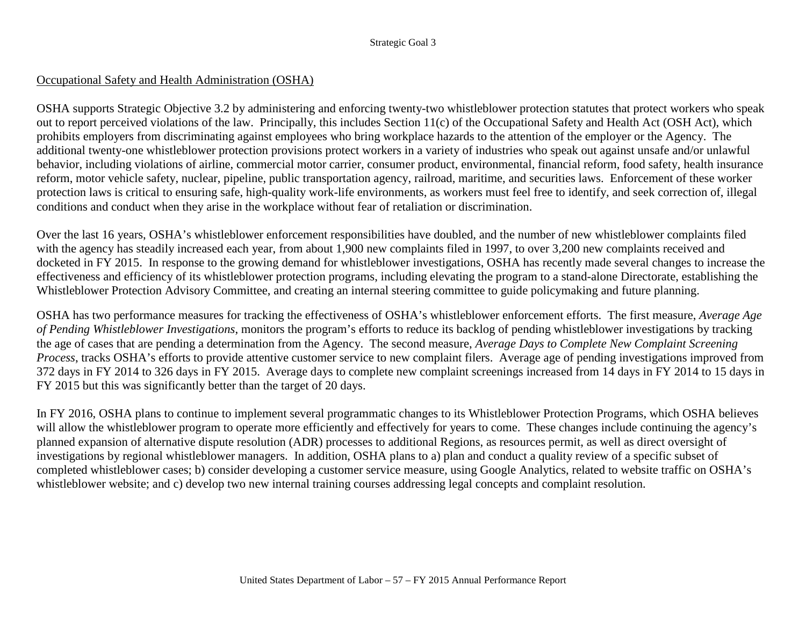## Occupational Safety and Health Administration (OSHA)

OSHA supports Strategic Objective 3.2 by administering and enforcing twenty-two whistleblower protection statutes that protect workers who speak out to report perceived violations of the law. Principally, this includes Section 11(c) of the Occupational Safety and Health Act (OSH Act), which prohibits employers from discriminating against employees who bring workplace hazards to the attention of the employer or the Agency. The additional twenty-one whistleblower protection provisions protect workers in a variety of industries who speak out against unsafe and/or unlawful behavior, including violations of airline, commercial motor carrier, consumer product, environmental, financial reform, food safety, health insurance reform, motor vehicle safety, nuclear, pipeline, public transportation agency, railroad, maritime, and securities laws. Enforcement of these worker protection laws is critical to ensuring safe, high-quality work-life environments, as workers must feel free to identify, and seek correction of, illegal conditions and conduct when they arise in the workplace without fear of retaliation or discrimination.

Over the last 16 years, OSHA's whistleblower enforcement responsibilities have doubled, and the number of new whistleblower complaints filed with the agency has steadily increased each year, from about 1,900 new complaints filed in 1997, to over 3,200 new complaints received and docketed in FY 2015. In response to the growing demand for whistleblower investigations, OSHA has recently made several changes to increase the effectiveness and efficiency of its whistleblower protection programs, including elevating the program to a stand-alone Directorate, establishing the Whistleblower Protection Advisory Committee, and creating an internal steering committee to guide policymaking and future planning.

OSHA has two performance measures for tracking the effectiveness of OSHA's whistleblower enforcement efforts. The first measure, *Average Age of Pending Whistleblower Investigations*, monitors the program's efforts to reduce its backlog of pending whistleblower investigations by tracking the age of cases that are pending a determination from the Agency. The second measure, *Average Days to Complete New Complaint Screening Process*, tracks OSHA's efforts to provide attentive customer service to new complaint filers. Average age of pending investigations improved from 372 days in FY 2014 to 326 days in FY 2015. Average days to complete new complaint screenings increased from 14 days in FY 2014 to 15 days in FY 2015 but this was significantly better than the target of 20 days.

In FY 2016, OSHA plans to continue to implement several programmatic changes to its Whistleblower Protection Programs, which OSHA believes will allow the whistleblower program to operate more efficiently and effectively for years to come. These changes include continuing the agency's planned expansion of alternative dispute resolution (ADR) processes to additional Regions, as resources permit, as well as direct oversight of investigations by regional whistleblower managers. In addition, OSHA plans to a) plan and conduct a quality review of a specific subset of completed whistleblower cases; b) consider developing a customer service measure, using Google Analytics, related to website traffic on OSHA's whistleblower website; and c) develop two new internal training courses addressing legal concepts and complaint resolution.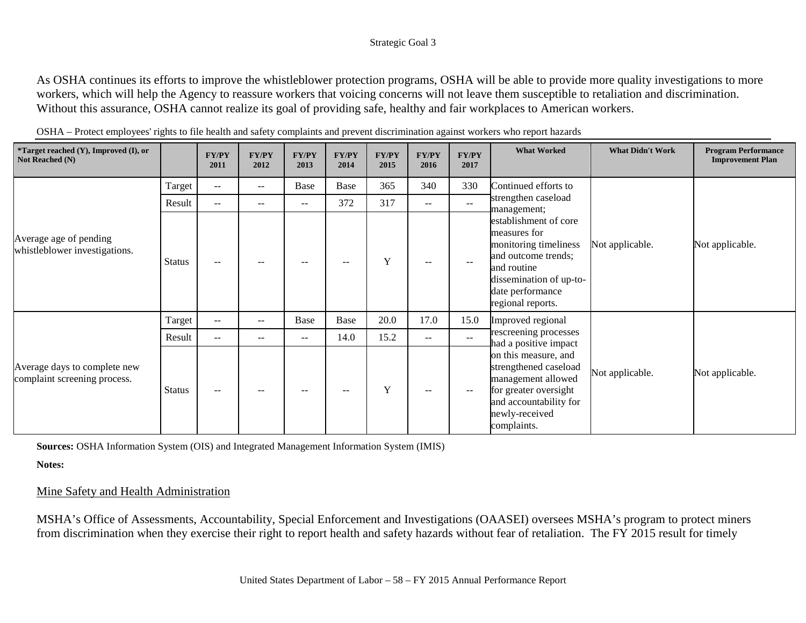As OSHA continues its efforts to improve the whistleblower protection programs, OSHA will be able to provide more quality investigations to more workers, which will help the Agency to reassure workers that voicing concerns will not leave them susceptible to retaliation and discrimination. Without this assurance, OSHA cannot realize its goal of providing safe, healthy and fair workplaces to American workers.

| *Target reached (Y), Improved (I), or<br>Not Reached (N)     |               | <b>FY/PY</b><br>2011     | FY/PY<br>2012 | <b>FY/PY</b><br>2013     | <b>FY/PY</b><br>2014     | <b>FY/PY</b><br>2015 | <b>FY/PY</b><br>2016 | FY/PY<br>2017 | <b>What Worked</b>                                                                                                                                                       | <b>What Didn't Work</b> | <b>Program Performance</b><br><b>Improvement Plan</b> |
|--------------------------------------------------------------|---------------|--------------------------|---------------|--------------------------|--------------------------|----------------------|----------------------|---------------|--------------------------------------------------------------------------------------------------------------------------------------------------------------------------|-------------------------|-------------------------------------------------------|
|                                                              | Target        | $ -$                     | $- -$         | Base                     | Base                     | 365                  | 340                  | 330           | Continued efforts to                                                                                                                                                     |                         |                                                       |
|                                                              | Result        | $\qquad \qquad -$        | --            | $--$                     | 372                      | 317                  | $--$                 | $--$          | strengthen caseload<br>management;                                                                                                                                       |                         |                                                       |
| Average age of pending<br>whistleblower investigations.      | <b>Status</b> | $\qquad \qquad -$        |               | $\qquad \qquad -$        | $- -$                    | Y                    | $- -$                |               | establishment of core<br>measures for<br>monitoring timeliness<br>and outcome trends;<br>and routine<br>dissemination of up-to-<br>date performance<br>regional reports. | Not applicable.         | Not applicable.                                       |
|                                                              | Target        | $\qquad \qquad -$        | $--$          | Base                     | Base                     | 20.0                 | 17.0                 | 15.0          | Improved regional                                                                                                                                                        |                         |                                                       |
|                                                              | Result        | $\qquad \qquad -$        | --            | $--$                     | 14.0                     | 15.2                 | $- -$                | $- -$         | rescreening processes<br>had a positive impact                                                                                                                           |                         |                                                       |
| Average days to complete new<br>complaint screening process. | <b>Status</b> | $\overline{\phantom{m}}$ | $- -$         | $\overline{\phantom{a}}$ | $\overline{\phantom{m}}$ | Y                    | $- -$                | $--$          | on this measure, and<br>strengthened caseload<br>management allowed<br>for greater oversight<br>and accountability for<br>newly-received<br>complaints.                  | Not applicable.         | Not applicable.                                       |

OSHA – Protect employees' rights to file health and safety complaints and prevent discrimination against workers who report hazards

**Sources:** OSHA Information System (OIS) and Integrated Management Information System (IMIS)

**Notes:**

### Mine Safety and Health Administration

MSHA's Office of Assessments, Accountability, Special Enforcement and Investigations (OAASEI) oversees MSHA's program to protect miners from discrimination when they exercise their right to report health and safety hazards without fear of retaliation. The FY 2015 result for timely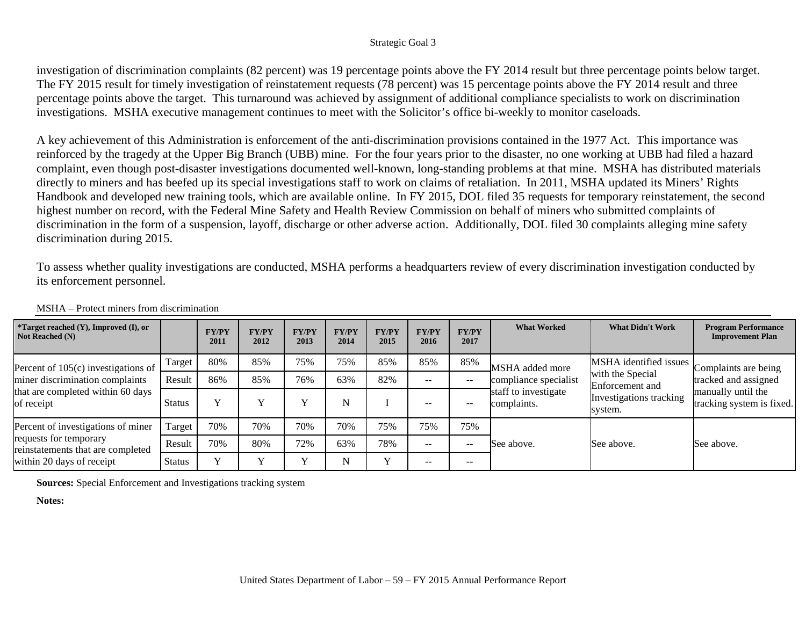investigation of discrimination complaints (82 percent) was 19 percentage points above the FY 2014 result but three percentage points below target. The FY 2015 result for timely investigation of reinstatement requests (78 percent) was 15 percentage points above the FY 2014 result and three percentage points above the target. This turnaround was achieved by assignment of additional compliance specialists to work on discrimination investigations. MSHA executive management continues to meet with the Solicitor's office bi-weekly to monitor caseloads.

A key achievement of this Administration is enforcement of the anti-discrimination provisions contained in the 1977 Act. This importance was reinforced by the tragedy at the Upper Big Branch (UBB) mine. For the four years prior to the disaster, no one working at UBB had filed a hazard complaint, even though post-disaster investigations documented well-known, long-standing problems at that mine. MSHA has distributed materials directly to miners and has beefed up its special investigations staff to work on claims of retaliation. In 2011, MSHA updated its Miners' Rights Handbook and developed new training tools, which are available online. In FY 2015, DOL filed 35 requests for temporary reinstatement, the second highest number on record, with the Federal Mine Safety and Health Review Commission on behalf of miners who submitted complaints of discrimination in the form of a suspension, layoff, discharge or other adverse action. Additionally, DOL filed 30 complaints alleging mine safety discrimination during 2015.

To assess whether quality investigations are conducted, MSHA performs a headquarters review of every discrimination investigation conducted by its enforcement personnel.

| *Target reached (Y), Improved (I), or<br>Not Reached (N)                                                                       |               | <b>FY/PY</b><br>2011 | <b>FY/PY</b><br>2012 | <b>FY/PY</b><br>2013 | <b>FY/PY</b><br>2014 | <b>FY/PY</b><br>2015 | <b>FY/PY</b><br>2016 | <b>FY/PY</b><br>2017 | <b>What Worked</b>                  | <b>What Didn't Work</b>             | <b>Program Performance</b><br><b>Improvement Plan</b>                   |
|--------------------------------------------------------------------------------------------------------------------------------|---------------|----------------------|----------------------|----------------------|----------------------|----------------------|----------------------|----------------------|-------------------------------------|-------------------------------------|-------------------------------------------------------------------------|
| Percent of $105(c)$ investigations of<br>miner discrimination complaints<br>that are completed within 60 days<br>of receipt    | Target        | 80%                  | 85%                  | 75%                  | 75%                  | 85%                  | 85%                  | 85%                  | MSHA added more                     | MSHA identified issues              | Complaints are being                                                    |
|                                                                                                                                | Result        | 86%                  | 85%                  | 76%                  | 63%                  | 82%                  | $- -$                | $- -$                | compliance specialist               | with the Special<br>Enforcement and | tracked and assigned<br>manually until the<br>tracking system is fixed. |
|                                                                                                                                | <b>Status</b> | $\mathbf{v}$         |                      |                      |                      |                      | $- -$                | $- -$                | staff to investigate<br>complaints. | Investigations tracking<br>system.  |                                                                         |
| Percent of investigations of miner<br>requests for temporary<br>reinstatements that are completed<br>within 20 days of receipt | Target        | 70%                  | 70%                  | 70%                  | 70%                  | 75%                  | 75%                  | 75%                  |                                     |                                     | See above.                                                              |
|                                                                                                                                | Result        | 70%                  | 80%                  | 72%                  | 63%                  | 78%                  | $- -$                | $- -$                | See above.                          | See above.                          |                                                                         |
|                                                                                                                                | <b>Status</b> | $\mathbf{v}$         | $\mathbf{v}$         |                      | N                    | $\bf{v}$             | $- -$                | $- -$                |                                     |                                     |                                                                         |

MSHA – Protect miners from discrimination

**Sources:** Special Enforcement and Investigations tracking system

**Notes:**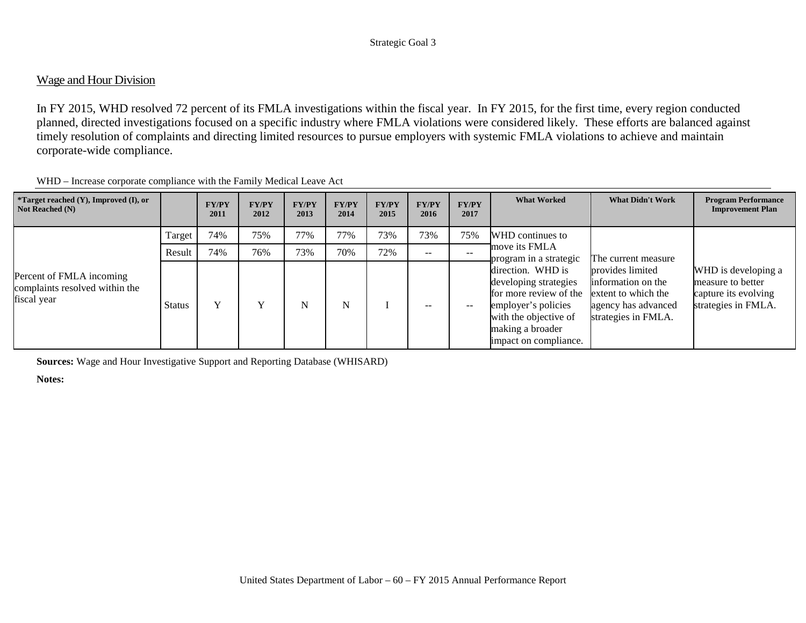## Wage and Hour Division

In FY 2015, WHD resolved 72 percent of its FMLA investigations within the fiscal year. In FY 2015, for the first time, every region conducted planned, directed investigations focused on a specific industry where FMLA violations were considered likely. These efforts are balanced against timely resolution of complaints and directing limited resources to pursue employers with systemic FMLA violations to achieve and maintain corporate-wide compliance.

| <i>*</i> Target reached $(Y)$ , Improved $(I)$ , or<br>Not Reached (N)    |               | <b>FY/PY</b><br>2011 | <b>FY/PY</b><br>2012 | <b>FY/PY</b><br>2013 | <b>FY/PY</b><br>2014 | <b>FY/PY</b><br>2015 | <b>FY/PY</b><br>2016 | <b>FY/PY</b><br>2017 | <b>What Worked</b>                                                                                                                                                | <b>What Didn't Work</b>                                                                                     | <b>Program Performance</b><br><b>Improvement Plan</b>                                   |
|---------------------------------------------------------------------------|---------------|----------------------|----------------------|----------------------|----------------------|----------------------|----------------------|----------------------|-------------------------------------------------------------------------------------------------------------------------------------------------------------------|-------------------------------------------------------------------------------------------------------------|-----------------------------------------------------------------------------------------|
|                                                                           | Target        | 74%                  | 75%                  | 77%                  | 77%                  | 73%                  | 73%                  | 75%                  | WHD continues to                                                                                                                                                  |                                                                                                             |                                                                                         |
|                                                                           | Result        | 74%                  | 76%                  | 73%                  | 70%                  | 72%                  | $- -$                | $- -$                | move its FMLA<br>program in a strategic                                                                                                                           | The current measure                                                                                         |                                                                                         |
| Percent of FMLA incoming<br>complaints resolved within the<br>fiscal year | <b>Status</b> | $\mathbf{v}$         |                      | N                    | N                    |                      | --                   | --                   | direction. WHD is<br>developing strategies<br>for more review of the<br>employer's policies<br>with the objective of<br>making a broader<br>impact on compliance. | provides limited<br>information on the<br>extent to which the<br>agency has advanced<br>strategies in FMLA. | WHD is developing a<br>measure to better<br>capture its evolving<br>strategies in FMLA. |

WHD – Increase corporate compliance with the Family Medical Leave Act

**Sources:** Wage and Hour Investigative Support and Reporting Database (WHISARD)

**Notes:**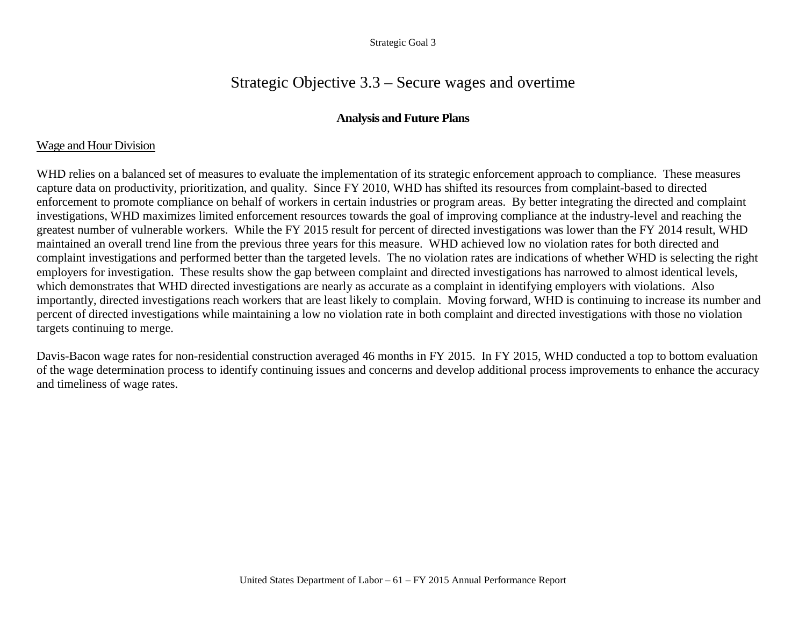# Strategic Objective 3.3 – Secure wages and overtime

## **Analysis and Future Plans**

## Wage and Hour Division

WHD relies on a balanced set of measures to evaluate the implementation of its strategic enforcement approach to compliance. These measures capture data on productivity, prioritization, and quality. Since FY 2010, WHD has shifted its resources from complaint-based to directed enforcement to promote compliance on behalf of workers in certain industries or program areas. By better integrating the directed and complaint investigations, WHD maximizes limited enforcement resources towards the goal of improving compliance at the industry-level and reaching the greatest number of vulnerable workers. While the FY 2015 result for percent of directed investigations was lower than the FY 2014 result, WHD maintained an overall trend line from the previous three years for this measure. WHD achieved low no violation rates for both directed and complaint investigations and performed better than the targeted levels. The no violation rates are indications of whether WHD is selecting the right employers for investigation. These results show the gap between complaint and directed investigations has narrowed to almost identical levels, which demonstrates that WHD directed investigations are nearly as accurate as a complaint in identifying employers with violations. Also importantly, directed investigations reach workers that are least likely to complain. Moving forward, WHD is continuing to increase its number and percent of directed investigations while maintaining a low no violation rate in both complaint and directed investigations with those no violation targets continuing to merge.

Davis-Bacon wage rates for non-residential construction averaged 46 months in FY 2015. In FY 2015, WHD conducted a top to bottom evaluation of the wage determination process to identify continuing issues and concerns and develop additional process improvements to enhance the accuracy and timeliness of wage rates.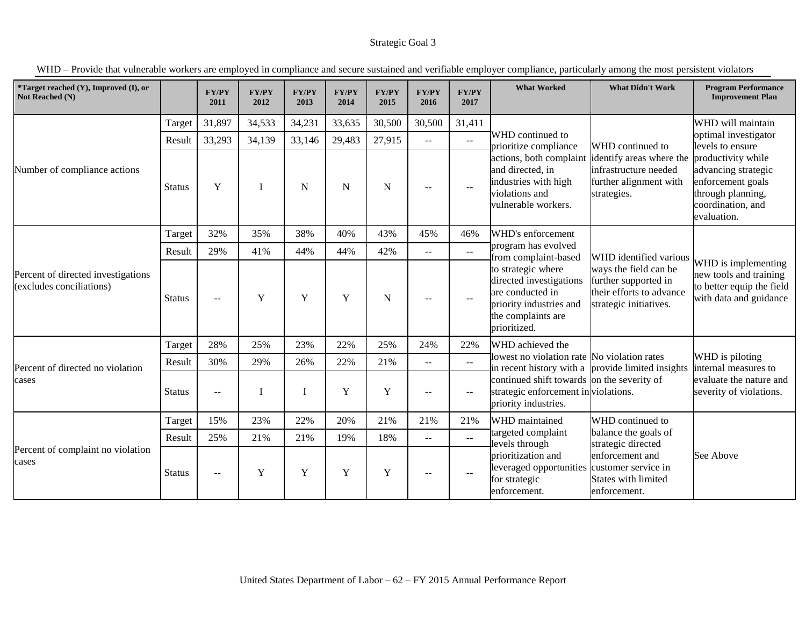| *Target reached (Y), Improved (I), or<br>Not Reached (N)       |               | <b>FY/PY</b><br>2011                                                                                                                                                                                                                               | <b>FY/PY</b><br>2012    | <b>FY/PY</b><br>2013                                                                       | <b>FY/PY</b><br>2014                                                                                                    | <b>FY/PY</b><br>2015 | <b>FY/PY</b><br>2016     | <b>FY/PY</b><br>2017        | <b>What Worked</b>                                                                                                                 | <b>What Didn't Work</b>                                                                             | <b>Program Performance</b><br><b>Improvement Plan</b>                                                |
|----------------------------------------------------------------|---------------|----------------------------------------------------------------------------------------------------------------------------------------------------------------------------------------------------------------------------------------------------|-------------------------|--------------------------------------------------------------------------------------------|-------------------------------------------------------------------------------------------------------------------------|----------------------|--------------------------|-----------------------------|------------------------------------------------------------------------------------------------------------------------------------|-----------------------------------------------------------------------------------------------------|------------------------------------------------------------------------------------------------------|
|                                                                | Target        | 31,897                                                                                                                                                                                                                                             | 34,533                  | 34,231                                                                                     | 33,635                                                                                                                  | 30,500               | 30,500                   | 31,411                      |                                                                                                                                    |                                                                                                     | WHD will maintain                                                                                    |
|                                                                | Result        | 33,293                                                                                                                                                                                                                                             | 34,139                  | 33,146                                                                                     | 29,483                                                                                                                  | 27,915               | $- -$                    | $\mathbb{L}^{\mathbb{L}}$   | WHD continued to<br>prioritize compliance                                                                                          | WHD continued to                                                                                    | optimal investigator<br>levels to ensure                                                             |
| Number of compliance actions                                   | <b>Status</b> | and directed, in<br>industries with high<br>Y<br>$\mathbf N$<br>${\bf N}$<br>I<br>N<br>$- -$<br>$\mathbf{u}$<br>violations and<br>vulnerable workers.<br>32%<br>38%<br>40%<br>WHD's enforcement<br>35%<br>43%<br>45%<br>46%<br>program has evolved | actions, both complaint | identify areas where the<br>infrastructure needed<br>further alignment with<br>strategies. | productivity while<br>advancing strategic<br>enforcement goals<br>through planning,<br>coordination, and<br>evaluation. |                      |                          |                             |                                                                                                                                    |                                                                                                     |                                                                                                      |
|                                                                | Target        |                                                                                                                                                                                                                                                    |                         |                                                                                            |                                                                                                                         |                      |                          |                             |                                                                                                                                    |                                                                                                     |                                                                                                      |
| Percent of directed investigations<br>(excludes conciliations) | Result        | 29%                                                                                                                                                                                                                                                | 41%                     | 44%                                                                                        | 44%                                                                                                                     | 42%                  | $-1$                     | $\mathbb{L}^{\mathbb{L}}$   | from complaint-based                                                                                                               | WHD identified various                                                                              |                                                                                                      |
|                                                                | <b>Status</b> | $-$                                                                                                                                                                                                                                                | Y                       | $\mathbf Y$                                                                                | Y                                                                                                                       | $\mathbf N$          | $- -$                    | $\sim$ $\sim$               | to strategic where<br>directed investigations<br>are conducted in<br>priority industries and<br>the complaints are<br>prioritized. | ways the field can be<br>further supported in<br>their efforts to advance<br>strategic initiatives. | WHD is implementing<br>new tools and training<br>to better equip the field<br>with data and guidance |
|                                                                | Target        | 28%                                                                                                                                                                                                                                                | 25%                     | 23%                                                                                        | 22%                                                                                                                     | 25%                  | 24%                      | 22%                         | WHD achieved the                                                                                                                   |                                                                                                     |                                                                                                      |
| Percent of directed no violation                               | Result        | 30%                                                                                                                                                                                                                                                | 29%                     | 26%                                                                                        | 22%                                                                                                                     | 21%                  | $- -$                    | $\mathcal{L}_{\mathcal{F}}$ | lowest no violation rate No violation rates                                                                                        | in recent history with a provide limited insights                                                   | WHD is piloting<br>internal measures to                                                              |
| cases                                                          | <b>Status</b> | $-$                                                                                                                                                                                                                                                |                         |                                                                                            | Y                                                                                                                       | Y                    | $\overline{\phantom{a}}$ | $- -$                       | continued shift towards on the severity of<br>strategic enforcement in violations.<br>priority industries.                         |                                                                                                     | evaluate the nature and<br>severity of violations.                                                   |
|                                                                | Target        | 15%                                                                                                                                                                                                                                                | 23%                     | 22%                                                                                        | 20%                                                                                                                     | 21%                  | 21%                      | 21%                         | WHD maintained                                                                                                                     | WHD continued to                                                                                    |                                                                                                      |
|                                                                | Result        | 25%                                                                                                                                                                                                                                                | 21%                     | 21%                                                                                        | 19%                                                                                                                     | 18%                  | --                       | $-$                         | targeted complaint<br>levels through                                                                                               | balance the goals of<br>strategic directed                                                          |                                                                                                      |
| Percent of complaint no violation<br>cases                     | <b>Status</b> | $-$                                                                                                                                                                                                                                                | Y                       | Y                                                                                          | Y                                                                                                                       | Y                    | $- -$                    | $- -$                       | prioritization and<br>leveraged opportunities<br>for strategic<br>enforcement.                                                     | enforcement and<br>customer service in<br><b>States with limited</b><br>enforcement.                | See Above                                                                                            |

WHD – Provide that vulnerable workers are employed in compliance and secure sustained and verifiable employer compliance, particularly among the most persistent violators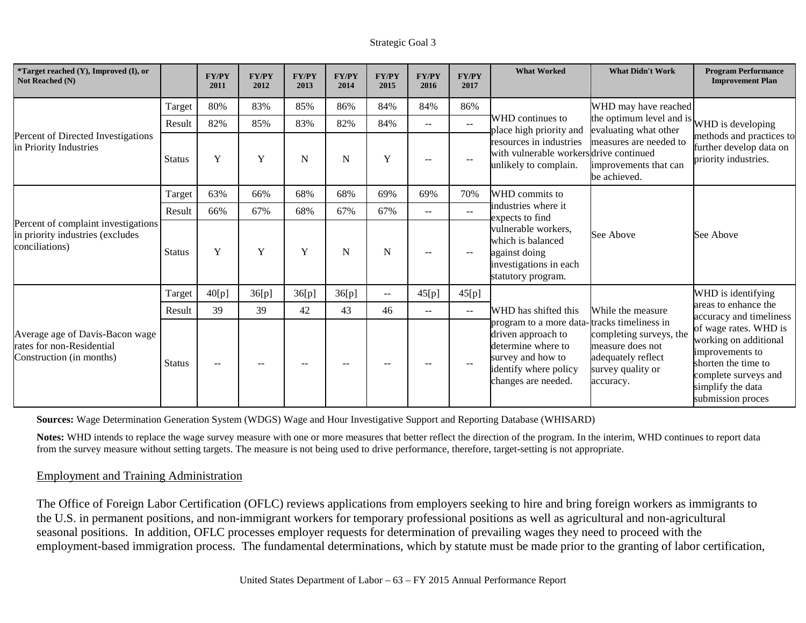| *Target reached (Y), Improved (I), or<br>Not Reached (N)                                 |               | <b>FY/PY</b><br>2011 | <b>FY/PY</b><br>2012 | <b>FY/PY</b><br>2013 | <b>FY/PY</b><br>2014 | <b>FY/PY</b><br>2015     | <b>FY/PY</b><br>2016 | <b>FY/PY</b><br>2017 | <b>What Worked</b>                                                                                                                       | <b>What Didn't Work</b>                                                                                                     | <b>Program Performance</b><br><b>Improvement Plan</b>                                                                                                      |
|------------------------------------------------------------------------------------------|---------------|----------------------|----------------------|----------------------|----------------------|--------------------------|----------------------|----------------------|------------------------------------------------------------------------------------------------------------------------------------------|-----------------------------------------------------------------------------------------------------------------------------|------------------------------------------------------------------------------------------------------------------------------------------------------------|
|                                                                                          | Target        | 80%                  | 83%                  | 85%                  | 86%                  | 84%                      | 84%                  | 86%                  |                                                                                                                                          | WHD may have reached                                                                                                        |                                                                                                                                                            |
|                                                                                          | Result        | 82%                  | 85%                  | 83%                  | 82%                  | 84%                      | $- -$                | $\sim$ $\sim$        | WHD continues to<br>place high priority and                                                                                              | the optimum level and is WHD is developing<br>evaluating what other                                                         |                                                                                                                                                            |
| Percent of Directed Investigations<br>in Priority Industries                             | <b>Status</b> | Y                    | Y                    | $\mathbf N$          | $\mathbf N$          | $\mathbf Y$              | $-$                  | --                   | resources in industries<br>with vulnerable workers drive continued<br>unlikely to complain.                                              | measures are needed to<br>improvements that can<br>be achieved.                                                             | methods and practices to<br>further develop data on<br>priority industries.                                                                                |
|                                                                                          | Target        | 63%                  | 66%                  | 68%                  | 68%                  | 69%                      | 69%                  | 70%                  | WHD commits to                                                                                                                           |                                                                                                                             |                                                                                                                                                            |
| Percent of complaint investigations                                                      | Result        | 66%                  | 67%                  | 68%                  | 67%                  | 67%                      | $- -$                | $\sim$ $\sim$        | industries where it<br>expects to find                                                                                                   |                                                                                                                             |                                                                                                                                                            |
| in priority industries (excludes<br>conciliations)                                       | <b>Status</b> | Y                    | Y                    | Y                    | N                    | N                        | --                   | --                   | vulnerable workers,<br>which is balanced<br>against doing<br>investigations in each<br>statutory program.                                | See Above                                                                                                                   | See Above                                                                                                                                                  |
|                                                                                          | Target        | 40[p]                | 36[p]                | 36[p]                | 36[p]                | $\overline{\phantom{m}}$ | 45[p]                | 45[p]                |                                                                                                                                          |                                                                                                                             | WHD is identifying                                                                                                                                         |
|                                                                                          | Result        | 39                   | 39                   | 42                   | 43                   | 46                       | $- -$                | $\sim$               | WHD has shifted this                                                                                                                     | While the measure                                                                                                           | areas to enhance the<br>accuracy and timeliness                                                                                                            |
| Average age of Davis-Bacon wage<br>rates for non-Residential<br>Construction (in months) | <b>Status</b> | $\sim$ $-$           |                      |                      | $-$                  | --                       | $-$                  | --                   | program to a more data-<br>driven approach to<br>determine where to<br>survey and how to<br>identify where policy<br>changes are needed. | tracks timeliness in<br>completing surveys, the<br>measure does not<br>adequately reflect<br>survey quality or<br>accuracy. | of wage rates. WHD is<br>working on additional<br>improvements to<br>shorten the time to<br>complete surveys and<br>simplify the data<br>submission proces |

**Sources:** Wage Determination Generation System (WDGS) Wage and Hour Investigative Support and Reporting Database (WHISARD)

Notes: WHD intends to replace the wage survey measure with one or more measures that better reflect the direction of the program. In the interim, WHD continues to report data from the survey measure without setting targets. The measure is not being used to drive performance, therefore, target-setting is not appropriate.

### Employment and Training Administration

The Office of Foreign Labor Certification (OFLC) reviews applications from employers seeking to hire and bring foreign workers as immigrants to the U.S. in permanent positions, and non-immigrant workers for temporary professional positions as well as agricultural and non-agricultural seasonal positions. In addition, OFLC processes employer requests for determination of prevailing wages they need to proceed with the employment-based immigration process. The fundamental determinations, which by statute must be made prior to the granting of labor certification,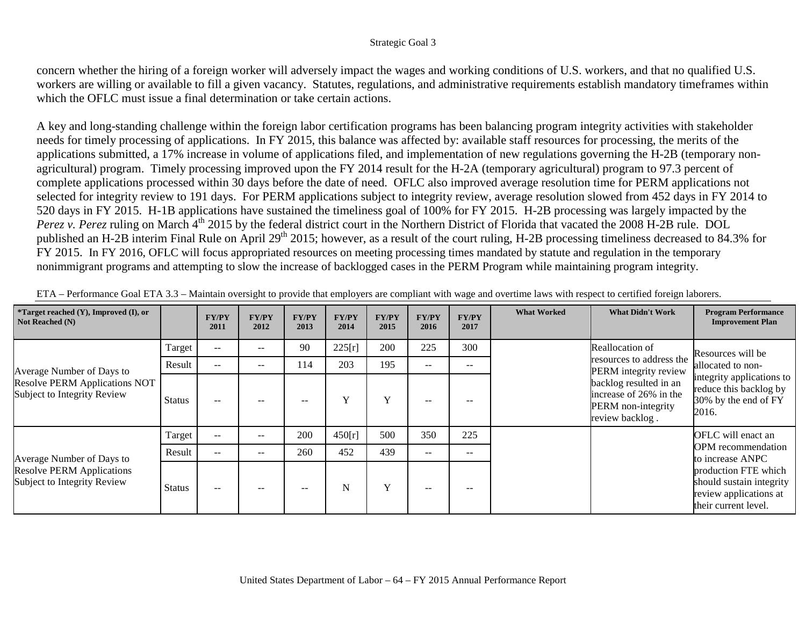concern whether the hiring of a foreign worker will adversely impact the wages and working conditions of U.S. workers, and that no qualified U.S. workers are willing or available to fill a given vacancy. Statutes, regulations, and administrative requirements establish mandatory timeframes within which the OFLC must issue a final determination or take certain actions.

A key and long-standing challenge within the foreign labor certification programs has been balancing program integrity activities with stakeholder needs for timely processing of applications. In FY 2015, this balance was affected by: available staff resources for processing, the merits of the applications submitted, a 17% increase in volume of applications filed, and implementation of new regulations governing the H-2B (temporary nonagricultural) program. Timely processing improved upon the FY 2014 result for the H-2A (temporary agricultural) program to 97.3 percent of complete applications processed within 30 days before the date of need. OFLC also improved average resolution time for PERM applications not selected for integrity review to 191 days. For PERM applications subject to integrity review, average resolution slowed from 452 days in FY 2014 to 520 days in FY 2015. H-1B applications have sustained the timeliness goal of 100% for FY 2015. H-2B processing was largely impacted by the *Perez v. Perez* ruling on March 4<sup>th</sup> 2015 by the federal district court in the Northern District of Florida that vacated the 2008 H-2B rule. DOL published an H-2B interim Final Rule on April 29<sup>th</sup> 2015; however, as a result of the court ruling, H-2B processing timeliness decreased to 84.3% for FY 2015. In FY 2016, OFLC will focus appropriated resources on meeting processing times mandated by statute and regulation in the temporary nonimmigrant programs and attempting to slow the increase of backlogged cases in the PERM Program while maintaining program integrity.

| *Target reached (Y), Improved (I), or<br>Not Reached $(N)$          |               | <b>FY/PY</b><br>2011 | <b>FY/PY</b><br>2012 | <b>FY/PY</b><br>2013 | <b>FY/PY</b><br>2014 | <b>FY/PY</b><br>2015 | <b>FY/PY</b><br>2016 | <b>FY/PY</b><br>2017 | <b>What Worked</b> | <b>What Didn't Work</b>                                                                   | <b>Program Performance</b><br><b>Improvement Plan</b>                                              |
|---------------------------------------------------------------------|---------------|----------------------|----------------------|----------------------|----------------------|----------------------|----------------------|----------------------|--------------------|-------------------------------------------------------------------------------------------|----------------------------------------------------------------------------------------------------|
|                                                                     | Target        | $- -$                | $- -$                | 90                   | 225[r]               | 200                  | 225                  | 300                  |                    | Reallocation of                                                                           | Resources will be                                                                                  |
| Average Number of Days to                                           | Result        | $- -$                | $- -$                | 114                  | 203                  | 195                  | $- -$                | $- -$                |                    | resources to address the<br>PERM integrity review                                         | allocated to non-                                                                                  |
| <b>Resolve PERM Applications NOT</b><br>Subject to Integrity Review | <b>Status</b> | $- -$                | --                   | $- -$                | $\mathbf{v}$         | $\mathbf v$          | $\qquad \qquad -$    |                      |                    | backlog resulted in an<br>increase of 26% in the<br>PERM non-integrity<br>review backlog. | integrity applications to<br>reduce this backlog by<br>30% by the end of FY<br>2016.               |
|                                                                     | Target        | $-$                  | $- -$                | 200                  | 450[r]               | 500                  | 350                  | 225                  |                    |                                                                                           | OFLC will enact an                                                                                 |
| Average Number of Days to                                           | Result        | $- -$                | $- -$                | 260                  | 452                  | 439                  | $- -$                | $- -$                |                    |                                                                                           | <b>OPM</b> recommendation<br>to increase ANPC                                                      |
| <b>Resolve PERM Applications</b><br>Subject to Integrity Review     | <b>Status</b> | $- -$                | $- -$                | $- -$                | N                    | $\mathbf{v}$         | $\qquad \qquad -$    | --                   |                    |                                                                                           | production FTE which<br>should sustain integrity<br>review applications at<br>their current level. |

ETA – Performance Goal ETA 3.3 – Maintain oversight to provide that employers are compliant with wage and overtime laws with respect to certified foreign laborers.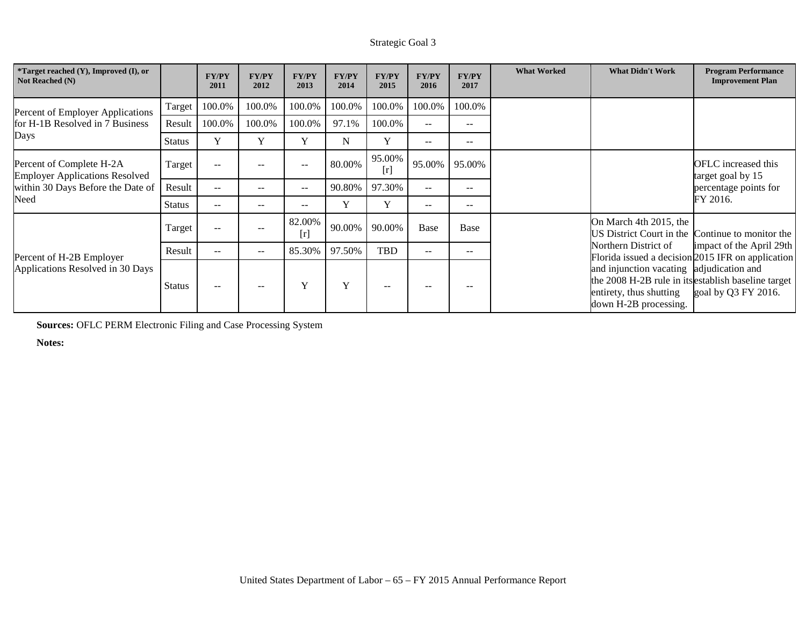| *Target reached (Y), Improved (I), or<br>Not Reached (N)          |               | <b>FY/PY</b><br>2011 | <b>FY/PY</b><br>2012     | <b>FY/PY</b><br>2013 | <b>FY/PY</b><br>2014 | <b>FY/PY</b><br>2015 | <b>FY/PY</b><br>2016     | <b>FY/PY</b><br>2017 | <b>What Worked</b>     | <b>What Didn't Work</b>                                                                                                                             | <b>Program Performance</b><br><b>Improvement Plan</b>                         |
|-------------------------------------------------------------------|---------------|----------------------|--------------------------|----------------------|----------------------|----------------------|--------------------------|----------------------|------------------------|-----------------------------------------------------------------------------------------------------------------------------------------------------|-------------------------------------------------------------------------------|
| Percent of Employer Applications                                  | Target        | 100.0%               | 100.0%                   | 100.0%               | 100.0%               | 100.0%               | 100.0%                   | 100.0%               |                        |                                                                                                                                                     |                                                                               |
| for H-1B Resolved in 7 Business                                   | Result        | 100.0%               | 100.0%                   | 100.0%               | 97.1%                | 100.0%               | $\sim$ $\sim$            | $- -$                |                        |                                                                                                                                                     |                                                                               |
| Days                                                              | <b>Status</b> | Y                    | Y                        | Y                    | N                    | Y                    | $\overline{\phantom{a}}$ | $- -$                |                        |                                                                                                                                                     |                                                                               |
| Percent of Complete H-2A<br><b>Employer Applications Resolved</b> | Target        | $-$                  |                          |                      | 80.00%               | 95.00%<br>[r]        | 95.00%                   | 95.00%               |                        |                                                                                                                                                     | OFLC increased this<br>target goal by 15                                      |
| within 30 Days Before the Date of                                 | Result        | $\sim$               | $- -$                    | $--$                 | 90.80%               | 97.30%               | $--$<br>$- -$            |                      | percentage points for  |                                                                                                                                                     |                                                                               |
| Need                                                              | <b>Status</b> | $-$                  | $\overline{\phantom{m}}$ | $- -$                | Y                    | Y                    | $\overline{\phantom{m}}$ | $- -$                |                        |                                                                                                                                                     | FY 2016.                                                                      |
|                                                                   | Target        | $-$                  |                          | 82.00%<br>[r]        | 90.00%               | 90.00%               | Base                     | Base                 | On March 4th 2015, the | US District Court in the Continue to monitor the                                                                                                    |                                                                               |
| Percent of H-2B Employer                                          | Result        | $- -$                | $- -$                    | 85.30%               | 97.50%               | TBD                  | $\qquad \qquad -$        | $- -$                |                        | Northern District of                                                                                                                                | impact of the April 29th<br>Florida issued a decision 2015 IFR on application |
| Applications Resolved in 30 Days                                  | <b>Status</b> | $- -$                |                          | Y                    | Y                    | $- -$                |                          |                      |                        | and injunction vacating adjudication and<br>the 2008 H-2B rule in its establish baseline target<br>entirety, thus shutting<br>down H-2B processing. | goal by Q3 FY 2016.                                                           |

**Sources:** OFLC PERM Electronic Filing and Case Processing System

**Notes:**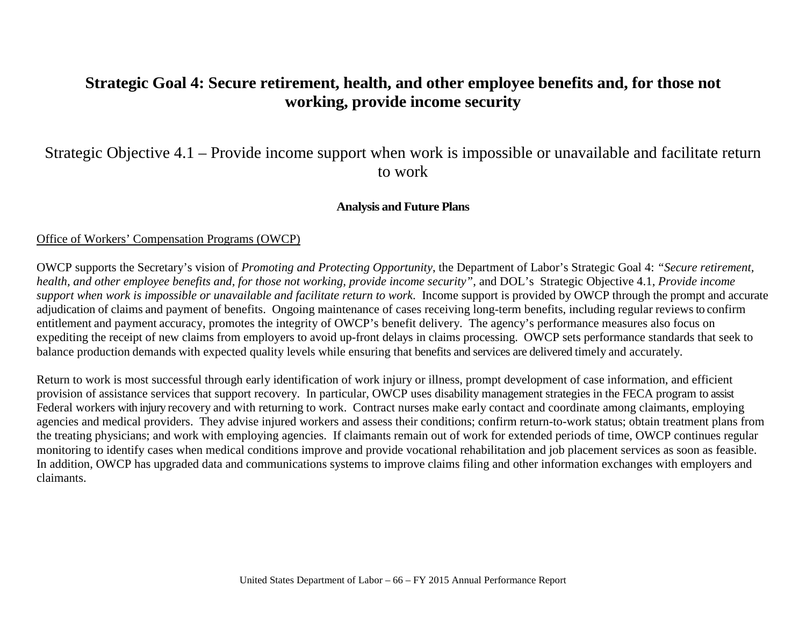# **Strategic Goal 4: Secure retirement, health, and other employee benefits and, for those not working, provide income security**

# Strategic Objective 4.1 – Provide income support when work is impossible or unavailable and facilitate return to work

## **Analysis and Future Plans**

## Office of Workers' Compensation Programs (OWCP)

OWCP supports the Secretary's vision of *Promoting and Protecting Opportunity*, the Department of Labor's Strategic Goal 4: *"Secure retirement, health, and other employee benefits and, for those not working, provide income security"*, and DOL's Strategic Objective 4.1, *Provide income support when work is impossible or unavailable and facilitate return to work*. Income support is provided by OWCP through the prompt and accurate adjudication of claims and payment of benefits. Ongoing maintenance of cases receiving long-term benefits, including regular reviews to confirm entitlement and payment accuracy, promotes the integrity of OWCP's benefit delivery. The agency's performance measures also focus on expediting the receipt of new claims from employers to avoid up-front delays in claims processing. OWCP sets performance standards that seek to balance production demands with expected quality levels while ensuring that benefits and services are delivered timely and accurately.

Return to work is most successful through early identification of work injury or illness, prompt development of case information, and efficient provision of assistance services that support recovery. In particular, OWCP uses disability management strategies in the FECA program to assist Federal workers with injury recovery and with returning to work. Contract nurses make early contact and coordinate among claimants, employing agencies and medical providers. They advise injured workers and assess their conditions; confirm return-to-work status; obtain treatment plans from the treating physicians; and work with employing agencies. If claimants remain out of work for extended periods of time, OWCP continues regular monitoring to identify cases when medical conditions improve and provide vocational rehabilitation and job placement services as soon as feasible. In addition, OWCP has upgraded data and communications systems to improve claims filing and other information exchanges with employers and claimants.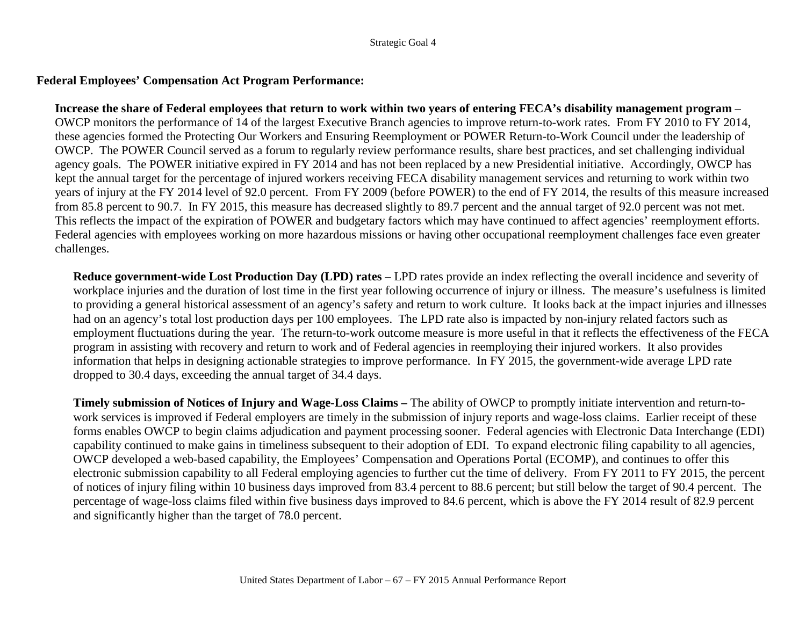### **Federal Employees' Compensation Act Program Performance:**

**Increase the share of Federal employees that return to work within two years of entering FECA's disability management program** – OWCP monitors the performance of 14 of the largest Executive Branch agencies to improve return-to-work rates. From FY 2010 to FY 2014, these agencies formed the Protecting Our Workers and Ensuring Reemployment or POWER Return-to-Work Council under the leadership of OWCP. The POWER Council served as a forum to regularly review performance results, share best practices, and set challenging individual agency goals. The POWER initiative expired in FY 2014 and has not been replaced by a new Presidential initiative. Accordingly, OWCP has kept the annual target for the percentage of injured workers receiving FECA disability management services and returning to work within two years of injury at the FY 2014 level of 92.0 percent. From FY 2009 (before POWER) to the end of FY 2014, the results of this measure increased from 85.8 percent to 90.7. In FY 2015, this measure has decreased slightly to 89.7 percent and the annual target of 92.0 percent was not met. This reflects the impact of the expiration of POWER and budgetary factors which may have continued to affect agencies' reemployment efforts. Federal agencies with employees working on more hazardous missions or having other occupational reemployment challenges face even greater challenges.

**Reduce government-wide Lost Production Day (LPD) rates** – LPD rates provide an index reflecting the overall incidence and severity of workplace injuries and the duration of lost time in the first year following occurrence of injury or illness. The measure's usefulness is limited to providing a general historical assessment of an agency's safety and return to work culture. It looks back at the impact injuries and illnesses had on an agency's total lost production days per 100 employees. The LPD rate also is impacted by non-injury related factors such as employment fluctuations during the year. The return-to-work outcome measure is more useful in that it reflects the effectiveness of the FECA program in assisting with recovery and return to work and of Federal agencies in reemploying their injured workers. It also provides information that helps in designing actionable strategies to improve performance. In FY 2015, the government-wide average LPD rate dropped to 30.4 days, exceeding the annual target of 34.4 days.

**Timely submission of Notices of Injury and Wage-Loss Claims –** The ability of OWCP to promptly initiate intervention and return-towork services is improved if Federal employers are timely in the submission of injury reports and wage-loss claims. Earlier receipt of these forms enables OWCP to begin claims adjudication and payment processing sooner. Federal agencies with Electronic Data Interchange (EDI) capability continued to make gains in timeliness subsequent to their adoption of EDI. To expand electronic filing capability to all agencies, OWCP developed a web-based capability, the Employees' Compensation and Operations Portal (ECOMP), and continues to offer this electronic submission capability to all Federal employing agencies to further cut the time of delivery. From FY 2011 to FY 2015, the percent of notices of injury filing within 10 business days improved from 83.4 percent to 88.6 percent; but still below the target of 90.4 percent. The percentage of wage-loss claims filed within five business days improved to 84.6 percent, which is above the FY 2014 result of 82.9 percent and significantly higher than the target of 78.0 percent.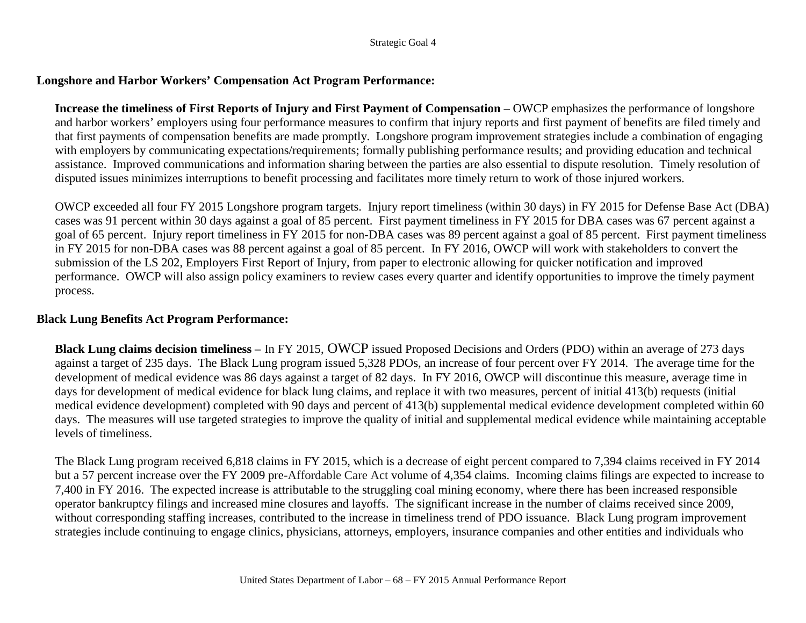## **Longshore and Harbor Workers' Compensation Act Program Performance:**

**Increase the timeliness of First Reports of Injury and First Payment of Compensation** – OWCP emphasizes the performance of longshore and harbor workers' employers using four performance measures to confirm that injury reports and first payment of benefits are filed timely and that first payments of compensation benefits are made promptly. Longshore program improvement strategies include a combination of engaging with employers by communicating expectations/requirements; formally publishing performance results; and providing education and technical assistance. Improved communications and information sharing between the parties are also essential to dispute resolution. Timely resolution of disputed issues minimizes interruptions to benefit processing and facilitates more timely return to work of those injured workers.

OWCP exceeded all four FY 2015 Longshore program targets. Injury report timeliness (within 30 days) in FY 2015 for Defense Base Act (DBA) cases was 91 percent within 30 days against a goal of 85 percent. First payment timeliness in FY 2015 for DBA cases was 67 percent against a goal of 65 percent. Injury report timeliness in FY 2015 for non-DBA cases was 89 percent against a goal of 85 percent. First payment timeliness in FY 2015 for non-DBA cases was 88 percent against a goal of 85 percent. In FY 2016, OWCP will work with stakeholders to convert the submission of the LS 202, Employers First Report of Injury, from paper to electronic allowing for quicker notification and improved performance. OWCP will also assign policy examiners to review cases every quarter and identify opportunities to improve the timely payment process.

### **Black Lung Benefits Act Program Performance:**

**Black Lung claims decision timeliness –** In FY 2015, OWCP issued Proposed Decisions and Orders (PDO) within an average of 273 days against a target of 235 days. The Black Lung program issued 5,328 PDOs, an increase of four percent over FY 2014. The average time for the development of medical evidence was 86 days against a target of 82 days. In FY 2016, OWCP will discontinue this measure, average time in days for development of medical evidence for black lung claims, and replace it with two measures, percent of initial 413(b) requests (initial medical evidence development) completed with 90 days and percent of 413(b) supplemental medical evidence development completed within 60 days. The measures will use targeted strategies to improve the quality of initial and supplemental medical evidence while maintaining acceptable levels of timeliness.

The Black Lung program received 6,818 claims in FY 2015, which is a decrease of eight percent compared to 7,394 claims received in FY 2014 but a 57 percent increase over the FY 2009 pre-Affordable Care Act volume of 4,354 claims. Incoming claims filings are expected to increase to 7,400 in FY 2016. The expected increase is attributable to the struggling coal mining economy, where there has been increased responsible operator bankruptcy filings and increased mine closures and layoffs. The significant increase in the number of claims received since 2009, without corresponding staffing increases, contributed to the increase in timeliness trend of PDO issuance. Black Lung program improvement strategies include continuing to engage clinics, physicians, attorneys, employers, insurance companies and other entities and individuals who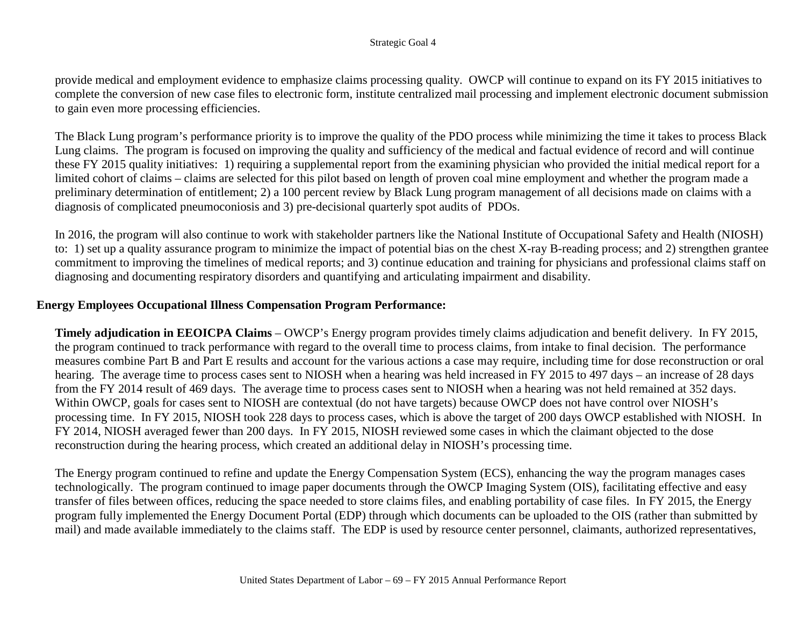provide medical and employment evidence to emphasize claims processing quality. OWCP will continue to expand on its FY 2015 initiatives to complete the conversion of new case files to electronic form, institute centralized mail processing and implement electronic document submission to gain even more processing efficiencies.

The Black Lung program's performance priority is to improve the quality of the PDO process while minimizing the time it takes to process Black Lung claims. The program is focused on improving the quality and sufficiency of the medical and factual evidence of record and will continue these FY 2015 quality initiatives: 1) requiring a supplemental report from the examining physician who provided the initial medical report for a limited cohort of claims – claims are selected for this pilot based on length of proven coal mine employment and whether the program made a preliminary determination of entitlement; 2) a 100 percent review by Black Lung program management of all decisions made on claims with a diagnosis of complicated pneumoconiosis and 3) pre-decisional quarterly spot audits of PDOs.

In 2016, the program will also continue to work with stakeholder partners like the National Institute of Occupational Safety and Health (NIOSH) to: 1) set up a quality assurance program to minimize the impact of potential bias on the chest X-ray B-reading process; and 2) strengthen grantee commitment to improving the timelines of medical reports; and 3) continue education and training for physicians and professional claims staff on diagnosing and documenting respiratory disorders and quantifying and articulating impairment and disability.

## **Energy Employees Occupational Illness Compensation Program Performance:**

**Timely adjudication in EEOICPA Claims** – OWCP's Energy program provides timely claims adjudication and benefit delivery. In FY 2015, the program continued to track performance with regard to the overall time to process claims, from intake to final decision. The performance measures combine Part B and Part E results and account for the various actions a case may require, including time for dose reconstruction or oral hearing. The average time to process cases sent to NIOSH when a hearing was held increased in FY 2015 to 497 days – an increase of 28 days from the FY 2014 result of 469 days. The average time to process cases sent to NIOSH when a hearing was not held remained at 352 days. Within OWCP, goals for cases sent to NIOSH are contextual (do not have targets) because OWCP does not have control over NIOSH's processing time. In FY 2015, NIOSH took 228 days to process cases, which is above the target of 200 days OWCP established with NIOSH. In FY 2014, NIOSH averaged fewer than 200 days. In FY 2015, NIOSH reviewed some cases in which the claimant objected to the dose reconstruction during the hearing process, which created an additional delay in NIOSH's processing time.

The Energy program continued to refine and update the Energy Compensation System (ECS), enhancing the way the program manages cases technologically. The program continued to image paper documents through the OWCP Imaging System (OIS), facilitating effective and easy transfer of files between offices, reducing the space needed to store claims files, and enabling portability of case files. In FY 2015, the Energy program fully implemented the Energy Document Portal (EDP) through which documents can be uploaded to the OIS (rather than submitted by mail) and made available immediately to the claims staff. The EDP is used by resource center personnel, claimants, authorized representatives,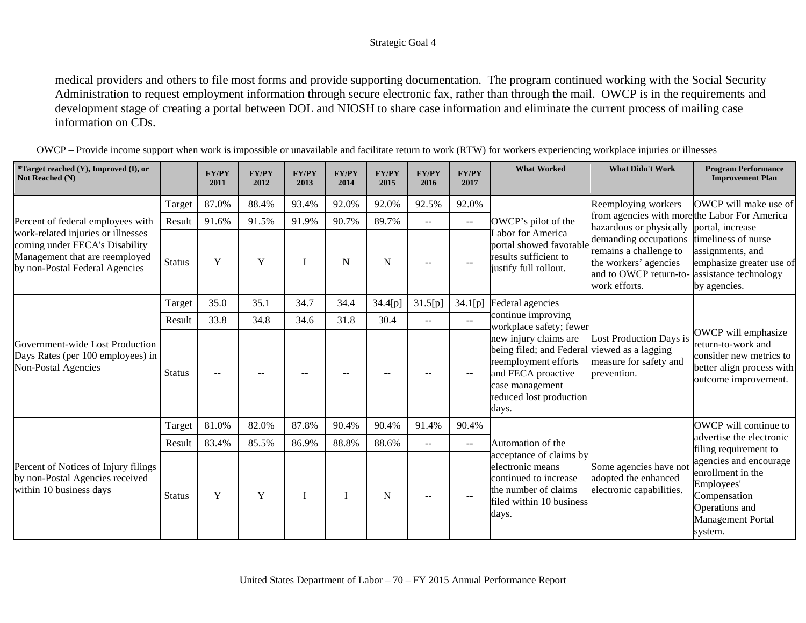medical providers and others to file most forms and provide supporting documentation. The program continued working with the Social Security Administration to request employment information through secure electronic fax, rather than through the mail. OWCP is in the requirements and development stage of creating a portal between DOL and NIOSH to share case information and eliminate the current process of mailing case information on CDs.

| *Target reached (Y), Improved (I), or<br>Not Reached (N)                                                                                 |                                                                                                                 | <b>FY/PY</b><br>2011 | <b>FY/PY</b><br>2012                                                     | <b>FY/PY</b><br>2013 | <b>FY/PY</b><br>2014 | <b>FY/PY</b><br>2015 | <b>FY/PY</b><br>2016 | <b>FY/PY</b><br>2017 | <b>What Worked</b>                                                                                                                                                         | <b>What Didn't Work</b>                                                                                             | <b>Program Performance</b><br><b>Improvement Plan</b>                                                                              |
|------------------------------------------------------------------------------------------------------------------------------------------|-----------------------------------------------------------------------------------------------------------------|----------------------|--------------------------------------------------------------------------|----------------------|----------------------|----------------------|----------------------|----------------------|----------------------------------------------------------------------------------------------------------------------------------------------------------------------------|---------------------------------------------------------------------------------------------------------------------|------------------------------------------------------------------------------------------------------------------------------------|
|                                                                                                                                          | Target                                                                                                          | 87.0%                | 88.4%                                                                    | 93.4%                | 92.0%                | 92.0%                | 92.5%                | 92.0%                |                                                                                                                                                                            | Reemploying workers                                                                                                 | OWCP will make use of                                                                                                              |
| Percent of federal employees with                                                                                                        | 91.6%<br>91.9%<br>90.7%<br>89.7%<br>91.5%<br>Result<br>OWCP's pilot of the<br>$\overline{\phantom{a}}$<br>$- -$ |                      | from agencies with more the Labor For America<br>hazardous or physically | portal, increase     |                      |                      |                      |                      |                                                                                                                                                                            |                                                                                                                     |                                                                                                                                    |
| work-related injuries or illnesses<br>coming under FECA's Disability<br>Management that are reemployed<br>by non-Postal Federal Agencies | <b>Status</b>                                                                                                   | Y                    | $\mathbf Y$                                                              |                      | N                    | N                    |                      | $-$                  | Labor for America<br>portal showed favorable<br>results sufficient to<br>justify full rollout.                                                                             | demanding occupations<br>remains a challenge to<br>the workers' agencies<br>and to OWCP return-to-<br>work efforts. | timeliness of nurse<br>assignments, and<br>emphasize greater use of<br>assistance technology<br>by agencies.                       |
|                                                                                                                                          | Target                                                                                                          | 35.0                 | 35.1                                                                     | 34.7                 | 34.4                 | 34.4[p]              | 31.5[p]              | 34.1[p]              | Federal agencies                                                                                                                                                           |                                                                                                                     |                                                                                                                                    |
|                                                                                                                                          | Result                                                                                                          | 33.8                 | 34.8                                                                     | 34.6                 | 31.8                 | 30.4                 | $\sim$ $\sim$        | $\sim$ $\sim$        | continue improving<br>workplace safety; fewer                                                                                                                              |                                                                                                                     |                                                                                                                                    |
| Government-wide Lost Production<br>Days Rates (per 100 employees) in<br><b>Non-Postal Agencies</b>                                       | <b>Status</b>                                                                                                   | --                   |                                                                          |                      |                      |                      |                      | --                   | new injury claims are<br>being filed; and Federal viewed as a lagging<br>reemployment efforts<br>and FECA proactive<br>case management<br>reduced lost production<br>days. | Lost Production Days is<br>measure for safety and<br>prevention.                                                    | OWCP will emphasize<br>return-to-work and<br>consider new metrics to<br>better align process with<br>outcome improvement.          |
|                                                                                                                                          | Target                                                                                                          | 81.0%                | 82.0%                                                                    | 87.8%                | 90.4%                | 90.4%                | 91.4%                | 90.4%                |                                                                                                                                                                            |                                                                                                                     | OWCP will continue to                                                                                                              |
|                                                                                                                                          | Result                                                                                                          | 83.4%                | 85.5%                                                                    | 86.9%                | 88.8%                | 88.6%                | $- -$                | $ -$                 | Automation of the                                                                                                                                                          |                                                                                                                     | advertise the electronic<br>filing requirement to                                                                                  |
| Percent of Notices of Injury filings<br>by non-Postal Agencies received<br>within 10 business days                                       | <b>Status</b>                                                                                                   | Y                    | Y                                                                        |                      | I                    | N                    | $-$                  | $\overline{a}$       | acceptance of claims by<br>electronic means<br>continued to increase<br>the number of claims<br>filed within 10 business<br>days.                                          | Some agencies have not<br>adopted the enhanced<br>electronic capabilities.                                          | agencies and encourage<br>enrollment in the<br>Employees'<br>Compensation<br>Operations and<br><b>Management Portal</b><br>system. |

OWCP – Provide income support when work is impossible or unavailable and facilitate return to work (RTW) for workers experiencing workplace injuries or illnesses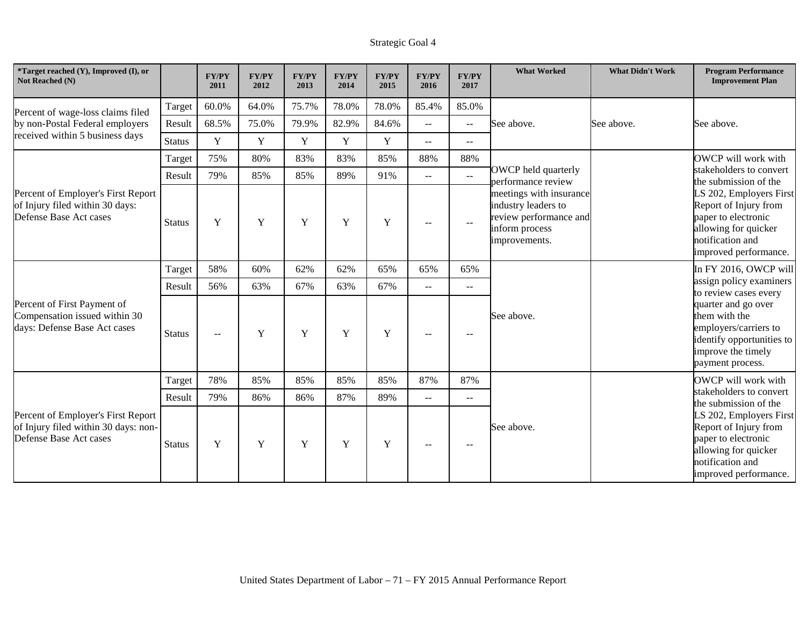| *Target reached (Y), Improved (I), or<br>Not Reached (N)                                             |               | <b>FY/PY</b><br>2011 | <b>FY/PY</b><br>2012 | <b>FY/PY</b><br>2013 | <b>FY/PY</b><br>2014 | <b>FY/PY</b><br>2015 | <b>FY/PY</b><br>2016     | <b>FY/PY</b><br>2017                          | <b>What Worked</b>                                                                                          | <b>What Didn't Work</b> | <b>Program Performance</b><br><b>Improvement Plan</b>                                                                                        |
|------------------------------------------------------------------------------------------------------|---------------|----------------------|----------------------|----------------------|----------------------|----------------------|--------------------------|-----------------------------------------------|-------------------------------------------------------------------------------------------------------------|-------------------------|----------------------------------------------------------------------------------------------------------------------------------------------|
| Percent of wage-loss claims filed                                                                    | Target        | 60.0%                | 64.0%                | 75.7%                | 78.0%                | 78.0%                | 85.4%                    | 85.0%                                         |                                                                                                             |                         |                                                                                                                                              |
| by non-Postal Federal employers                                                                      | Result        | 68.5%                | 75.0%                | 79.9%                | 82.9%                | 84.6%                | $-$                      | $\mathord{\hspace{1pt}\text{--}\hspace{1pt}}$ | See above.                                                                                                  | See above.              | See above.                                                                                                                                   |
| received within 5 business days                                                                      | <b>Status</b> | Y                    | Y                    | Y                    | $\mathbf Y$          | Y                    | $\mathbf{u}$             | $\overline{\phantom{a}}$                      |                                                                                                             |                         |                                                                                                                                              |
|                                                                                                      | Target        | 75%                  | 80%                  | 83%                  | 83%                  | 85%                  | 88%                      | 88%                                           |                                                                                                             |                         | OWCP will work with                                                                                                                          |
|                                                                                                      | Result        | 79%                  | 85%                  | 85%                  | 89%                  | 91%                  | $\mathbf{u}$             | $-$                                           | OWCP held quarterly<br>performance review                                                                   |                         | stakeholders to convert<br>the submission of the                                                                                             |
| Percent of Employer's First Report<br>of Injury filed within 30 days:<br>Defense Base Act cases      | <b>Status</b> | Y                    | Y                    | Y                    | Y                    | Y                    | $\sim$ $\sim$            | $\overline{\phantom{a}}$                      | meetings with insurance<br>industry leaders to<br>review performance and<br>inform process<br>improvements. |                         | LS 202, Employers First<br>Report of Injury from<br>paper to electronic<br>allowing for quicker<br>notification and<br>improved performance. |
|                                                                                                      | Target        | 58%                  | 60%                  | 62%                  | 62%                  | 65%                  | 65%                      | 65%                                           |                                                                                                             |                         | In FY 2016, OWCP will                                                                                                                        |
|                                                                                                      | Result        | 56%                  | 63%                  | 67%                  | 63%                  | 67%                  | $\overline{\phantom{m}}$ | $-$                                           |                                                                                                             |                         | assign policy examiners<br>to review cases every                                                                                             |
| Percent of First Payment of<br>Compensation issued within 30<br>days: Defense Base Act cases         | <b>Status</b> | $-$                  | Y                    | Y                    | Y                    | Y                    | $-$                      | $-$                                           | See above.                                                                                                  |                         | quarter and go over<br>them with the<br>employers/carriers to<br>identify opportunities to<br>improve the timely<br>payment process.         |
|                                                                                                      | Target        | 78%                  | 85%                  | 85%                  | 85%                  | 85%                  | 87%                      | 87%                                           |                                                                                                             |                         | OWCP will work with                                                                                                                          |
|                                                                                                      | Result        | 79%                  | 86%                  | 86%                  | 87%                  | 89%                  | $\mathbf{u}$             | $\overline{\phantom{a}}$                      |                                                                                                             |                         | stakeholders to convert<br>the submission of the                                                                                             |
| Percent of Employer's First Report<br>of Injury filed within 30 days: non-<br>Defense Base Act cases | <b>Status</b> | Y                    | Y                    | Y                    | Y                    | Y                    | $-$                      |                                               | See above.                                                                                                  |                         | LS 202, Employers First<br>Report of Injury from<br>paper to electronic<br>allowing for quicker<br>notification and<br>improved performance. |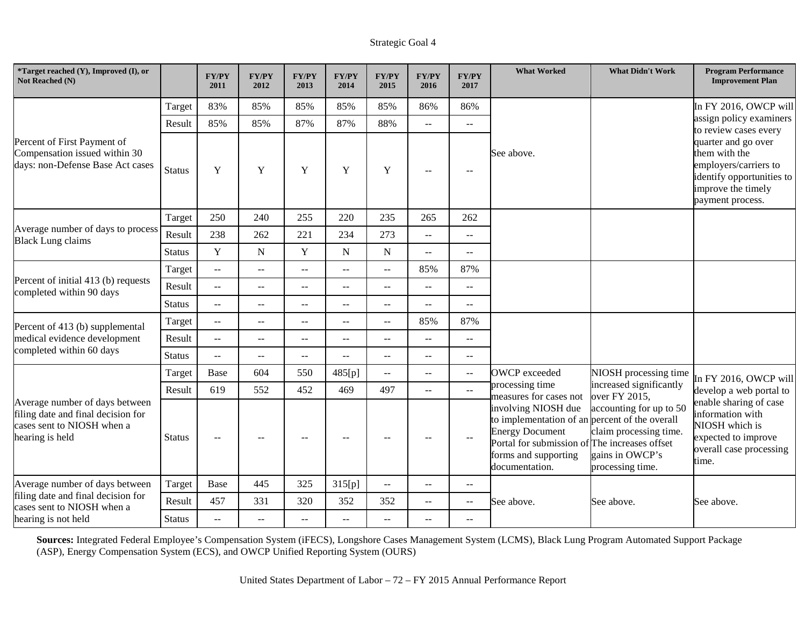| <i>*Target reached <math>(Y)</math>, Improved <math>(I)</math>, or</i><br>Not Reached (N)                             |               | <b>FY/PY</b><br>2011                          | <b>FY/PY</b><br>2012 | <b>FY/PY</b><br>2013                                  | <b>FY/PY</b><br>2014     | <b>FY/PY</b><br>2015     | <b>FY/PY</b><br>2016 | <b>FY/PY</b><br>2017 | <b>What Worked</b>                                                                                                                                                                         | <b>What Didn't Work</b>                                                                  | <b>Program Performance</b><br><b>Improvement Plan</b>                                                                                |
|-----------------------------------------------------------------------------------------------------------------------|---------------|-----------------------------------------------|----------------------|-------------------------------------------------------|--------------------------|--------------------------|----------------------|----------------------|--------------------------------------------------------------------------------------------------------------------------------------------------------------------------------------------|------------------------------------------------------------------------------------------|--------------------------------------------------------------------------------------------------------------------------------------|
|                                                                                                                       | Target        | 83%                                           | 85%                  | 85%                                                   | 85%                      | 85%                      | 86%                  | 86%                  |                                                                                                                                                                                            |                                                                                          | In FY 2016, OWCP will                                                                                                                |
|                                                                                                                       | Result        | 85%                                           | 85%                  | 87%                                                   | 87%                      | 88%                      | $\overline{a}$       | --                   |                                                                                                                                                                                            |                                                                                          | assign policy examiners<br>to review cases every                                                                                     |
| Percent of First Payment of<br>Compensation issued within 30<br>days: non-Defense Base Act cases                      | <b>Status</b> | Y                                             | Y                    | Y                                                     | Y                        | Y                        | $-$                  | $\sim$ $\sim$        | See above.                                                                                                                                                                                 |                                                                                          | quarter and go over<br>them with the<br>employers/carriers to<br>identify opportunities to<br>improve the timely<br>payment process. |
|                                                                                                                       | Target        | 250                                           | 240                  | 255                                                   | 220                      | 235                      | 265                  | 262                  |                                                                                                                                                                                            |                                                                                          |                                                                                                                                      |
| Average number of days to process<br><b>Black Lung claims</b>                                                         | Result        | 238                                           | 262                  | 221                                                   | 234                      | 273                      | $-$                  | $\overline{a}$       |                                                                                                                                                                                            |                                                                                          |                                                                                                                                      |
|                                                                                                                       | <b>Status</b> | Y                                             | $\mathbf N$          | Y                                                     | N                        | N                        | $- -$                | --                   |                                                                                                                                                                                            |                                                                                          |                                                                                                                                      |
|                                                                                                                       | Target        | $\mathord{\hspace{1pt}\text{--}\hspace{1pt}}$ | $\overline{a}$       | $\overline{a}$                                        | $\overline{\phantom{m}}$ | $\sim$ $\sim$            | 85%                  | 87%                  |                                                                                                                                                                                            |                                                                                          |                                                                                                                                      |
| Percent of initial 413 (b) requests<br>completed within 90 days                                                       | Result        | $\overline{a}$                                | --                   | --                                                    |                          | $-$                      | $-$                  | $-1$                 |                                                                                                                                                                                            |                                                                                          |                                                                                                                                      |
|                                                                                                                       | <b>Status</b> | $\mathbb{L}^{\mathbb{L}}$                     | $-$                  | $-$                                                   | $\mathbf{u}$             | $\mathbf{u}$             | $- -$                | $-$                  |                                                                                                                                                                                            |                                                                                          |                                                                                                                                      |
| Percent of 413 (b) supplemental                                                                                       | Target        | $\mathbb{L}^{\mathbb{L}}$                     | $\mathbf{u}$         | $- -$                                                 | $\mathbf{u}$             | $\mathbf{u}$             | 85%                  | 87%                  |                                                                                                                                                                                            |                                                                                          |                                                                                                                                      |
| medical evidence development                                                                                          | Result        | $\mathord{\hspace{1pt}\text{--}\hspace{1pt}}$ | $\overline{a}$       | $- -$                                                 | $\sim$                   | $\mathbf{u}$             | $- -$                | $-$                  |                                                                                                                                                                                            |                                                                                          |                                                                                                                                      |
| completed within 60 days                                                                                              | <b>Status</b> | $\overline{a}$                                | $\overline{a}$       | $-$                                                   | $-$                      | $\sim$ $\sim$            | $-$                  | $-$                  |                                                                                                                                                                                            |                                                                                          |                                                                                                                                      |
|                                                                                                                       | Target        | Base                                          | 604                  | 550                                                   | 485[p]                   |                          | --                   | --                   | <b>OWCP</b> exceeded                                                                                                                                                                       | NIOSH processing time                                                                    | In FY 2016, OWCP will                                                                                                                |
|                                                                                                                       | Result        | 619                                           | 552                  | 452                                                   | 469                      | 497                      | $\overline{a}$       | $-$                  | processing time<br>measures for cases not                                                                                                                                                  | increased significantly<br>over FY 2015,                                                 | develop a web portal to                                                                                                              |
| Average number of days between<br>filing date and final decision for<br>cases sent to NIOSH when a<br>hearing is held | <b>Status</b> | $\sim$ $\sim$                                 | $-$                  | $\hspace{0.05cm} - \hspace{0.05cm} - \hspace{0.05cm}$ | $ -$                     | $\overline{\phantom{m}}$ | $\qquad \qquad -$    | $-$                  | involving NIOSH due<br>to implementation of an percent of the overall<br><b>Energy Document</b><br>Portal for submission of The increases offset<br>forms and supporting<br>documentation. | accounting for up to 50<br>claim processing time.<br>gains in OWCP's<br>processing time. | enable sharing of case<br>information with<br>NIOSH which is<br>expected to improve<br>overall case processing<br>time.              |
| Average number of days between                                                                                        | Target        | Base                                          | 445                  | 325                                                   | 315[p]                   | $\overline{\phantom{a}}$ | $-$                  | $-$                  |                                                                                                                                                                                            |                                                                                          |                                                                                                                                      |
| filing date and final decision for<br>cases sent to NIOSH when a                                                      | Result        | 457                                           | 331                  | 320                                                   | 352                      | 352                      | $\mathcal{L} =$      | --                   | See above.                                                                                                                                                                                 | See above.                                                                               | See above.                                                                                                                           |
| hearing is not held                                                                                                   | <b>Status</b> | $\overline{a}$                                | $- -$                | --                                                    | $\overline{\phantom{m}}$ | $\overline{\phantom{m}}$ | $\qquad \qquad -$    | --                   |                                                                                                                                                                                            |                                                                                          |                                                                                                                                      |

**Sources:** Integrated Federal Employee's Compensation System (iFECS), Longshore Cases Management System (LCMS), Black Lung Program Automated Support Package (ASP), Energy Compensation System (ECS), and OWCP Unified Reporting System (OURS)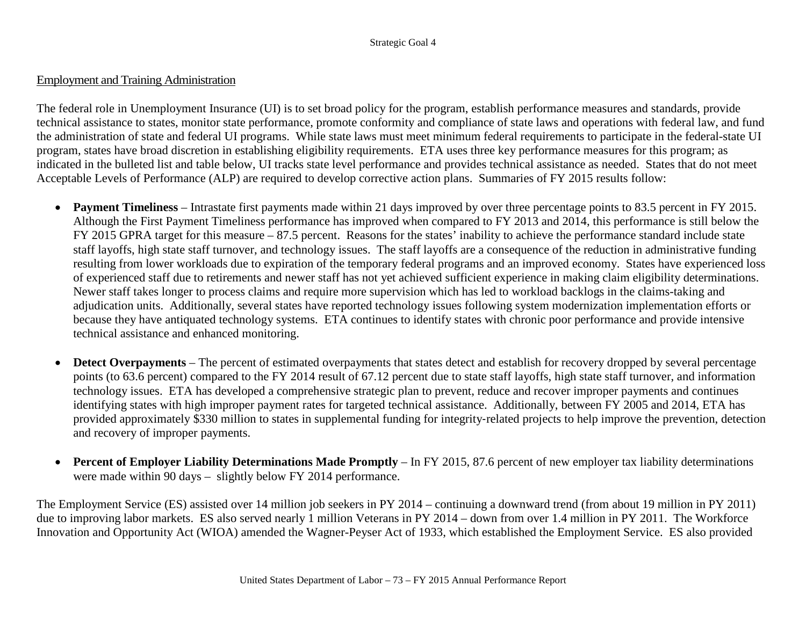## Employment and Training Administration

The federal role in Unemployment Insurance (UI) is to set broad policy for the program, establish performance measures and standards, provide technical assistance to states, monitor state performance, promote conformity and compliance of state laws and operations with federal law, and fund the administration of state and federal UI programs. While state laws must meet minimum federal requirements to participate in the federal-state UI program, states have broad discretion in establishing eligibility requirements. ETA uses three key performance measures for this program; as indicated in the bulleted list and table below, UI tracks state level performance and provides technical assistance as needed. States that do not meet Acceptable Levels of Performance (ALP) are required to develop corrective action plans. Summaries of FY 2015 results follow:

- **Payment Timeliness** Intrastate first payments made within 21 days improved by over three percentage points to 83.5 percent in FY 2015. Although the First Payment Timeliness performance has improved when compared to FY 2013 and 2014, this performance is still below the FY 2015 GPRA target for this measure – 87.5 percent. Reasons for the states' inability to achieve the performance standard include state staff layoffs, high state staff turnover, and technology issues. The staff layoffs are a consequence of the reduction in administrative funding resulting from lower workloads due to expiration of the temporary federal programs and an improved economy. States have experienced loss of experienced staff due to retirements and newer staff has not yet achieved sufficient experience in making claim eligibility determinations. Newer staff takes longer to process claims and require more supervision which has led to workload backlogs in the claims-taking and adjudication units. Additionally, several states have reported technology issues following system modernization implementation efforts or because they have antiquated technology systems. ETA continues to identify states with chronic poor performance and provide intensive technical assistance and enhanced monitoring.
- **Detect Overpayments** The percent of estimated overpayments that states detect and establish for recovery dropped by several percentage points (to 63.6 percent) compared to the FY 2014 result of 67.12 percent due to state staff layoffs, high state staff turnover, and information technology issues. ETA has developed a comprehensive strategic plan to prevent, reduce and recover improper payments and continues identifying states with high improper payment rates for targeted technical assistance. Additionally, between FY 2005 and 2014, ETA has provided approximately \$330 million to states in supplemental funding for integrity-related projects to help improve the prevention, detection and recovery of improper payments.
- **Percent of Employer Liability Determinations Made Promptly** In FY 2015, 87.6 percent of new employer tax liability determinations were made within 90 days – slightly below FY 2014 performance.

The Employment Service (ES) assisted over 14 million job seekers in PY 2014 – continuing a downward trend (from about 19 million in PY 2011) due to improving labor markets. ES also served nearly 1 million Veterans in PY 2014 – down from over 1.4 million in PY 2011. The Workforce Innovation and Opportunity Act (WIOA) amended the Wagner-Peyser Act of 1933, which established the Employment Service. ES also provided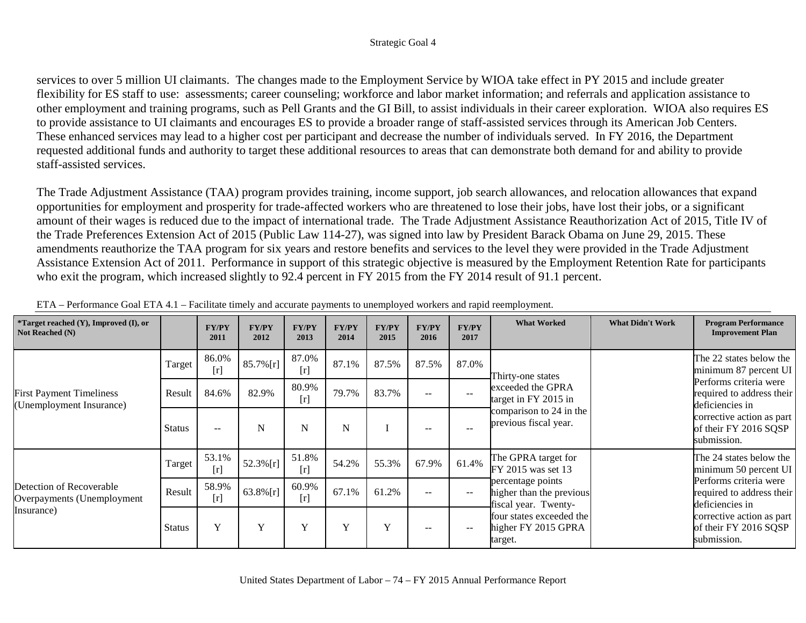services to over 5 million UI claimants. The changes made to the Employment Service by WIOA take effect in PY 2015 and include greater flexibility for ES staff to use: assessments; career counseling; workforce and labor market information; and referrals and application assistance to other employment and training programs, such as Pell Grants and the GI Bill, to assist individuals in their career exploration. WIOA also requires ES to provide assistance to UI claimants and encourages ES to provide a broader range of staff-assisted services through its American Job Centers. These enhanced services may lead to a higher cost per participant and decrease the number of individuals served. In FY 2016, the Department requested additional funds and authority to target these additional resources to areas that can demonstrate both demand for and ability to provide staff-assisted services.

The Trade Adjustment Assistance (TAA) program provides training, income support, job search allowances, and relocation allowances that expand opportunities for employment and prosperity for trade-affected workers who are threatened to lose their jobs, have lost their jobs, or a significant amount of their wages is reduced due to the impact of international trade. [The Trade Adjustment Assistance Reauthorization Act of 2015, Title IV of](http://www.doleta.gov/leave-doleta.cfm?target=https://www.congress.gov/bill/114th-congress/house-bill/1295/text)  [the Trade Preferences Extension Act of 2015 \(Public Law 114-27\), was signed into law by President Barack Obama on June 29, 2015.](http://www.doleta.gov/leave-doleta.cfm?target=https://www.congress.gov/bill/114th-congress/house-bill/1295/text) These amendments reauthorize the TAA program for six years and restore benefits and services to the level they were provided in the Trade Adjustment Assistance Extension Act of 2011. Performance in support of this strategic objective is measured by the Employment Retention Rate for participants who exit the program, which increased slightly to 92.4 percent in FY 2015 from the FY 2014 result of 91.1 percent.

| <i>*Target reached <math>(Y)</math>, Improved <math>(I)</math>, or</i><br>Not Reached (N) |               | <b>FY/PY</b><br>2011 | <b>FY/PY</b><br>2012 | <b>FY/PY</b><br>2013 | <b>FY/PY</b><br>2014 | <b>FY/PY</b><br>2015 | <b>FY/PY</b><br>2016     | <b>FY/PY</b><br>2017     | <b>What Worked</b>                                                    | <b>What Didn't Work</b> | <b>Program Performance</b><br><b>Improvement Plan</b>                  |
|-------------------------------------------------------------------------------------------|---------------|----------------------|----------------------|----------------------|----------------------|----------------------|--------------------------|--------------------------|-----------------------------------------------------------------------|-------------------------|------------------------------------------------------------------------|
|                                                                                           | Target        | 86.0%<br>[r]         | $85.7\%$ [r]         | 87.0%<br>[r]         | 87.1%                | 87.5%                | 87.5%                    | 87.0%                    | Thirty-one states                                                     |                         | The 22 states below the<br>minimum 87 percent UI                       |
| <b>First Payment Timeliness</b><br>(Unemployment Insurance)                               | Result        | 84.6%                | 82.9%                | 80.9%<br>[r]         | 79.7%                | 83.7%                | $\overline{\phantom{m}}$ | $-$                      | exceeded the GPRA<br>target in FY 2015 in                             |                         | Performs criteria were<br>required to address their<br>deficiencies in |
|                                                                                           | Status        | $ -$                 | N                    | N                    | N                    |                      | $\overline{\phantom{m}}$ |                          | comparison to 24 in the<br>previous fiscal year.                      |                         | corrective action as part<br>of their FY 2016 SQSP<br>submission.      |
|                                                                                           | Target        | 53.1%<br>[r]         | $52.3\%$ [r]         | 51.8%<br>$[r]$       | 54.2%                | 55.3%                | 67.9%                    | 61.4%                    | The GPRA target for<br>FY 2015 was set 13                             |                         | The 24 states below the<br>minimum 50 percent UI                       |
| Detection of Recoverable<br>Overpayments (Unemployment                                    | Result        | 58.9%<br>[r]         | 63.8% $[r]$          | 60.9%<br>[r]         | 67.1%                | 61.2%                | $\sim$ $\sim$            | $\overline{\phantom{m}}$ | percentage points<br>higher than the previous<br>fiscal year. Twenty- |                         | Performs criteria were<br>required to address their<br>deficiencies in |
| Insurance)                                                                                | <b>Status</b> | Y                    | Y                    | Y                    | Y                    | Y                    | $- -$                    | $- -$                    | four states exceeded the<br>higher FY 2015 GPRA<br>target.            |                         | corrective action as part<br>of their FY 2016 SQSP<br>submission.      |

| ETA – Performance Goal ETA 4.1 – Facilitate timely and accurate payments to unemployed workers and rapid reemployment. |  |  |  |  |
|------------------------------------------------------------------------------------------------------------------------|--|--|--|--|
|------------------------------------------------------------------------------------------------------------------------|--|--|--|--|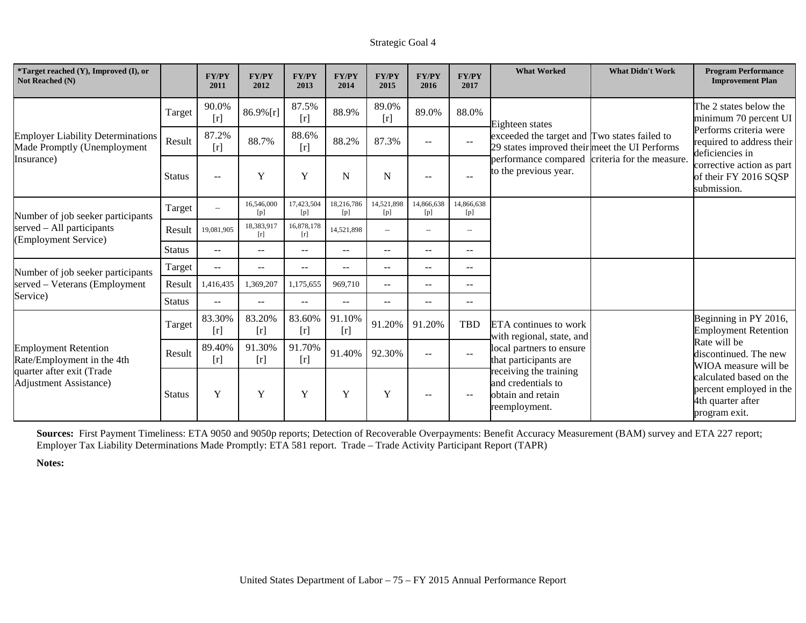| *Target reached (Y), Improved (I), or<br>Not Reached (N)                |               | <b>FY/PY</b><br>2011     | <b>FY/PY</b><br>2012 | <b>FY/PY</b><br>2013     | <b>FY/PY</b><br>2014 | <b>FY/PY</b><br>2015     | <b>FY/PY</b><br>2016                                  | <b>FY/PY</b><br>2017                                | <b>What Worked</b>                                                                            | <b>What Didn't Work</b>   | <b>Program Performance</b><br><b>Improvement Plan</b>                                    |
|-------------------------------------------------------------------------|---------------|--------------------------|----------------------|--------------------------|----------------------|--------------------------|-------------------------------------------------------|-----------------------------------------------------|-----------------------------------------------------------------------------------------------|---------------------------|------------------------------------------------------------------------------------------|
|                                                                         | Target        | 90.0%<br>[r]             | $86.9\%$ [r]         | 87.5%<br>[r]             | 88.9%                | 89.0%<br>$[r]$           | 89.0%                                                 | 88.0%                                               | Eighteen states                                                                               |                           | The 2 states below the<br>minimum 70 percent UI                                          |
| <b>Employer Liability Determinations</b><br>Made Promptly (Unemployment | Result        | 87.2%<br>[r]             | 88.7%                | 88.6%<br>[r]             | 88.2%                | 87.3%                    | $\mathbf{u}$                                          | $\mathbf{u}$                                        | exceeded the target and Two states failed to<br>29 states improved their meet the UI Performs |                           | Performs criteria were<br>required to address their<br>deficiencies in                   |
| Insurance)                                                              | <b>Status</b> | $-$                      | Y                    | Y                        | N                    | $\mathbf N$              | $\hspace{0.05cm} - \hspace{0.05cm} - \hspace{0.05cm}$ | $\sim$                                              | performance compared<br>to the previous year.                                                 | criteria for the measure. | corrective action as part<br>of their FY 2016 SQSP<br>submission.                        |
| Number of job seeker participants                                       | Target        | $\overline{\phantom{a}}$ | 16,546,000<br>[p]    | 17,423,504<br>[p]        | 18,216,786<br>[p]    | 14,521,898<br>[p]        | 14,866,638<br>[p]                                     | 14,866,638<br>[p]                                   |                                                                                               |                           |                                                                                          |
| served – All participants<br>(Employment Service)                       | Result        | 19,081,905               | 18,383,917<br>$[r]$  | 16,878,178<br>[r]        | 14,521,898           | $\overline{\phantom{a}}$ | $\overline{\phantom{a}}$                              | $\overline{\phantom{a}}$                            |                                                                                               |                           |                                                                                          |
|                                                                         | <b>Status</b> | $\overline{\phantom{a}}$ | $\sim$ $\sim$        | $\qquad \qquad -$        | $--$                 | $--$                     | $\overline{\phantom{a}}$                              | $\sim$                                              |                                                                                               |                           |                                                                                          |
| Number of job seeker participants                                       | Target        | $-$                      | $\mathbf{u}$         | $\overline{\phantom{a}}$ | $- -$                | $\mathbf{u}$             | $\mathbf{u}$                                          | $\mathbf{u}$                                        |                                                                                               |                           |                                                                                          |
| served - Veterans (Employment                                           | Result        | 1,416,435                | 1,369,207            | 1,175,655                | 969,710              | $--$                     | $--$                                                  | $\sim$ $\sim$                                       |                                                                                               |                           |                                                                                          |
| Service)                                                                | Status        | $-$                      | $\sim$ $\sim$        | $- -$                    | $- -$                | $\mathbf{u}$             | $--$                                                  | $\hspace{0.05cm} -\hspace{0.05cm} -\hspace{0.05cm}$ |                                                                                               |                           |                                                                                          |
|                                                                         | Target        | 83.30%<br>[r]            | 83.20%<br>$[r]$      | 83.60%<br>$[r]$          | 91.10%<br>[r]        | 91.20%                   | 91.20%                                                | <b>TBD</b>                                          | ETA continues to work<br>with regional, state, and                                            |                           | Beginning in PY 2016,<br><b>Employment Retention</b>                                     |
| <b>Employment Retention</b><br>Rate/Employment in the 4th               | Result        | 89.40%<br>[r]            | 91.30%<br>$[r]$      | 91.70%<br>[r]            | 91.40%               | 92.30%                   | $--$                                                  | $\mathbf{u}$                                        | local partners to ensure<br>that participants are                                             |                           | Rate will be<br>discontinued. The new<br>WIOA measure will be                            |
| quarter after exit (Trade<br><b>Adjustment Assistance</b> )             | <b>Status</b> | Y                        | Y                    | Y                        | Y                    | $\mathbf Y$              | $- -$                                                 | $\overline{\phantom{m}}$                            | receiving the training<br>and credentials to<br>obtain and retain<br>reemployment.            |                           | calculated based on the<br>percent employed in the<br>4th quarter after<br>program exit. |

**Sources:** First Payment Timeliness: ETA 9050 and 9050p reports; Detection of Recoverable Overpayments: Benefit Accuracy Measurement (BAM) survey and ETA 227 report; Employer Tax Liability Determinations Made Promptly: ETA 581 report. Trade – Trade Activity Participant Report (TAPR)

**Notes:**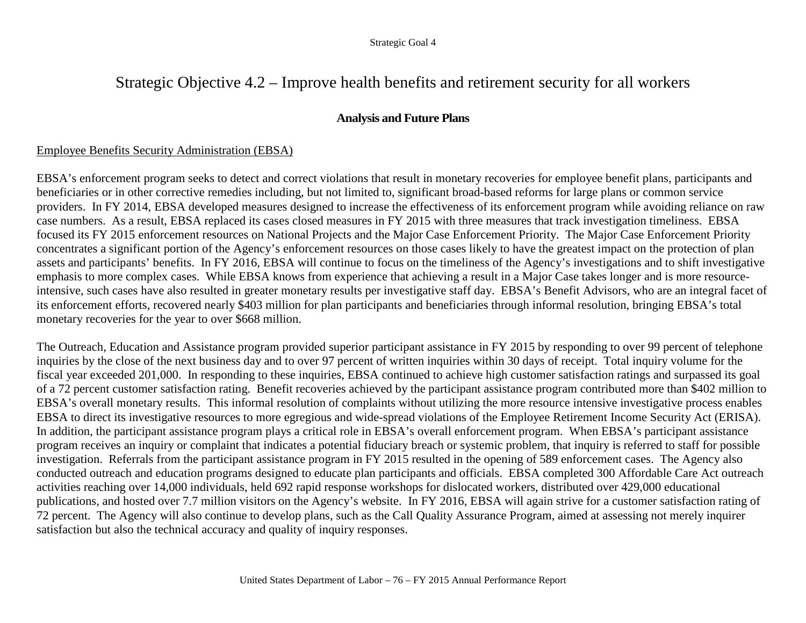# Strategic Objective 4.2 – Improve health benefits and retirement security for all workers

## **Analysis and Future Plans**

## Employee Benefits Security Administration (EBSA)

EBSA's enforcement program seeks to detect and correct violations that result in monetary recoveries for employee benefit plans, participants and beneficiaries or in other corrective remedies including, but not limited to, significant broad-based reforms for large plans or common service providers. In FY 2014, EBSA developed measures designed to increase the effectiveness of its enforcement program while avoiding reliance on raw case numbers. As a result, EBSA replaced its cases closed measures in FY 2015 with three measures that track investigation timeliness. EBSA focused its FY 2015 enforcement resources on National Projects and the Major Case Enforcement Priority. The Major Case Enforcement Priority concentrates a significant portion of the Agency's enforcement resources on those cases likely to have the greatest impact on the protection of plan assets and participants' benefits. In FY 2016, EBSA will continue to focus on the timeliness of the Agency's investigations and to shift investigative emphasis to more complex cases. While EBSA knows from experience that achieving a result in a Major Case takes longer and is more resourceintensive, such cases have also resulted in greater monetary results per investigative staff day. EBSA's Benefit Advisors, who are an integral facet of its enforcement efforts, recovered nearly \$403 million for plan participants and beneficiaries through informal resolution, bringing EBSA's total monetary recoveries for the year to over \$668 million.

The Outreach, Education and Assistance program provided superior participant assistance in FY 2015 by responding to over 99 percent of telephone inquiries by the close of the next business day and to over 97 percent of written inquiries within 30 days of receipt. Total inquiry volume for the fiscal year exceeded 201,000. In responding to these inquiries, EBSA continued to achieve high customer satisfaction ratings and surpassed its goal of a 72 percent customer satisfaction rating. Benefit recoveries achieved by the participant assistance program contributed more than \$402 million to EBSA's overall monetary results. This informal resolution of complaints without utilizing the more resource intensive investigative process enables EBSA to direct its investigative resources to more egregious and wide-spread violations of the Employee Retirement Income Security Act (ERISA). In addition, the participant assistance program plays a critical role in EBSA's overall enforcement program. When EBSA's participant assistance program receives an inquiry or complaint that indicates a potential fiduciary breach or systemic problem, that inquiry is referred to staff for possible investigation. Referrals from the participant assistance program in FY 2015 resulted in the opening of 589 enforcement cases. The Agency also conducted outreach and education programs designed to educate plan participants and officials. EBSA completed 300 Affordable Care Act outreach activities reaching over 14,000 individuals, held 692 rapid response workshops for dislocated workers, distributed over 429,000 educational publications, and hosted over 7.7 million visitors on the Agency's website. In FY 2016, EBSA will again strive for a customer satisfaction rating of 72 percent. The Agency will also continue to develop plans, such as the Call Quality Assurance Program, aimed at assessing not merely inquirer satisfaction but also the technical accuracy and quality of inquiry responses.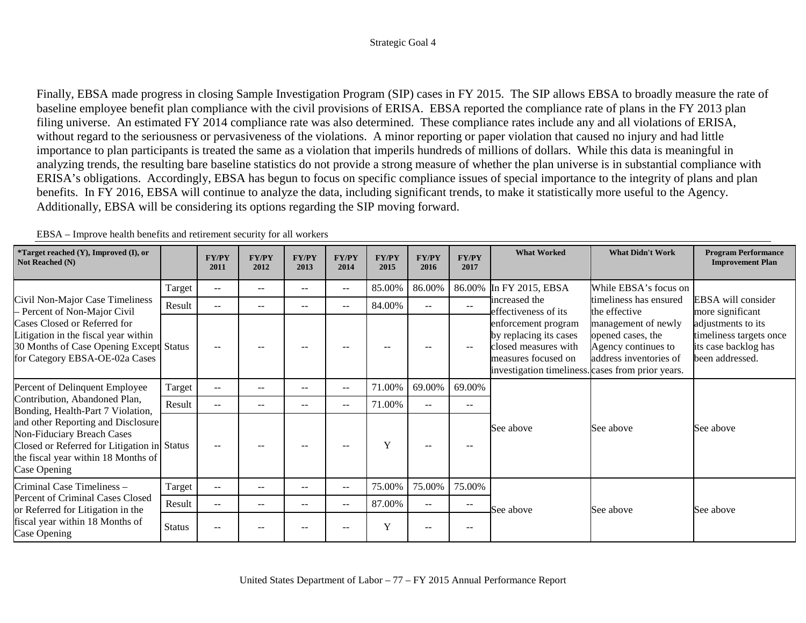Finally, EBSA made progress in closing Sample Investigation Program (SIP) cases in FY 2015. The SIP allows EBSA to broadly measure the rate of baseline employee benefit plan compliance with the civil provisions of ERISA. EBSA reported the compliance rate of plans in the FY 2013 plan filing universe. An estimated FY 2014 compliance rate was also determined. These compliance rates include any and all violations of ERISA, without regard to the seriousness or pervasiveness of the violations. A minor reporting or paper violation that caused no injury and had little importance to plan participants is treated the same as a violation that imperils hundreds of millions of dollars. While this data is meaningful in analyzing trends, the resulting bare baseline statistics do not provide a strong measure of whether the plan universe is in substantial compliance with ERISA's obligations. Accordingly, EBSA has begun to focus on specific compliance issues of special importance to the integrity of plans and plan benefits. In FY 2016, EBSA will continue to analyze the data, including significant trends, to make it statistically more useful to the Agency. Additionally, EBSA will be considering its options regarding the SIP moving forward.

| *Target reached (Y), Improved (I), or<br>Not Reached (N)                                                                                                                                                    |               | <b>FY/PY</b><br>2011     | <b>FY/PY</b><br>2012 | <b>FY/PY</b><br>2013     | <b>FY/PY</b><br>2014     | <b>FY/PY</b><br>2015 | <b>FY/PY</b><br>2016 | <b>FY/PY</b><br>2017                                | <b>What Worked</b>                                                                                                                                | <b>What Didn't Work</b>                                                                   | <b>Program Performance</b><br><b>Improvement Plan</b>                                    |
|-------------------------------------------------------------------------------------------------------------------------------------------------------------------------------------------------------------|---------------|--------------------------|----------------------|--------------------------|--------------------------|----------------------|----------------------|-----------------------------------------------------|---------------------------------------------------------------------------------------------------------------------------------------------------|-------------------------------------------------------------------------------------------|------------------------------------------------------------------------------------------|
|                                                                                                                                                                                                             | Target        | $\overline{\phantom{a}}$ | --                   | --                       | $--$                     | 85.00%               | 86.00%               | 86.00%                                              | In FY 2015, EBSA                                                                                                                                  | While EBSA's focus on                                                                     |                                                                                          |
| Civil Non-Major Case Timeliness<br>- Percent of Non-Major Civil                                                                                                                                             | Result        | $- -$                    | $- -$                | $- -$                    | $--$                     | 84.00%               | $\qquad \qquad -$    | $\hspace{0.05cm} -\hspace{0.05cm} -\hspace{0.05cm}$ | increased the<br>effectiveness of its                                                                                                             | timeliness has ensured<br>the effective                                                   | EBSA will consider<br>more significant                                                   |
| Cases Closed or Referred for<br>Litigation in the fiscal year within<br>30 Months of Case Opening Except Status<br>for Category EBSA-OE-02a Cases                                                           |               | $-$                      |                      | $- -$                    | $- -$                    | $- -$                | --                   | $- -$                                               | enforcement program<br>by replacing its cases<br>closed measures with<br>measures focused on<br>investigation timeliness. cases from prior years. | management of newly<br>opened cases, the<br>Agency continues to<br>address inventories of | adjustments to its<br>timeliness targets once<br>its case backlog has<br>been addressed. |
| Percent of Delinquent Employee                                                                                                                                                                              | Target        | $\overline{\phantom{a}}$ | $- -$                | $\qquad \qquad -$        | $--$                     | 71.00%               | 69.00%               | 69.00%                                              |                                                                                                                                                   |                                                                                           |                                                                                          |
| Contribution, Abandoned Plan,                                                                                                                                                                               | Result        | $-$                      | --                   | $- -$                    | $--$                     | 71.00%               | $- -$                | $- -$                                               |                                                                                                                                                   |                                                                                           |                                                                                          |
| Bonding, Health-Part 7 Violation,<br>and other Reporting and Disclosure<br>Non-Fiduciary Breach Cases<br>Closed or Referred for Litigation in Status<br>the fiscal year within 18 Months of<br>Case Opening |               | $-$                      | --                   | $\overline{\phantom{m}}$ | $\overline{\phantom{a}}$ | Y                    | $- -$                | $\overline{\phantom{m}}$                            | See above                                                                                                                                         | See above                                                                                 | See above                                                                                |
| Criminal Case Timeliness -                                                                                                                                                                                  | Target        | $\overline{\phantom{a}}$ | $- -$                | --                       | $--$                     | 75.00%               | 75.00%               | 75.00%                                              |                                                                                                                                                   |                                                                                           |                                                                                          |
| Percent of Criminal Cases Closed<br>or Referred for Litigation in the                                                                                                                                       | Result        | $\mathbf{u}$             | $- -$                | $- -$                    | $--$                     | 87.00%               | $\qquad \qquad -$    | $\hspace{0.05cm} -\hspace{0.05cm} -\hspace{0.05cm}$ | See above                                                                                                                                         | See above                                                                                 | See above                                                                                |
| fiscal year within 18 Months of<br>Case Opening                                                                                                                                                             | <b>Status</b> | $-$                      | --                   | --                       | $- -$                    | Y                    | $--$                 | $- -$                                               |                                                                                                                                                   |                                                                                           |                                                                                          |

EBSA – Improve health benefits and retirement security for all workers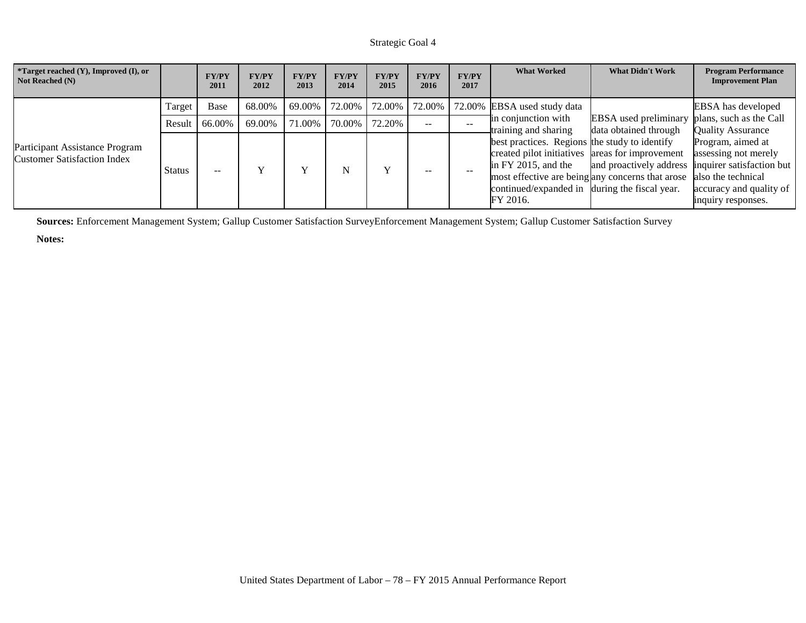| <i>*Target reached <math>(Y)</math>, Improved <math>(I)</math>, or</i><br>Not Reached (N) |        | <b>FY/PY</b><br>2011 | <b>FY/PY</b><br>2012 | <b>FY/PY</b><br>2013 | <b>FY/PY</b><br>2014 | <b>FY/PY</b><br>2015 | <b>FY/PY</b><br>2016 | <b>FY/PY</b><br>2017 | <b>What Worked</b>                                                                                                                                                                   | <b>What Didn't Work</b>                                                     | <b>Program Performance</b><br><b>Improvement Plan</b>                                                                                         |
|-------------------------------------------------------------------------------------------|--------|----------------------|----------------------|----------------------|----------------------|----------------------|----------------------|----------------------|--------------------------------------------------------------------------------------------------------------------------------------------------------------------------------------|-----------------------------------------------------------------------------|-----------------------------------------------------------------------------------------------------------------------------------------------|
|                                                                                           | Target | Base                 | 68.00%               | 69.00%               | 72.00%               | 72.00%               | 72.00%               |                      | 72.00% EBSA used study data                                                                                                                                                          |                                                                             | EBSA has developed                                                                                                                            |
|                                                                                           | Result | 66.00%               | 69.00%               | 71.00%               | 70.00%               | 72.20%               | $\sim$ $-$           |                      | in conjunction with<br>training and sharing                                                                                                                                          | <b>EBSA</b> used preliminary<br>data obtained through                       | plans, such as the Call<br>Quality Assurance                                                                                                  |
| Participant Assistance Program<br><b>Customer Satisfaction Index</b>                      | Status | $-$                  |                      |                      | N                    |                      |                      |                      | best practices. Regions the study to identify<br>created pilot initiatives areas for improvement<br>in FY 2015, and the<br>continued/expanded in during the fiscal year.<br>FY 2016. | and proactively address<br>most effective are being any concerns that arose | Program, aimed at<br>assessing not merely<br>inquirer satisfaction but<br>also the technical<br>accuracy and quality of<br>inquiry responses. |

**Sources:** Enforcement Management System; Gallup Customer Satisfaction SurveyEnforcement Management System; Gallup Customer Satisfaction Survey

**Notes:**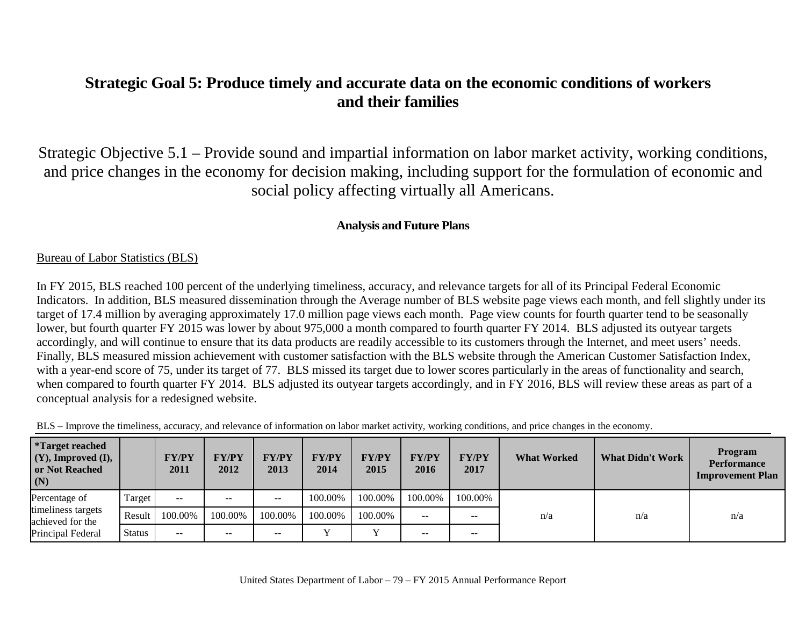# **Strategic Goal 5: Produce timely and accurate data on the economic conditions of workers and their families**

Strategic Objective 5.1 – Provide sound and impartial information on labor market activity, working conditions, and price changes in the economy for decision making, including support for the formulation of economic and social policy affecting virtually all Americans.

## **Analysis and Future Plans**

## Bureau of Labor Statistics (BLS)

In FY 2015, BLS reached 100 percent of the underlying timeliness, accuracy, and relevance targets for all of its Principal Federal Economic Indicators. In addition, BLS measured dissemination through the Average number of BLS website page views each month, and fell slightly under its target of 17.4 million by averaging approximately 17.0 million page views each month. Page view counts for fourth quarter tend to be seasonally lower, but fourth quarter FY 2015 was lower by about 975,000 a month compared to fourth quarter FY 2014. BLS adjusted its outyear targets accordingly, and will continue to ensure that its data products are readily accessible to its customers through the Internet, and meet users' needs. Finally, BLS measured mission achievement with customer satisfaction with the BLS website through the American Customer Satisfaction Index, with a year-end score of 75, under its target of 77. BLS missed its target due to lower scores particularly in the areas of functionality and search, when compared to fourth quarter FY 2014. BLS adjusted its outyear targets accordingly, and in FY 2016, BLS will review these areas as part of a conceptual analysis for a redesigned website.

| BLS - Improve the timeliness, accuracy, and relevance of information on labor market activity, working conditions, and price changes in the economy. |  |  |  |  |  |
|------------------------------------------------------------------------------------------------------------------------------------------------------|--|--|--|--|--|
|                                                                                                                                                      |  |  |  |  |  |

| <i>*Target reached</i><br>$(Y)$ , Improved $(I)$ ,<br>or Not Reached<br>(N) |               | <b>FY/PY</b><br>2011 | <b>FY/PY</b><br>2012 | <b>FY/PY</b><br>2013 | <b>FY/PY</b><br>2014 | <b>FY/PY</b><br>2015 | <b>FY/PY</b><br>2016 | <b>FY/PY</b><br>2017 | <b>What Worked</b> | <b>What Didn't Work</b> | <b>Program</b><br><b>Performance</b><br><b>Improvement Plan</b> |
|-----------------------------------------------------------------------------|---------------|----------------------|----------------------|----------------------|----------------------|----------------------|----------------------|----------------------|--------------------|-------------------------|-----------------------------------------------------------------|
| Percentage of                                                               | Target        | $- -$                | --                   | $- -$                | 100.00%              | 100.00%              | 100.00%              | 100.00%              |                    |                         |                                                                 |
| timeliness targets<br>achieved for the                                      | Result        | 100.00%              | 100.00%              | 100.00%              | 100.00%              | 100.00%              | $- -$                | $- -$                | n/a                | n/a                     | n/a                                                             |
| Principal Federal                                                           | <b>Status</b> | $- -$                | $- -$                | $\qquad \qquad -$    |                      | $\mathbf{v}$         | $- -$                | $- -$                |                    |                         |                                                                 |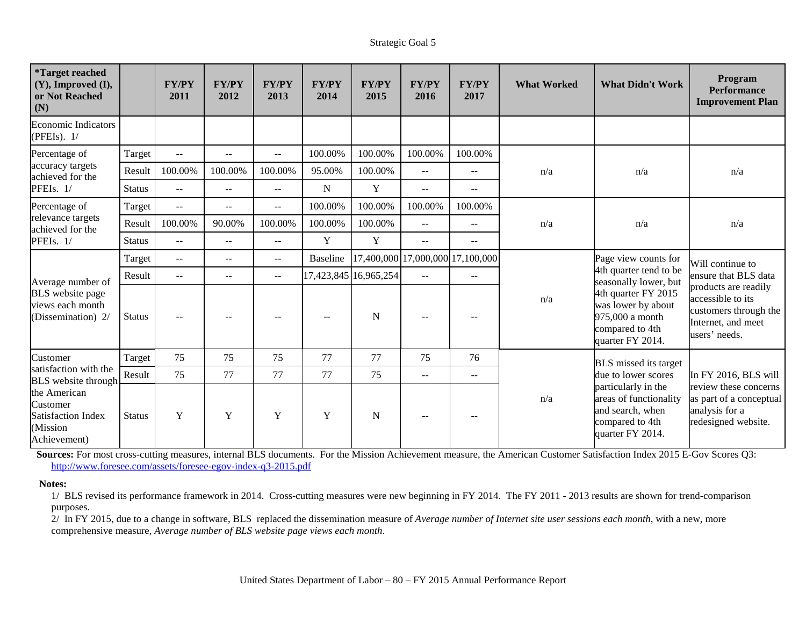| <i><b>*Target reached</b></i><br>$(Y)$ , Improved $(I)$ ,<br>or Not Reached<br>(N) |               | <b>FY/PY</b><br>2011 | <b>FY/PY</b><br>2012 | <b>FY/PY</b><br>2013                          | <b>FY/PY</b><br>2014 | <b>FY/PY</b><br>2015  | <b>FY/PY</b><br>2016     | <b>FY/PY</b><br>2017             | <b>What Worked</b> | <b>What Didn't Work</b>                                                                                  | Program<br><b>Performance</b><br><b>Improvement Plan</b>                                                  |
|------------------------------------------------------------------------------------|---------------|----------------------|----------------------|-----------------------------------------------|----------------------|-----------------------|--------------------------|----------------------------------|--------------------|----------------------------------------------------------------------------------------------------------|-----------------------------------------------------------------------------------------------------------|
| <b>Economic Indicators</b><br>(PFEIs). $1/$                                        |               |                      |                      |                                               |                      |                       |                          |                                  |                    |                                                                                                          |                                                                                                           |
| Percentage of                                                                      | Target        | $\overline{a}$       | $\sim$ $\sim$        | $\overline{\phantom{a}}$                      | 100.00%              | 100.00%               | 100.00%                  | 100.00%                          |                    |                                                                                                          |                                                                                                           |
| accuracy targets<br>achieved for the                                               | Result        | 100.00%              | 100.00%              | 100.00%                                       | 95.00%               | 100.00%               | $\mathbf{u}$             | $-$                              | n/a                | n/a                                                                                                      | n/a                                                                                                       |
| PFEIs. 1/                                                                          | <b>Status</b> | $\overline{a}$       | $\sim$ $\sim$        | $\overline{\phantom{a}}$                      | N                    | Y                     | $\overline{a}$           | $- -$                            |                    |                                                                                                          |                                                                                                           |
| Percentage of                                                                      | Target        | $\mathbf{u}$         | $\sim$ $\sim$        | $\overline{a}$                                | 100.00%              | 100.00%               | 100.00%                  | 100.00%                          |                    |                                                                                                          |                                                                                                           |
| relevance targets<br>achieved for the                                              | Result        | 100.00%              | 90.00%               | 100.00%                                       | 100.00%              | 100.00%               | $\sim$                   | $- -$                            | n/a                | n/a                                                                                                      | n/a                                                                                                       |
| PFEIs. 1/                                                                          | <b>Status</b> | $\sim$               | $\sim$ $\sim$        | $-$                                           | Y                    | Y                     | $\sim$ $\sim$            | $-$                              |                    |                                                                                                          |                                                                                                           |
|                                                                                    | Target        | $-$                  | $\sim$ $\sim$        | $\qquad \qquad -$                             | <b>Baseline</b>      |                       |                          | 17,400,000 17,000,000 17,100,000 |                    | Page view counts for                                                                                     | Will continue to                                                                                          |
| Average number of                                                                  | Result        | $-$                  | $\sim$ $\sim$        | $\mathord{\hspace{1pt}\text{--}\hspace{1pt}}$ |                      | 17,423,845 16,965,254 | $\sim$                   | $- -$                            |                    | 4th quarter tend to be<br>seasonally lower, but                                                          | ensure that BLS data                                                                                      |
| <b>BLS</b> website page<br>views each month<br>(Dissemination) 2/                  | <b>Status</b> |                      | $\sim$ $\sim$        | $-$                                           | $\sim$ $\sim$        | $\mathbf N$           | $- -$                    | $\sim$                           | n/a                | 4th quarter FY 2015<br>was lower by about<br>975,000 a month<br>compared to 4th<br>quarter FY 2014.      | products are readily<br>accessible to its<br>customers through the<br>Internet, and meet<br>users' needs. |
| Customer                                                                           | Target        | 75                   | 75                   | 75                                            | 77                   | 77                    | 75                       | 76                               |                    | <b>BLS</b> missed its target                                                                             |                                                                                                           |
| satisfaction with the<br><b>BLS</b> website through                                | Result        | 75                   | 77                   | 77                                            | 77                   | 75                    | $\overline{\phantom{m}}$ | $-$                              |                    | due to lower scores                                                                                      | In FY 2016, BLS will                                                                                      |
| the American<br>Customer<br><b>Satisfaction Index</b><br>(Mission<br>Achievement)  | <b>Status</b> | Y                    | Y                    | Y                                             | Y                    | $\mathbf N$           |                          |                                  | n/a                | particularly in the<br>areas of functionality<br>and search, when<br>compared to 4th<br>quarter FY 2014. | review these concerns<br>as part of a conceptual<br>analysis for a<br>redesigned website.                 |

**Sources:** For most cross-cutting measures, internal BLS documents. For the Mission Achievement measure, the American Customer Satisfaction Index 2015 E-Gov Scores Q3: <http://www.foresee.com/assets/foresee-egov-index-q3-2015.pdf>

#### **Notes:**

1/ BLS revised its performance framework in 2014. Cross-cutting measures were new beginning in FY 2014. The FY 2011 - 2013 results are shown for trend-comparison purposes.

2/ In FY 2015, due to a change in software, BLS replaced the dissemination measure of *Average number of Internet site user sessions each month*, with a new, more comprehensive measure, *Average number of BLS website page views each month*.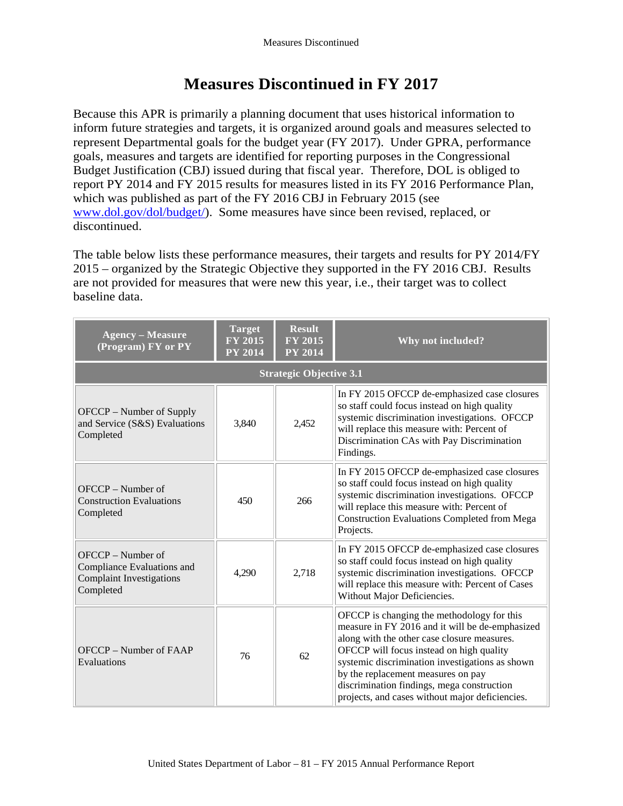# **Measures Discontinued in FY 2017**

Because this APR is primarily a planning document that uses historical information to inform future strategies and targets, it is organized around goals and measures selected to represent Departmental goals for the budget year (FY 2017). Under GPRA, performance goals, measures and targets are identified for reporting purposes in the Congressional Budget Justification (CBJ) issued during that fiscal year. Therefore, DOL is obliged to report PY 2014 and FY 2015 results for measures listed in its FY 2016 Performance Plan, which was published as part of the FY 2016 CBJ in February 2015 (see [www.dol.gov/dol/budget/\)](http://www.dol.gov/dol/budget/). Some measures have since been revised, replaced, or discontinued.

The table below lists these performance measures, their targets and results for PY 2014/FY 2015 – organized by the Strategic Objective they supported in the FY 2016 CBJ. Results are not provided for measures that were new this year, i.e., their target was to collect baseline data.

| <b>Agency - Measure</b><br>(Program) FY or PY                                                   | <b>Target</b><br><b>FY 2015</b><br><b>PY 2014</b> | <b>Result</b><br><b>FY 2015</b><br><b>PY 2014</b> | Why not included?                                                                                                                                                                                                                                                                                                                                                                  |
|-------------------------------------------------------------------------------------------------|---------------------------------------------------|---------------------------------------------------|------------------------------------------------------------------------------------------------------------------------------------------------------------------------------------------------------------------------------------------------------------------------------------------------------------------------------------------------------------------------------------|
|                                                                                                 |                                                   | <b>Strategic Objective 3.1</b>                    |                                                                                                                                                                                                                                                                                                                                                                                    |
| OFCCP – Number of Supply<br>and Service (S&S) Evaluations<br>Completed                          | 3,840                                             | 2,452                                             | In FY 2015 OFCCP de-emphasized case closures<br>so staff could focus instead on high quality<br>systemic discrimination investigations. OFCCP<br>will replace this measure with: Percent of<br>Discrimination CAs with Pay Discrimination<br>Findings.                                                                                                                             |
| OFCCP - Number of<br><b>Construction Evaluations</b><br>Completed                               | 450                                               | 266                                               | In FY 2015 OFCCP de-emphasized case closures<br>so staff could focus instead on high quality<br>systemic discrimination investigations. OFCCP<br>will replace this measure with: Percent of<br><b>Construction Evaluations Completed from Mega</b><br>Projects.                                                                                                                    |
| OFCCP - Number of<br>Compliance Evaluations and<br><b>Complaint Investigations</b><br>Completed | 4,290                                             | 2,718                                             | In FY 2015 OFCCP de-emphasized case closures<br>so staff could focus instead on high quality<br>systemic discrimination investigations. OFCCP<br>will replace this measure with: Percent of Cases<br>Without Major Deficiencies.                                                                                                                                                   |
| OFCCP – Number of FAAP<br>Evaluations                                                           | 76                                                | 62                                                | OFCCP is changing the methodology for this<br>measure in FY 2016 and it will be de-emphasized<br>along with the other case closure measures.<br>OFCCP will focus instead on high quality<br>systemic discrimination investigations as shown<br>by the replacement measures on pay<br>discrimination findings, mega construction<br>projects, and cases without major deficiencies. |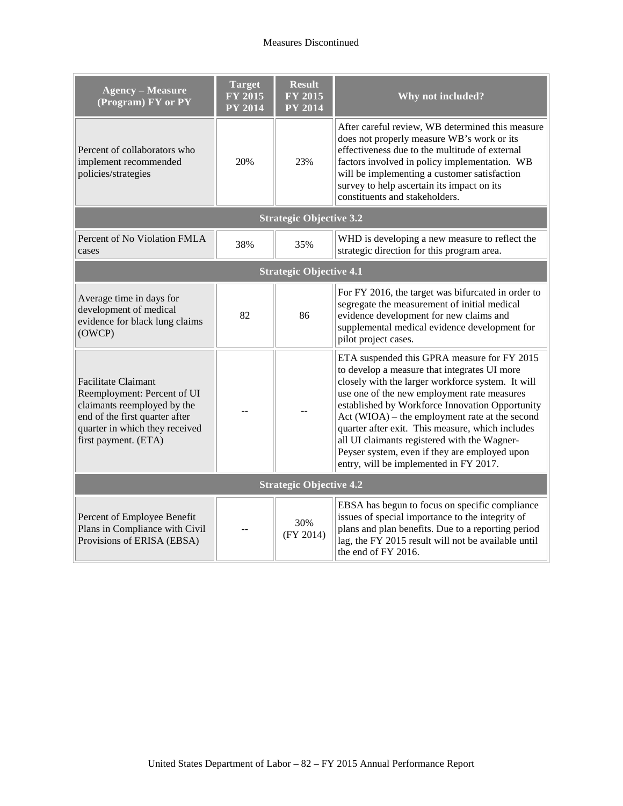| <b>Agency - Measure</b><br>(Program) FY or PY                                                                                                                                        | <b>Target</b><br><b>FY 2015</b><br><b>PY 2014</b> | <b>Result</b><br><b>FY 2015</b><br><b>PY 2014</b> | Why not included?                                                                                                                                                                                                                                                                                                                                                                                                                                                                                   |  |  |  |
|--------------------------------------------------------------------------------------------------------------------------------------------------------------------------------------|---------------------------------------------------|---------------------------------------------------|-----------------------------------------------------------------------------------------------------------------------------------------------------------------------------------------------------------------------------------------------------------------------------------------------------------------------------------------------------------------------------------------------------------------------------------------------------------------------------------------------------|--|--|--|
| Percent of collaborators who<br>implement recommended<br>policies/strategies                                                                                                         | 20%                                               | 23%                                               | After careful review, WB determined this measure<br>does not properly measure WB's work or its<br>effectiveness due to the multitude of external<br>factors involved in policy implementation. WB<br>will be implementing a customer satisfaction<br>survey to help ascertain its impact on its<br>constituents and stakeholders.                                                                                                                                                                   |  |  |  |
| <b>Strategic Objective 3.2</b>                                                                                                                                                       |                                                   |                                                   |                                                                                                                                                                                                                                                                                                                                                                                                                                                                                                     |  |  |  |
| Percent of No Violation FMLA<br>cases                                                                                                                                                | 38%                                               | 35%                                               | WHD is developing a new measure to reflect the<br>strategic direction for this program area.                                                                                                                                                                                                                                                                                                                                                                                                        |  |  |  |
| <b>Strategic Objective 4.1</b>                                                                                                                                                       |                                                   |                                                   |                                                                                                                                                                                                                                                                                                                                                                                                                                                                                                     |  |  |  |
| Average time in days for<br>development of medical<br>evidence for black lung claims<br>(OWCP)                                                                                       | 82                                                | 86                                                | For FY 2016, the target was bifurcated in order to<br>segregate the measurement of initial medical<br>evidence development for new claims and<br>supplemental medical evidence development for<br>pilot project cases.                                                                                                                                                                                                                                                                              |  |  |  |
| <b>Facilitate Claimant</b><br>Reemployment: Percent of UI<br>claimants reemployed by the<br>end of the first quarter after<br>quarter in which they received<br>first payment. (ETA) |                                                   |                                                   | ETA suspended this GPRA measure for FY 2015<br>to develop a measure that integrates UI more<br>closely with the larger workforce system. It will<br>use one of the new employment rate measures<br>established by Workforce Innovation Opportunity<br>Act (WIOA) – the employment rate at the second<br>quarter after exit. This measure, which includes<br>all UI claimants registered with the Wagner-<br>Peyser system, even if they are employed upon<br>entry, will be implemented in FY 2017. |  |  |  |
| <b>Strategic Objective 4.2</b>                                                                                                                                                       |                                                   |                                                   |                                                                                                                                                                                                                                                                                                                                                                                                                                                                                                     |  |  |  |
| Percent of Employee Benefit<br>Plans in Compliance with Civil<br>Provisions of ERISA (EBSA)                                                                                          |                                                   | 30%<br>(FY 2014)                                  | EBSA has begun to focus on specific compliance<br>issues of special importance to the integrity of<br>plans and plan benefits. Due to a reporting period<br>lag, the FY 2015 result will not be available until<br>the end of FY 2016.                                                                                                                                                                                                                                                              |  |  |  |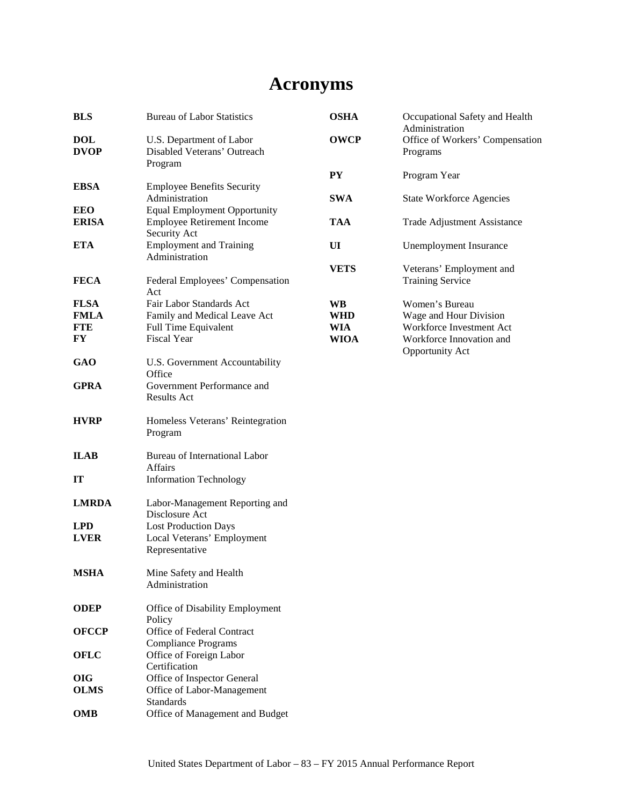# **Acronyms**

| <b>BLS</b>                | <b>Bureau of Labor Statistics</b>                                                          | <b>OSHA</b> | Occupational Safety and Health<br>Administration    |
|---------------------------|--------------------------------------------------------------------------------------------|-------------|-----------------------------------------------------|
| <b>DOL</b><br><b>DVOP</b> | U.S. Department of Labor<br>Disabled Veterans' Outreach<br>Program                         | <b>OWCP</b> | Office of Workers' Compensation<br>Programs         |
|                           |                                                                                            | <b>PY</b>   | Program Year                                        |
| <b>EBSA</b><br><b>EEO</b> | <b>Employee Benefits Security</b><br>Administration<br><b>Equal Employment Opportunity</b> | <b>SWA</b>  | <b>State Workforce Agencies</b>                     |
| <b>ERISA</b>              | <b>Employee Retirement Income</b><br>Security Act                                          | <b>TAA</b>  | Trade Adjustment Assistance                         |
| <b>ETA</b>                | <b>Employment and Training</b><br>Administration                                           | UI          | Unemployment Insurance                              |
| <b>FECA</b>               | Federal Employees' Compensation<br>Act                                                     | <b>VETS</b> | Veterans' Employment and<br><b>Training Service</b> |
| <b>FLSA</b>               | Fair Labor Standards Act                                                                   | <b>WB</b>   | Women's Bureau                                      |
| <b>FMLA</b>               | Family and Medical Leave Act                                                               | <b>WHD</b>  | Wage and Hour Division                              |
| <b>FTE</b>                | Full Time Equivalent                                                                       | WIA         | Workforce Investment Act                            |
| FY                        | Fiscal Year                                                                                | <b>WIOA</b> | Workforce Innovation and<br><b>Opportunity Act</b>  |
| <b>GAO</b>                | U.S. Government Accountability<br>Office                                                   |             |                                                     |
| <b>GPRA</b>               | Government Performance and<br>Results Act                                                  |             |                                                     |
| <b>HVRP</b>               | Homeless Veterans' Reintegration<br>Program                                                |             |                                                     |
| <b>ILAB</b>               | Bureau of International Labor<br><b>Affairs</b>                                            |             |                                                     |
| <b>IT</b>                 | <b>Information Technology</b>                                                              |             |                                                     |
| <b>LMRDA</b>              | Labor-Management Reporting and<br>Disclosure Act                                           |             |                                                     |
| <b>LPD</b>                | <b>Lost Production Days</b>                                                                |             |                                                     |
| <b>LVER</b>               | Local Veterans' Employment<br>Representative                                               |             |                                                     |
| <b>MSHA</b>               | Mine Safety and Health<br>Administration                                                   |             |                                                     |
| <b>ODEP</b>               | Office of Disability Employment<br>Policy                                                  |             |                                                     |
| <b>OFCCP</b>              | Office of Federal Contract<br><b>Compliance Programs</b>                                   |             |                                                     |
| <b>OFLC</b>               | Office of Foreign Labor<br>Certification                                                   |             |                                                     |
| <b>OIG</b>                | Office of Inspector General                                                                |             |                                                     |
| <b>OLMS</b>               | Office of Labor-Management<br><b>Standards</b>                                             |             |                                                     |
| <b>OMB</b>                | Office of Management and Budget                                                            |             |                                                     |